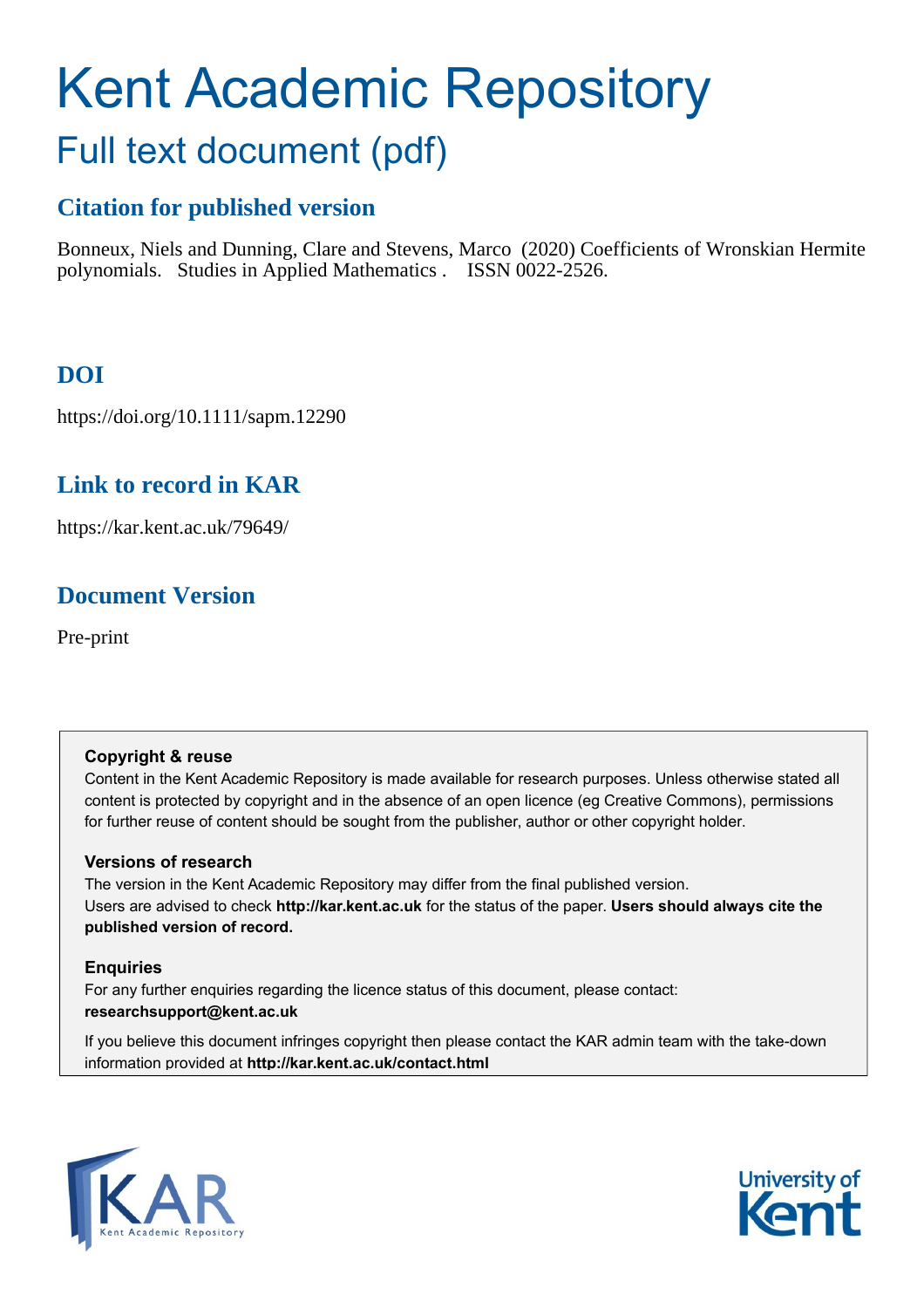# Kent Academic Repository Full text document (pdf)

# **Citation for published version**

Bonneux, Niels and Dunning, Clare and Stevens, Marco (2020) Coefficients of Wronskian Hermite polynomials. Studies in Applied Mathematics . ISSN 0022-2526.

# **DOI**

https://doi.org/10.1111/sapm.12290

# **Link to record in KAR**

https://kar.kent.ac.uk/79649/

# **Document Version**

Pre-print

# **Copyright & reuse**

Content in the Kent Academic Repository is made available for research purposes. Unless otherwise stated all content is protected by copyright and in the absence of an open licence (eg Creative Commons), permissions for further reuse of content should be sought from the publisher, author or other copyright holder.

# **Versions of research**

The version in the Kent Academic Repository may differ from the final published version. Users are advised to check **http://kar.kent.ac.uk** for the status of the paper. **Users should always cite the published version of record.**

# **Enquiries**

For any further enquiries regarding the licence status of this document, please contact: **researchsupport@kent.ac.uk**

If you believe this document infringes copyright then please contact the KAR admin team with the take-down information provided at **http://kar.kent.ac.uk/contact.html**



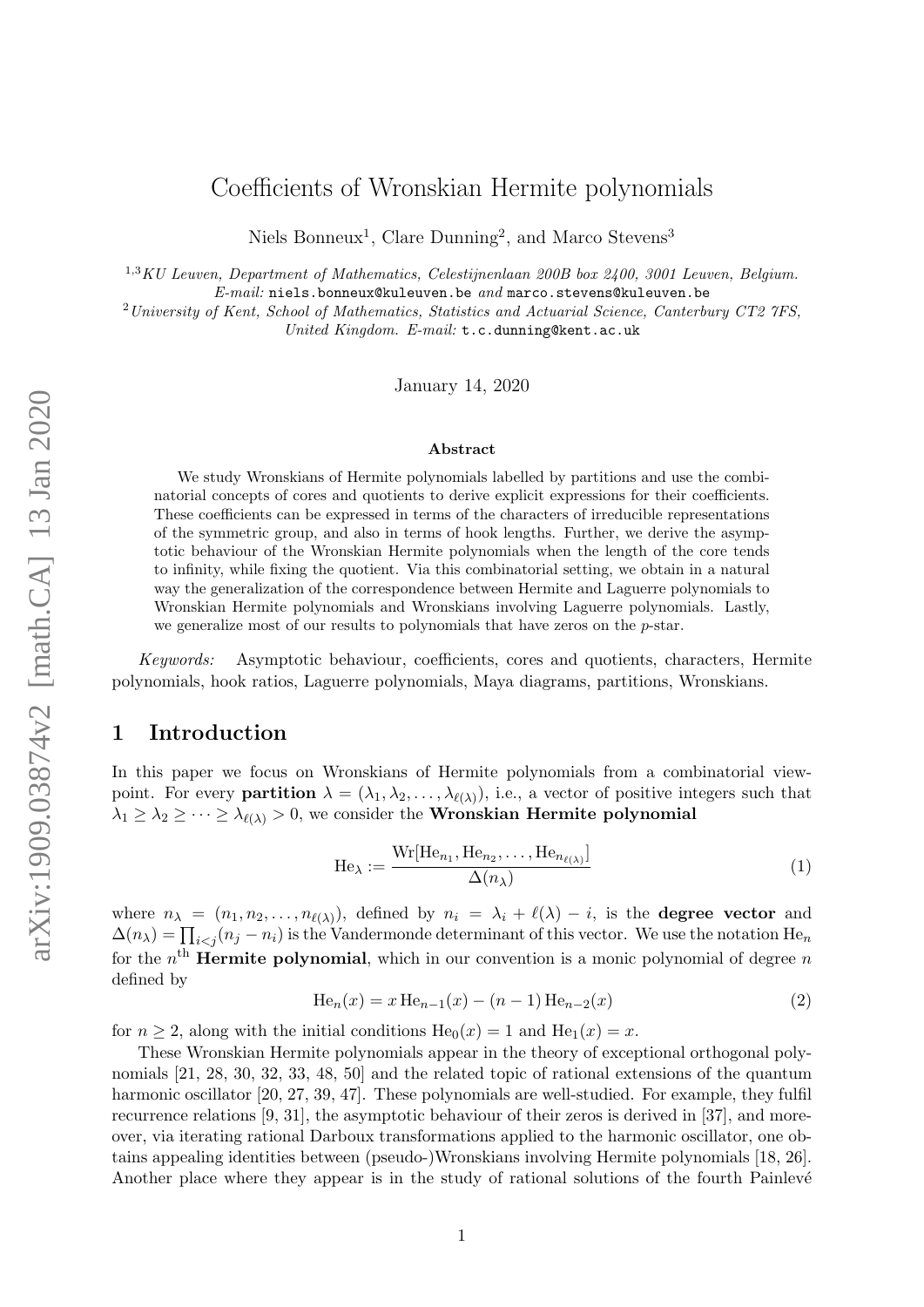# Coefficients of Wronskian Hermite polynomials

Niels Bonneux<sup>1</sup>, Clare Dunning<sup>2</sup>, and Marco Stevens<sup>3</sup>

<sup>1,3</sup>KU Leuven, Department of Mathematics, Celestijnenlaan 200B box 2400, 3001 Leuven, Belgium.

 $E\text{-}mail:$  niels.bonneux@kuleuven.be and marco.stevens@kuleuven.be

<sup>2</sup> University of Kent, School of Mathematics, Statistics and Actuarial Science, Canterbury CT2 7FS,

United Kingdom. E-mail: t.c.dunning@kent.ac.uk

January 14, 2020

#### Abstract

We study Wronskians of Hermite polynomials labelled by partitions and use the combinatorial concepts of cores and quotients to derive explicit expressions for their coefficients. These coefficients can be expressed in terms of the characters of irreducible representations of the symmetric group, and also in terms of hook lengths. Further, we derive the asymptotic behaviour of the Wronskian Hermite polynomials when the length of the core tends to infinity, while fixing the quotient. Via this combinatorial setting, we obtain in a natural way the generalization of the correspondence between Hermite and Laguerre polynomials to Wronskian Hermite polynomials and Wronskians involving Laguerre polynomials. Lastly, we generalize most of our results to polynomials that have zeros on the p-star.

Keywords: Asymptotic behaviour, coefficients, cores and quotients, characters, Hermite polynomials, hook ratios, Laguerre polynomials, Maya diagrams, partitions, Wronskians.

# 1 Introduction

In this paper we focus on Wronskians of Hermite polynomials from a combinatorial viewpoint. For every **partition**  $\lambda = (\lambda_1, \lambda_2, \dots, \lambda_{\ell(\lambda)})$ , i.e., a vector of positive integers such that  $\lambda_1 \geq \lambda_2 \geq \cdots \geq \lambda_{\ell(\lambda)} > 0$ , we consider the **Wronskian Hermite polynomial** 

$$
\text{He}_{\lambda} := \frac{\text{Wr}[\text{He}_{n_1}, \text{He}_{n_2}, \dots, \text{He}_{n_{\ell(\lambda)}}]}{\Delta(n_{\lambda})}
$$
(1)

where  $n_{\lambda} = (n_1, n_2, \ldots, n_{\ell(\lambda)})$ , defined by  $n_i = \lambda_i + \ell(\lambda) - i$ , is the **degree vector** and  $\Delta(n_{\lambda}) = \prod_{i < j} (n_j - n_i)$  is the Vandermonde determinant of this vector. We use the notation  $\text{He}_n$ for the  $n<sup>th</sup>$  Hermite polynomial, which in our convention is a monic polynomial of degree n defined by

$$
He_n(x) = x He_{n-1}(x) - (n-1) He_{n-2}(x)
$$
\n(2)

for  $n > 2$ , along with the initial conditions  $He_0(x) = 1$  and  $He_1(x) = x$ .

These Wronskian Hermite polynomials appear in the theory of exceptional orthogonal polynomials [21, 28, 30, 32, 33, 48, 50] and the related topic of rational extensions of the quantum harmonic oscillator [20, 27, 39, 47]. These polynomials are well-studied. For example, they fulfil recurrence relations [9, 31], the asymptotic behaviour of their zeros is derived in [37], and moreover, via iterating rational Darboux transformations applied to the harmonic oscillator, one obtains appealing identities between (pseudo-)Wronskians involving Hermite polynomials [18, 26]. Another place where they appear is in the study of rational solutions of the fourth Painlevé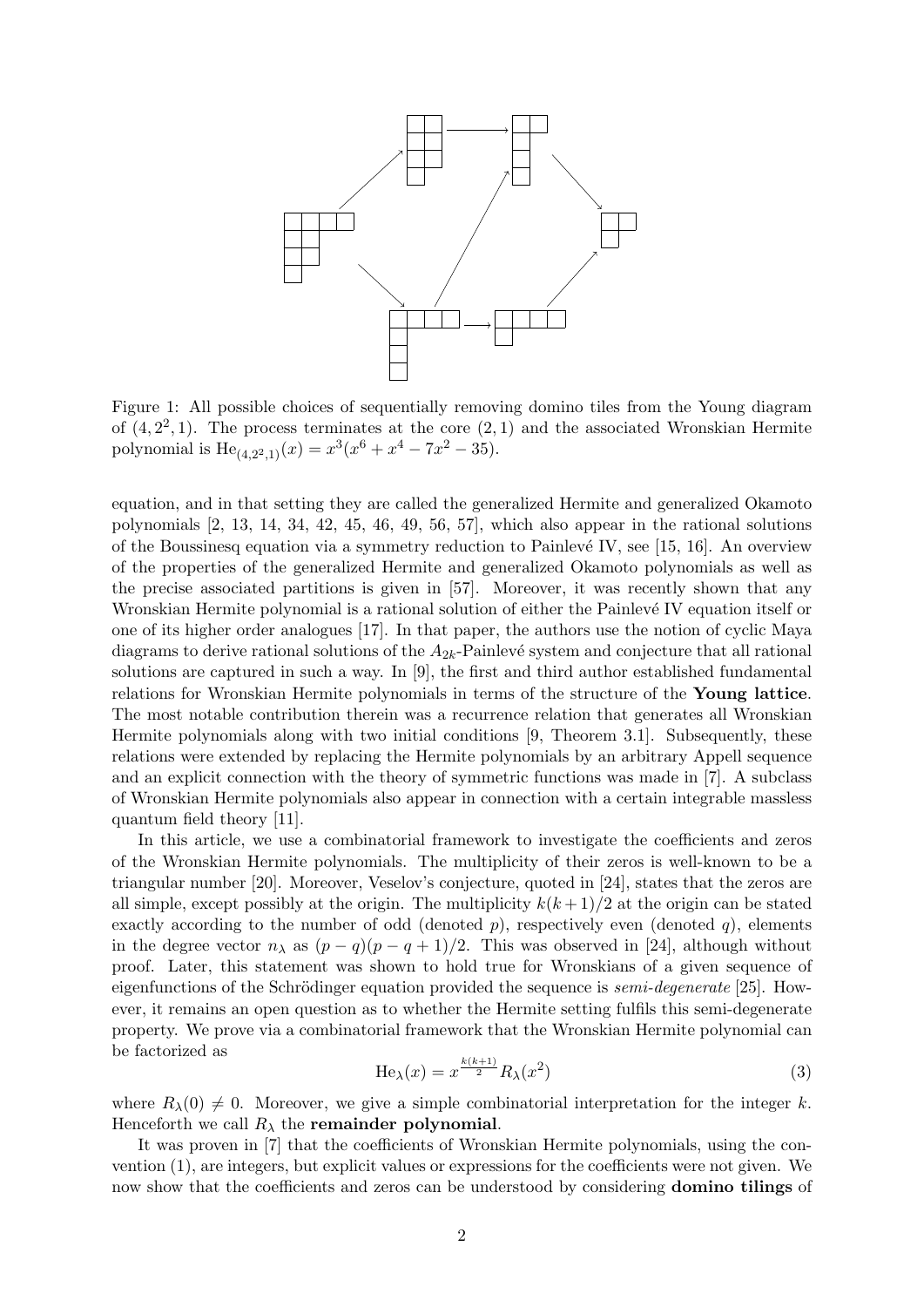

Figure 1: All possible choices of sequentially removing domino tiles from the Young diagram of  $(4, 2^2, 1)$ . The process terminates at the core  $(2, 1)$  and the associated Wronskian Hermite polynomial is  $\text{He}_{(4,2^2,1)}(x) = x^3(x^6 + x^4 - 7x^2 - 35).$ 

equation, and in that setting they are called the generalized Hermite and generalized Okamoto polynomials [2, 13, 14, 34, 42, 45, 46, 49, 56, 57], which also appear in the rational solutions of the Boussinesq equation via a symmetry reduction to Painlevé IV, see [15, 16]. An overview of the properties of the generalized Hermite and generalized Okamoto polynomials as well as the precise associated partitions is given in [57]. Moreover, it was recently shown that any Wronskian Hermite polynomial is a rational solution of either the Painlevé IV equation itself or one of its higher order analogues [17]. In that paper, the authors use the notion of cyclic Maya diagrams to derive rational solutions of the  $A_{2k}$ -Painlevé system and conjecture that all rational solutions are captured in such a way. In [9], the first and third author established fundamental relations for Wronskian Hermite polynomials in terms of the structure of the Young lattice. The most notable contribution therein was a recurrence relation that generates all Wronskian Hermite polynomials along with two initial conditions [9, Theorem 3.1]. Subsequently, these relations were extended by replacing the Hermite polynomials by an arbitrary Appell sequence and an explicit connection with the theory of symmetric functions was made in [7]. A subclass of Wronskian Hermite polynomials also appear in connection with a certain integrable massless quantum field theory [11].

In this article, we use a combinatorial framework to investigate the coefficients and zeros of the Wronskian Hermite polynomials. The multiplicity of their zeros is well-known to be a triangular number [20]. Moreover, Veselov's conjecture, quoted in [24], states that the zeros are all simple, except possibly at the origin. The multiplicity  $k(k+1)/2$  at the origin can be stated exactly according to the number of odd (denoted  $p$ ), respectively even (denoted  $q$ ), elements in the degree vector  $n_{\lambda}$  as  $(p - q)(p - q + 1)/2$ . This was observed in [24], although without proof. Later, this statement was shown to hold true for Wronskians of a given sequence of eigenfunctions of the Schrödinger equation provided the sequence is *semi-degenerate* [25]. However, it remains an open question as to whether the Hermite setting fulfils this semi-degenerate property. We prove via a combinatorial framework that the Wronskian Hermite polynomial can be factorized as

$$
\text{He}_{\lambda}(x) = x^{\frac{k(k+1)}{2}} R_{\lambda}(x^2)
$$
\n(3)

where  $R_{\lambda}(0) \neq 0$ . Moreover, we give a simple combinatorial interpretation for the integer k. Henceforth we call  $R_{\lambda}$  the remainder polynomial.

It was proven in [7] that the coefficients of Wronskian Hermite polynomials, using the convention (1), are integers, but explicit values or expressions for the coefficients were not given. We now show that the coefficients and zeros can be understood by considering domino tilings of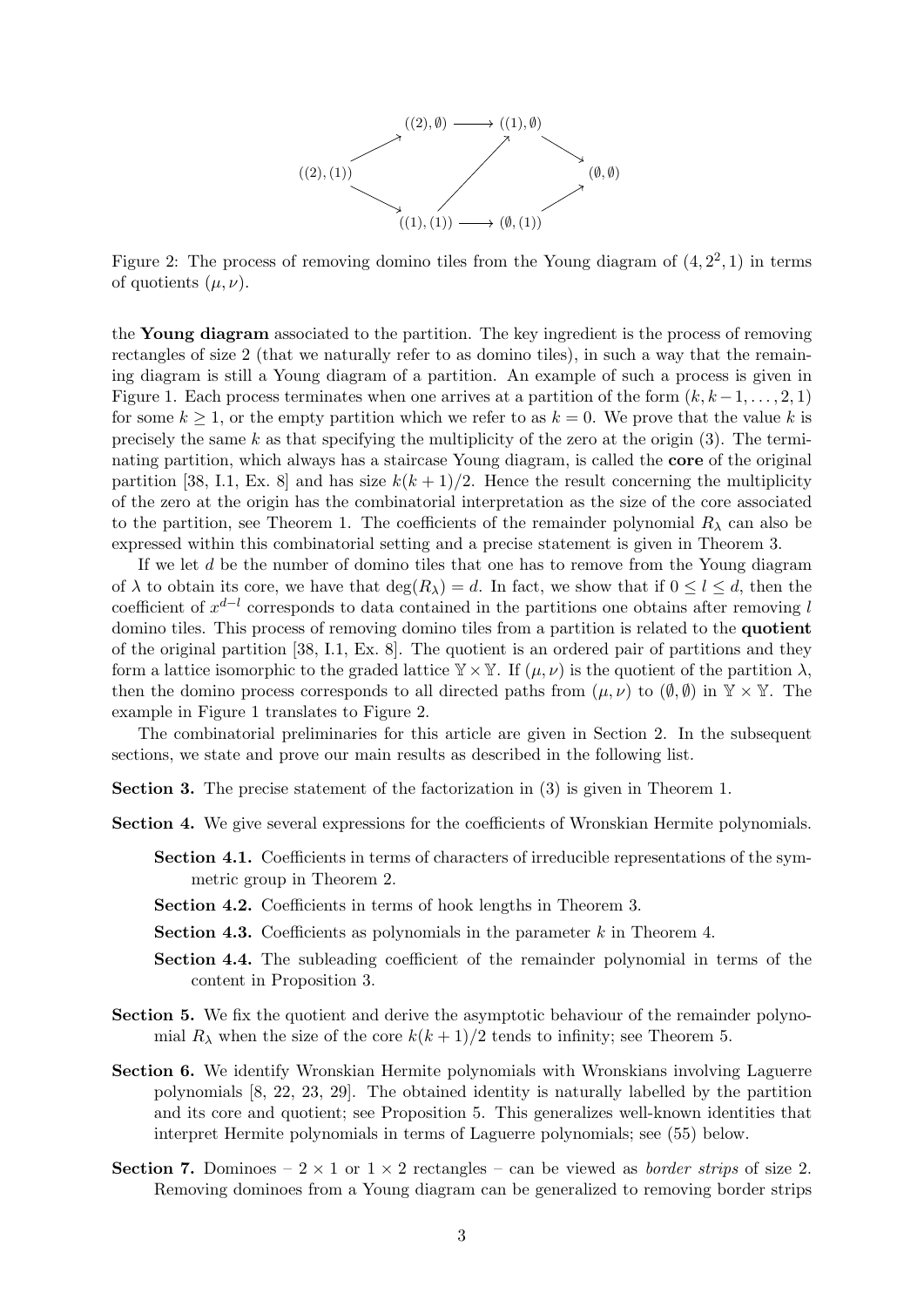

Figure 2: The process of removing domino tiles from the Young diagram of  $(4, 2^2, 1)$  in terms of quotients  $(\mu, \nu)$ .

the Young diagram associated to the partition. The key ingredient is the process of removing rectangles of size 2 (that we naturally refer to as domino tiles), in such a way that the remaining diagram is still a Young diagram of a partition. An example of such a process is given in Figure 1. Each process terminates when one arrives at a partition of the form  $(k, k-1, \ldots, 2, 1)$ for some  $k \geq 1$ , or the empty partition which we refer to as  $k = 0$ . We prove that the value k is precisely the same k as that specifying the multiplicity of the zero at the origin  $(3)$ . The terminating partition, which always has a staircase Young diagram, is called the core of the original partition [38, I.1, Ex. 8] and has size  $k(k+1)/2$ . Hence the result concerning the multiplicity of the zero at the origin has the combinatorial interpretation as the size of the core associated to the partition, see Theorem 1. The coefficients of the remainder polynomial  $R_{\lambda}$  can also be expressed within this combinatorial setting and a precise statement is given in Theorem 3.

If we let d be the number of domino tiles that one has to remove from the Young diagram of  $\lambda$  to obtain its core, we have that  $\deg(R_\lambda) = d$ . In fact, we show that if  $0 \leq l \leq d$ , then the coefficient of  $x^{d-l}$  corresponds to data contained in the partitions one obtains after removing l domino tiles. This process of removing domino tiles from a partition is related to the quotient of the original partition [38, I.1, Ex. 8]. The quotient is an ordered pair of partitions and they form a lattice isomorphic to the graded lattice  $\mathbb{Y} \times \mathbb{Y}$ . If  $(\mu, \nu)$  is the quotient of the partition  $\lambda$ , then the domino process corresponds to all directed paths from  $(\mu, \nu)$  to  $(\emptyset, \emptyset)$  in  $\mathbb{Y} \times \mathbb{Y}$ . The example in Figure 1 translates to Figure 2.

The combinatorial preliminaries for this article are given in Section 2. In the subsequent sections, we state and prove our main results as described in the following list.

Section 3. The precise statement of the factorization in (3) is given in Theorem 1.

Section 4. We give several expressions for the coefficients of Wronskian Hermite polynomials.

- Section 4.1. Coefficients in terms of characters of irreducible representations of the symmetric group in Theorem 2.
- Section 4.2. Coefficients in terms of hook lengths in Theorem 3.
- **Section 4.3.** Coefficients as polynomials in the parameter  $k$  in Theorem 4.
- Section 4.4. The subleading coefficient of the remainder polynomial in terms of the content in Proposition 3.
- Section 5. We fix the quotient and derive the asymptotic behaviour of the remainder polynomial  $R_{\lambda}$  when the size of the core  $k(k+1)/2$  tends to infinity; see Theorem 5.
- Section 6. We identify Wronskian Hermite polynomials with Wronskians involving Laguerre polynomials [8, 22, 23, 29]. The obtained identity is naturally labelled by the partition and its core and quotient; see Proposition 5. This generalizes well-known identities that interpret Hermite polynomials in terms of Laguerre polynomials; see (55) below.
- Section 7. Dominoes  $2 \times 1$  or  $1 \times 2$  rectangles can be viewed as *border strips* of size 2. Removing dominoes from a Young diagram can be generalized to removing border strips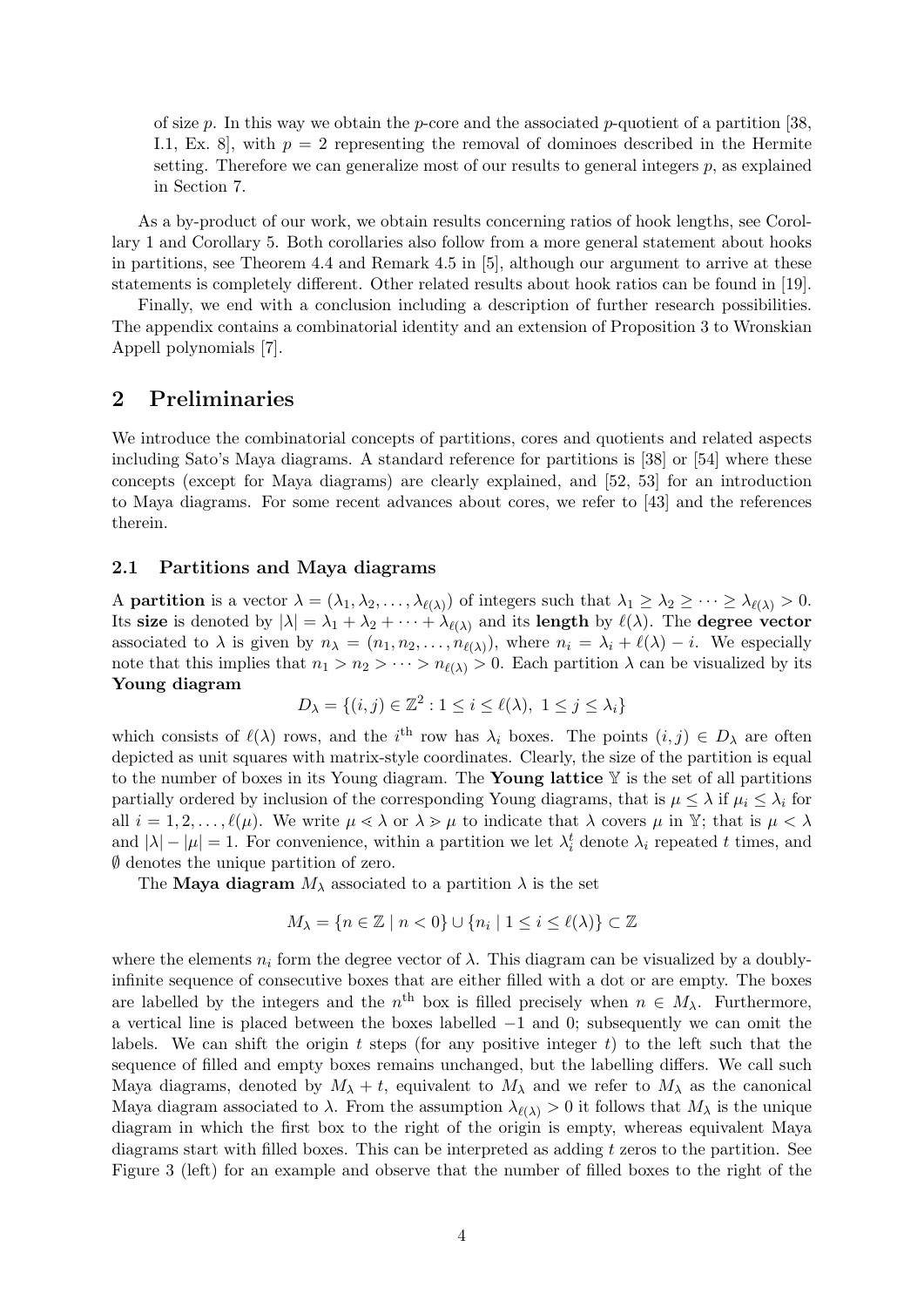of size p. In this way we obtain the p-core and the associated p-quotient of a partition [38, I.1, Ex. 8, with  $p = 2$  representing the removal of dominoes described in the Hermite setting. Therefore we can generalize most of our results to general integers  $p$ , as explained in Section 7.

As a by-product of our work, we obtain results concerning ratios of hook lengths, see Corollary 1 and Corollary 5. Both corollaries also follow from a more general statement about hooks in partitions, see Theorem 4.4 and Remark 4.5 in [5], although our argument to arrive at these statements is completely different. Other related results about hook ratios can be found in [19].

Finally, we end with a conclusion including a description of further research possibilities. The appendix contains a combinatorial identity and an extension of Proposition 3 to Wronskian Appell polynomials [7].

# 2 Preliminaries

We introduce the combinatorial concepts of partitions, cores and quotients and related aspects including Sato's Maya diagrams. A standard reference for partitions is [38] or [54] where these concepts (except for Maya diagrams) are clearly explained, and [52, 53] for an introduction to Maya diagrams. For some recent advances about cores, we refer to [43] and the references therein.

#### 2.1 Partitions and Maya diagrams

A **partition** is a vector  $\lambda = (\lambda_1, \lambda_2, \dots, \lambda_{\ell(\lambda)})$  of integers such that  $\lambda_1 \geq \lambda_2 \geq \dots \geq \lambda_{\ell(\lambda)} > 0$ . Its size is denoted by  $|\lambda| = \lambda_1 + \lambda_2 + \cdots + \lambda_{\ell(\lambda)}$  and its length by  $\ell(\lambda)$ . The degree vector associated to  $\lambda$  is given by  $n_{\lambda} = (n_1, n_2, \ldots, n_{\ell(\lambda)})$ , where  $n_i = \lambda_i + \ell(\lambda) - i$ . We especially note that this implies that  $n_1 > n_2 > \cdots > n_{\ell(\lambda)} > 0$ . Each partition  $\lambda$  can be visualized by its Young diagram

$$
D_{\lambda} = \{(i, j) \in \mathbb{Z}^2 : 1 \le i \le \ell(\lambda), \ 1 \le j \le \lambda_i\}
$$

which consists of  $\ell(\lambda)$  rows, and the i<sup>th</sup> row has  $\lambda_i$  boxes. The points  $(i, j) \in D_\lambda$  are often depicted as unit squares with matrix-style coordinates. Clearly, the size of the partition is equal to the number of boxes in its Young diagram. The Young lattice  $\mathbb Y$  is the set of all partitions partially ordered by inclusion of the corresponding Young diagrams, that is  $\mu \leq \lambda$  if  $\mu_i \leq \lambda_i$  for all  $i = 1, 2, \ldots, \ell(\mu)$ . We write  $\mu \le \lambda$  or  $\lambda > \mu$  to indicate that  $\lambda$  covers  $\mu$  in Y; that is  $\mu < \lambda$ and  $|\lambda| - |\mu| = 1$ . For convenience, within a partition we let  $\lambda_i^t$  denote  $\lambda_i$  repeated t times, and ∅ denotes the unique partition of zero.

The Maya diagram  $M_{\lambda}$  associated to a partition  $\lambda$  is the set

$$
M_{\lambda} = \{n \in \mathbb{Z} \mid n < 0\} \cup \{n_i \mid 1 \leq i \leq \ell(\lambda)\} \subset \mathbb{Z}
$$

where the elements  $n_i$  form the degree vector of  $\lambda$ . This diagram can be visualized by a doublyinfinite sequence of consecutive boxes that are either filled with a dot or are empty. The boxes are labelled by the integers and the  $n<sup>th</sup>$  box is filled precisely when  $n \in M_{\lambda}$ . Furthermore, a vertical line is placed between the boxes labelled −1 and 0; subsequently we can omit the labels. We can shift the origin t steps (for any positive integer t) to the left such that the sequence of filled and empty boxes remains unchanged, but the labelling differs. We call such Maya diagrams, denoted by  $M_{\lambda} + t$ , equivalent to  $M_{\lambda}$  and we refer to  $M_{\lambda}$  as the canonical Maya diagram associated to  $\lambda$ . From the assumption  $\lambda_{\ell(\lambda)} > 0$  it follows that  $M_{\lambda}$  is the unique diagram in which the first box to the right of the origin is empty, whereas equivalent Maya diagrams start with filled boxes. This can be interpreted as adding  $t$  zeros to the partition. See Figure 3 (left) for an example and observe that the number of filled boxes to the right of the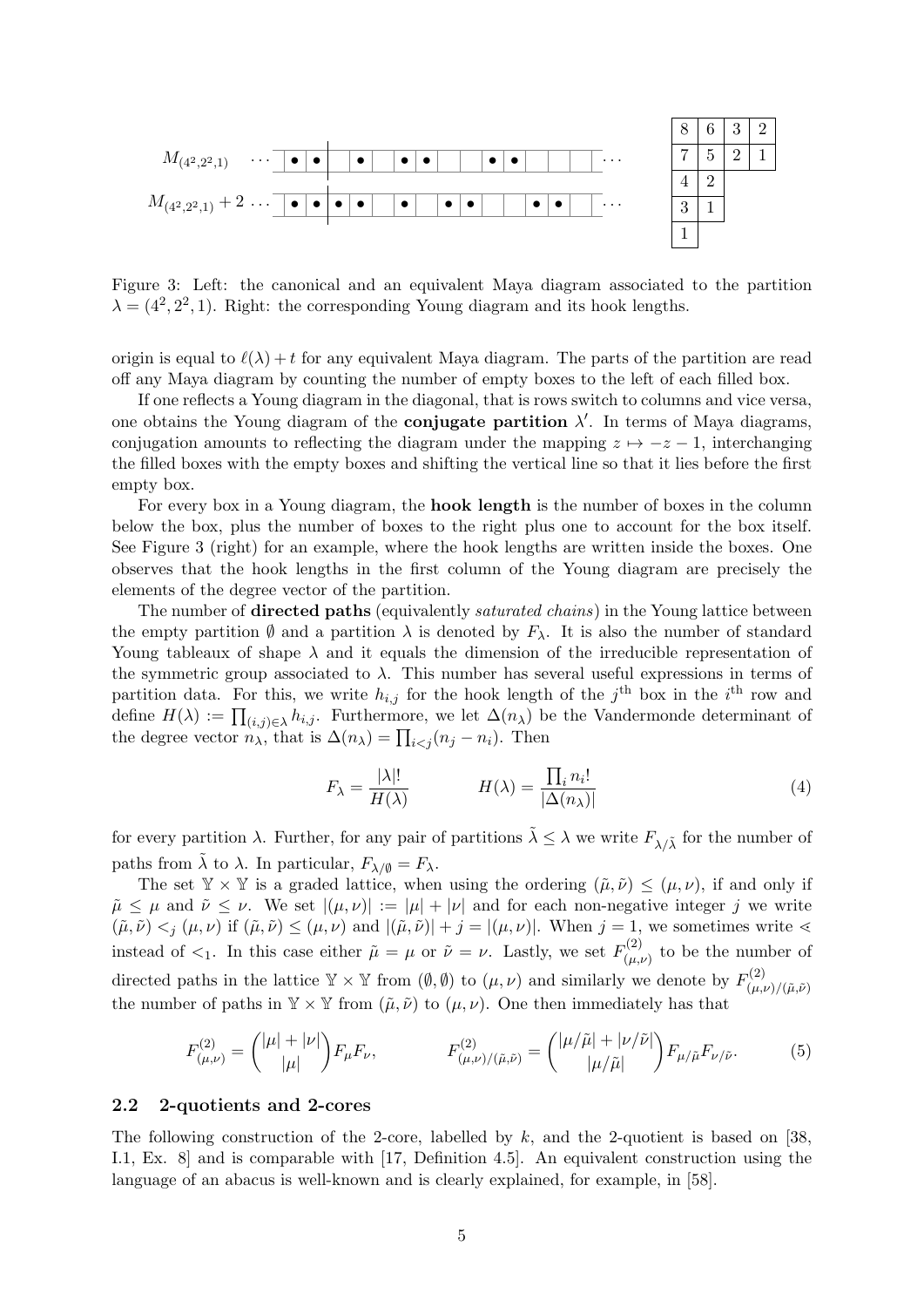

Figure 3: Left: the canonical and an equivalent Maya diagram associated to the partition  $\lambda = (4^2, 2^2, 1)$ . Right: the corresponding Young diagram and its hook lengths.

origin is equal to  $\ell(\lambda) + t$  for any equivalent Maya diagram. The parts of the partition are read off any Maya diagram by counting the number of empty boxes to the left of each filled box.

If one reflects a Young diagram in the diagonal, that is rows switch to columns and vice versa, one obtains the Young diagram of the **conjugate partition**  $\lambda'$ . In terms of Maya diagrams, conjugation amounts to reflecting the diagram under the mapping  $z \mapsto -z - 1$ , interchanging the filled boxes with the empty boxes and shifting the vertical line so that it lies before the first empty box.

For every box in a Young diagram, the hook length is the number of boxes in the column below the box, plus the number of boxes to the right plus one to account for the box itself. See Figure 3 (right) for an example, where the hook lengths are written inside the boxes. One observes that the hook lengths in the first column of the Young diagram are precisely the elements of the degree vector of the partition.

The number of **directed paths** (equivalently *saturated chains*) in the Young lattice between the empty partition  $\emptyset$  and a partition  $\lambda$  is denoted by  $F_{\lambda}$ . It is also the number of standard Young tableaux of shape  $\lambda$  and it equals the dimension of the irreducible representation of the symmetric group associated to  $\lambda$ . This number has several useful expressions in terms of partition data. For this, we write  $h_{i,j}$  for the hook length of the j<sup>th</sup> box in the i<sup>th</sup> row and define  $H(\lambda) := \prod_{(i,j)\in\lambda} h_{i,j}$ . Furthermore, we let  $\Delta(n_\lambda)$  be the Vandermonde determinant of the degree vector  $n_{\lambda}$ , that is  $\Delta(n_{\lambda}) = \prod_{i < j} (n_j - n_i)$ . Then

$$
F_{\lambda} = \frac{|\lambda|!}{H(\lambda)} \qquad H(\lambda) = \frac{\prod_{i} n_i!}{|\Delta(n_{\lambda})|} \tag{4}
$$

for every partition  $\lambda$ . Further, for any pair of partitions  $\tilde{\lambda} \leq \lambda$  we write  $F_{\lambda/\tilde{\lambda}}$  for the number of paths from  $\tilde{\lambda}$  to  $\lambda$ . In particular,  $F_{\lambda/\emptyset} = F_{\lambda}$ .

The set  $\mathbb{Y} \times \mathbb{Y}$  is a graded lattice, when using the ordering  $(\tilde{\mu}, \tilde{\nu}) \leq (\mu, \nu)$ , if and only if  $\tilde{\mu} \leq \mu$  and  $\tilde{\nu} \leq \nu$ . We set  $|(\mu, \nu)| := |\mu| + |\nu|$  and for each non-negative integer j we write  $(\tilde{\mu}, \tilde{\nu}) \leq j (\mu, \nu)$  if  $(\tilde{\mu}, \tilde{\nu}) \leq (\mu, \nu)$  and  $|(\tilde{\mu}, \tilde{\nu})| + j = |(\mu, \nu)|$ . When  $j = 1$ , we sometimes write  $\leq$ instead of  $\lt_1$ . In this case either  $\tilde{\mu} = \mu$  or  $\tilde{\nu} = \nu$ . Lastly, we set  $F_{(\mu)}^{(2)}$  $\binom{n^{(2)}}{(\mu,\nu)}$  to be the number of directed paths in the lattice  $\mathbb{Y} \times \mathbb{Y}$  from  $(\emptyset, \emptyset)$  to  $(\mu, \nu)$  and similarly we denote by  $F_{(\mu)}^{(2)}$  $(\mu,\nu)/(\tilde{\mu},\tilde{\nu})$ the number of paths in  $\mathbb{Y} \times \mathbb{Y}$  from  $(\tilde{\mu}, \tilde{\nu})$  to  $(\mu, \nu)$ . One then immediately has that

$$
F^{(2)}_{(\mu,\nu)} = {\mu| + |\nu| \choose |\mu|} F_{\mu} F_{\nu}, \qquad F^{(2)}_{(\mu,\nu)/(\tilde{\mu},\tilde{\nu})} = {\mu/\tilde{\mu}| + |\nu/\tilde{\nu}| \choose |\mu/\tilde{\mu}|} F_{\mu/\tilde{\mu}} F_{\nu/\tilde{\nu}}.
$$
 (5)

#### 2.2 2-quotients and 2-cores

The following construction of the 2-core, labelled by  $k$ , and the 2-quotient is based on [38, I.1, Ex. 8] and is comparable with [17, Definition 4.5]. An equivalent construction using the language of an abacus is well-known and is clearly explained, for example, in [58].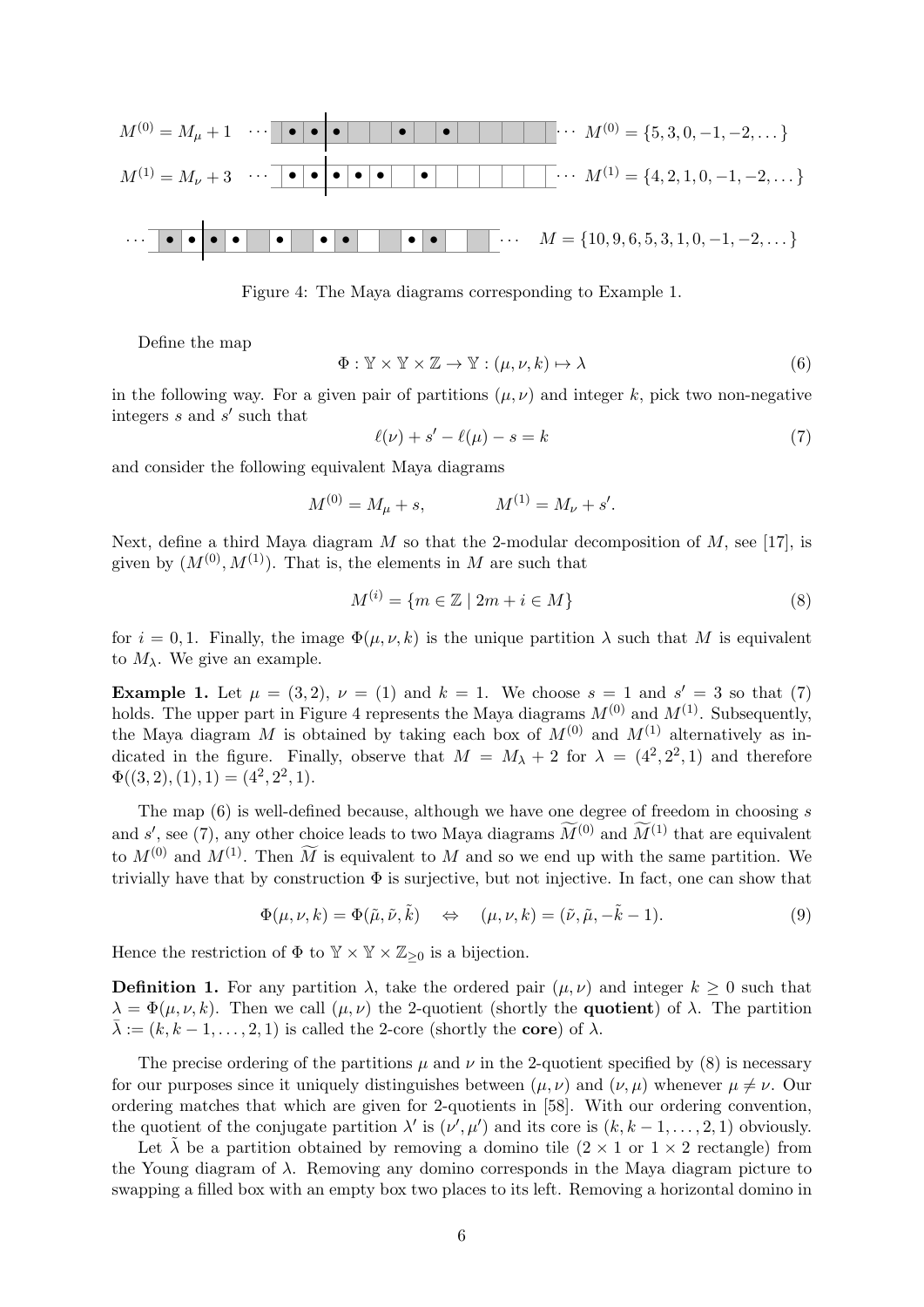

Figure 4: The Maya diagrams corresponding to Example 1.

Define the map

$$
\Phi: \mathbb{Y} \times \mathbb{Y} \times \mathbb{Z} \to \mathbb{Y}: (\mu, \nu, k) \mapsto \lambda \tag{6}
$$

in the following way. For a given pair of partitions  $(\mu, \nu)$  and integer k, pick two non-negative integers  $s$  and  $s'$  such that

$$
\ell(\nu) + s' - \ell(\mu) - s = k \tag{7}
$$

and consider the following equivalent Maya diagrams

$$
M^{(0)} = M_{\mu} + s, \qquad \qquad M^{(1)} = M_{\nu} + s'.
$$

Next, define a third Maya diagram M so that the 2-modular decomposition of M, see [17], is given by  $(M^{(0)}, M^{(1)})$ . That is, the elements in M are such that

$$
M^{(i)} = \{ m \in \mathbb{Z} \mid 2m + i \in M \}
$$
 (8)

for  $i = 0, 1$ . Finally, the image  $\Phi(\mu, \nu, k)$  is the unique partition  $\lambda$  such that M is equivalent to  $M_{\lambda}$ . We give an example.

**Example 1.** Let  $\mu = (3, 2), \nu = (1)$  and  $k = 1$ . We choose  $s = 1$  and  $s' = 3$  so that (7) holds. The upper part in Figure 4 represents the Maya diagrams  $M^{(0)}$  and  $M^{(1)}$ . Subsequently, the Maya diagram M is obtained by taking each box of  $M^{(0)}$  and  $M^{(1)}$  alternatively as indicated in the figure. Finally, observe that  $M = M_{\lambda} + 2$  for  $\lambda = (4^2, 2^2, 1)$  and therefore  $\Phi((3,2),(1),1) = (4^2,2^2,1).$ 

The map  $(6)$  is well-defined because, although we have one degree of freedom in choosing s and s', see (7), any other choice leads to two Maya diagrams  $\widetilde{M}^{(0)}$  and  $\widetilde{M}^{(1)}$  that are equivalent to  $M^{(0)}$  and  $M^{(1)}$ . Then  $\widetilde{M}$  is equivalent to M and so we end up with the same partition. We trivially have that by construction  $\Phi$  is surjective, but not injective. In fact, one can show that

$$
\Phi(\mu, \nu, k) = \Phi(\tilde{\mu}, \tilde{\nu}, \tilde{k}) \quad \Leftrightarrow \quad (\mu, \nu, k) = (\tilde{\nu}, \tilde{\mu}, -\tilde{k} - 1). \tag{9}
$$

Hence the restriction of  $\Phi$  to  $\mathbb{Y} \times \mathbb{Y} \times \mathbb{Z}_{\geq 0}$  is a bijection.

**Definition 1.** For any partition  $\lambda$ , take the ordered pair  $(\mu, \nu)$  and integer  $k \geq 0$  such that  $\lambda = \Phi(\mu, \nu, k)$ . Then we call  $(\mu, \nu)$  the 2-quotient (shortly the **quotient**) of  $\lambda$ . The partition  $\bar{\lambda} := (k, k-1, \ldots, 2, 1)$  is called the 2-core (shortly the **core**) of  $\lambda$ .

The precise ordering of the partitions  $\mu$  and  $\nu$  in the 2-quotient specified by (8) is necessary for our purposes since it uniquely distinguishes between  $(\mu, \nu)$  and  $(\nu, \mu)$  whenever  $\mu \neq \nu$ . Our ordering matches that which are given for 2-quotients in [58]. With our ordering convention, the quotient of the conjugate partition  $\lambda'$  is  $(\nu', \mu')$  and its core is  $(k, k-1, \ldots, 2, 1)$  obviously.

Let  $\lambda$  be a partition obtained by removing a domino tile  $(2 \times 1$  or  $1 \times 2$  rectangle) from the Young diagram of  $\lambda$ . Removing any domino corresponds in the Maya diagram picture to swapping a filled box with an empty box two places to its left. Removing a horizontal domino in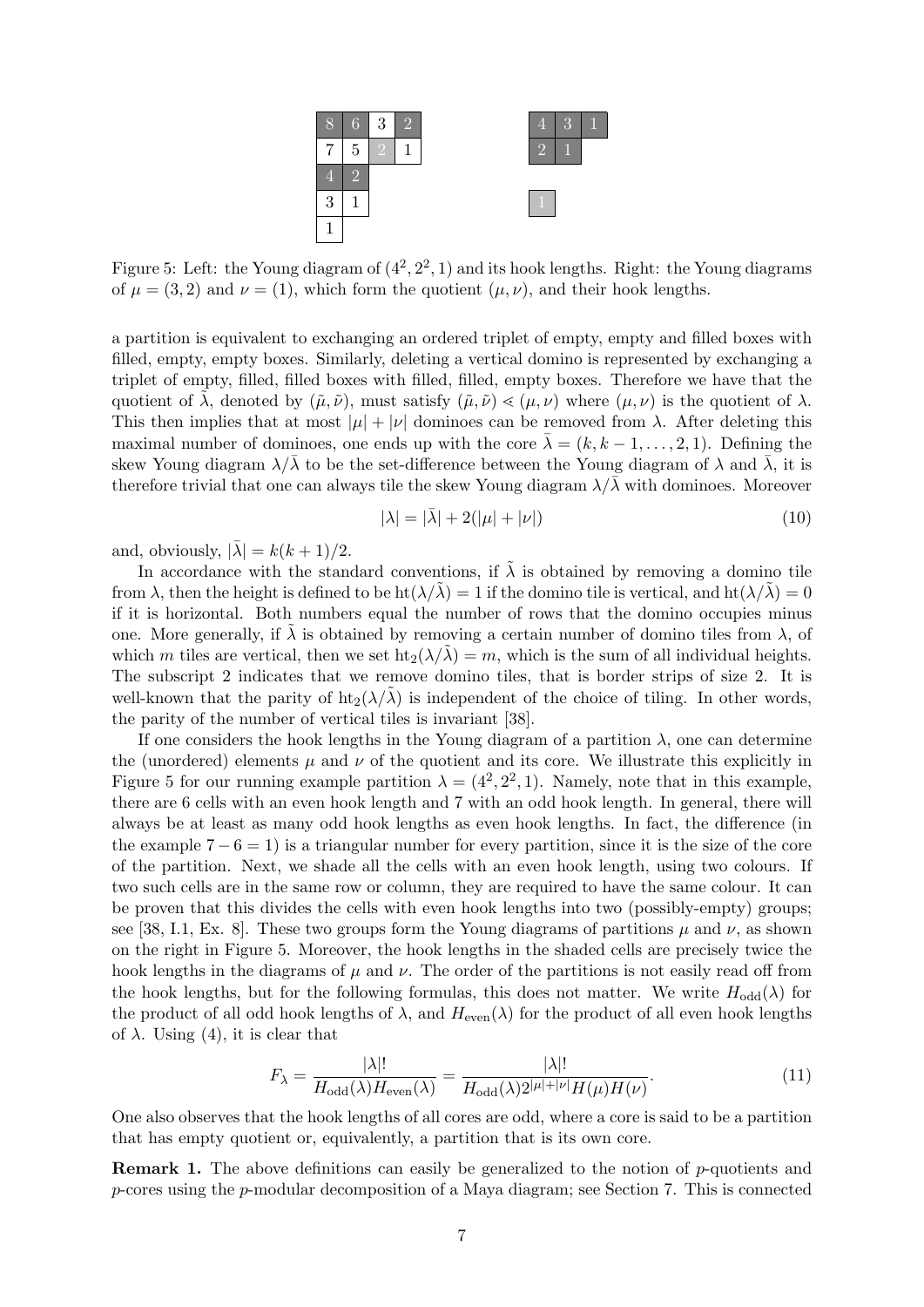

Figure 5: Left: the Young diagram of  $(4^2, 2^2, 1)$  and its hook lengths. Right: the Young diagrams of  $\mu = (3, 2)$  and  $\nu = (1)$ , which form the quotient  $(\mu, \nu)$ , and their hook lengths.

a partition is equivalent to exchanging an ordered triplet of empty, empty and filled boxes with filled, empty, empty boxes. Similarly, deleting a vertical domino is represented by exchanging a triplet of empty, filled, filled boxes with filled, filled, empty boxes. Therefore we have that the quotient of  $\lambda$ , denoted by  $(\tilde{\mu}, \tilde{\nu})$ , must satisfy  $(\tilde{\mu}, \tilde{\nu}) \leq (\mu, \nu)$  where  $(\mu, \nu)$  is the quotient of  $\lambda$ . This then implies that at most  $|\mu| + |\nu|$  dominoes can be removed from  $\lambda$ . After deleting this maximal number of dominoes, one ends up with the core  $\lambda = (k, k - 1, \ldots, 2, 1)$ . Defining the skew Young diagram  $\lambda/\lambda$  to be the set-difference between the Young diagram of  $\lambda$  and  $\lambda$ , it is therefore trivial that one can always tile the skew Young diagram  $\lambda/\overline{\lambda}$  with dominoes. Moreover

$$
|\lambda| = |\bar{\lambda}| + 2(|\mu| + |\nu|)
$$
\n(10)

and, obviously,  $|\bar{\lambda}| = k(k+1)/2$ .

In accordance with the standard conventions, if  $\tilde{\lambda}$  is obtained by removing a domino tile from  $\lambda$ , then the height is defined to be ht $(\lambda/\lambda) = 1$  if the domino tile is vertical, and ht $(\lambda/\lambda) = 0$ if it is horizontal. Both numbers equal the number of rows that the domino occupies minus one. More generally, if  $\lambda$  is obtained by removing a certain number of domino tiles from  $\lambda$ , of which m tiles are vertical, then we set  $\text{ht}_2(\lambda/\lambda) = m$ , which is the sum of all individual heights. The subscript 2 indicates that we remove domino tiles, that is border strips of size 2. It is well-known that the parity of  $\text{ht}_2(\lambda/\lambda)$  is independent of the choice of tiling. In other words, the parity of the number of vertical tiles is invariant [38].

If one considers the hook lengths in the Young diagram of a partition  $\lambda$ , one can determine the (unordered) elements  $\mu$  and  $\nu$  of the quotient and its core. We illustrate this explicitly in Figure 5 for our running example partition  $\lambda = (4^2, 2^2, 1)$ . Namely, note that in this example, there are 6 cells with an even hook length and 7 with an odd hook length. In general, there will always be at least as many odd hook lengths as even hook lengths. In fact, the difference (in the example  $7 - 6 = 1$ ) is a triangular number for every partition, since it is the size of the core of the partition. Next, we shade all the cells with an even hook length, using two colours. If two such cells are in the same row or column, they are required to have the same colour. It can be proven that this divides the cells with even hook lengths into two (possibly-empty) groups; see [38, I.1, Ex. 8]. These two groups form the Young diagrams of partitions  $\mu$  and  $\nu$ , as shown on the right in Figure 5. Moreover, the hook lengths in the shaded cells are precisely twice the hook lengths in the diagrams of  $\mu$  and  $\nu$ . The order of the partitions is not easily read off from the hook lengths, but for the following formulas, this does not matter. We write  $H_{odd}(\lambda)$  for the product of all odd hook lengths of  $\lambda$ , and  $H_{\text{even}}(\lambda)$  for the product of all even hook lengths of  $\lambda$ . Using (4), it is clear that

$$
F_{\lambda} = \frac{|\lambda|!}{H_{\text{odd}}(\lambda)H_{\text{even}}(\lambda)} = \frac{|\lambda|!}{H_{\text{odd}}(\lambda)2^{|\mu|+|\nu|}H(\mu)H(\nu)}.\tag{11}
$$

One also observes that the hook lengths of all cores are odd, where a core is said to be a partition that has empty quotient or, equivalently, a partition that is its own core.

Remark 1. The above definitions can easily be generalized to the notion of p-quotients and p-cores using the p-modular decomposition of a Maya diagram; see Section 7. This is connected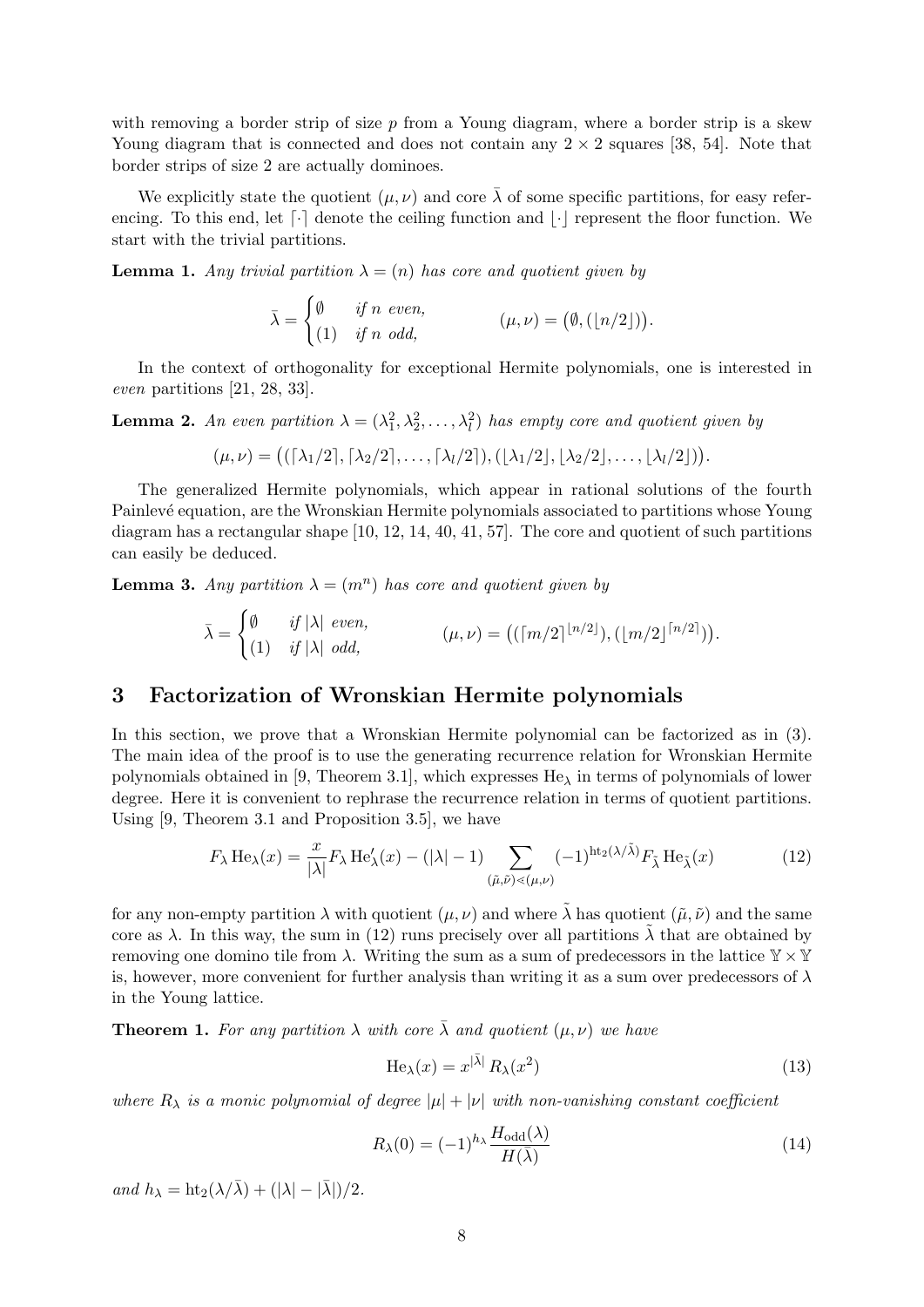with removing a border strip of size  $p$  from a Young diagram, where a border strip is a skew Young diagram that is connected and does not contain any  $2 \times 2$  squares [38, 54]. Note that border strips of size 2 are actually dominoes.

We explicitly state the quotient  $(\mu, \nu)$  and core  $\bar{\lambda}$  of some specific partitions, for easy referencing. To this end, let  $\lceil \cdot \rceil$  denote the ceiling function and  $\lceil \cdot \rceil$  represent the floor function. We start with the trivial partitions.

**Lemma 1.** Any trivial partition  $\lambda = (n)$  has core and quotient given by

 $\bar{\lambda} = \begin{cases} \emptyset & \text{if } n \text{ even,} \\ \langle \alpha \rangle & \text{if } n \end{cases}$  $(1)$  if n odd,  $(\mu, \nu) = (\emptyset, (n/2))$ .

In the context of orthogonality for exceptional Hermite polynomials, one is interested in even partitions [21, 28, 33].

**Lemma 2.** An even partition  $\lambda = (\lambda_1^2, \lambda_2^2, \dots, \lambda_l^2)$  has empty core and quotient given by

$$
(\mu,\nu)=\big((\lceil \lambda_1/2 \rceil,\lceil \lambda_2/2 \rceil,\ldots,\lceil \lambda_l/2 \rceil),(\lfloor \lambda_1/2 \rfloor,\lfloor \lambda_2/2 \rfloor,\ldots,\lfloor \lambda_l/2 \rfloor)\big).
$$

The generalized Hermite polynomials, which appear in rational solutions of the fourth Painlevé equation, are the Wronskian Hermite polynomials associated to partitions whose Young diagram has a rectangular shape [10, 12, 14, 40, 41, 57]. The core and quotient of such partitions can easily be deduced.

**Lemma 3.** Any partition  $\lambda = (m^n)$  has core and quotient given by

$$
\bar{\lambda} = \begin{cases} \emptyset & \text{if } |\lambda| \text{ even,} \\ (1) & \text{if } |\lambda| \text{ odd,} \end{cases} \qquad (\mu, \nu) = \left( ([m/2]^{n/2}] \right), ([m/2]^{n/2}])
$$

# 3 Factorization of Wronskian Hermite polynomials

In this section, we prove that a Wronskian Hermite polynomial can be factorized as in (3). The main idea of the proof is to use the generating recurrence relation for Wronskian Hermite polynomials obtained in [9, Theorem 3.1], which expresses  $He_{\lambda}$  in terms of polynomials of lower degree. Here it is convenient to rephrase the recurrence relation in terms of quotient partitions. Using [9, Theorem 3.1 and Proposition 3.5], we have

$$
F_{\lambda} \operatorname{He}_{\lambda}(x) = \frac{x}{|\lambda|} F_{\lambda} \operatorname{He}_{\lambda}'(x) - (|\lambda| - 1) \sum_{(\tilde{\mu}, \tilde{\nu}) \le (\mu, \nu)} (-1)^{\operatorname{ht}_{2}(\lambda/\tilde{\lambda})} F_{\tilde{\lambda}} \operatorname{He}_{\tilde{\lambda}}(x)
$$
(12)

for any non-empty partition  $\lambda$  with quotient  $(\mu, \nu)$  and where  $\tilde{\lambda}$  has quotient  $(\tilde{\mu}, \tilde{\nu})$  and the same core as  $\lambda$ . In this way, the sum in (12) runs precisely over all partitions  $\lambda$  that are obtained by removing one domino tile from  $\lambda$ . Writing the sum as a sum of predecessors in the lattice  $\mathbb{Y} \times \mathbb{Y}$ is, however, more convenient for further analysis than writing it as a sum over predecessors of  $\lambda$ in the Young lattice.

**Theorem 1.** For any partition  $\lambda$  with core  $\bar{\lambda}$  and quotient  $(\mu, \nu)$  we have

$$
\text{He}_{\lambda}(x) = x^{|\bar{\lambda}|} R_{\lambda}(x^2)
$$
\n(13)

where  $R_{\lambda}$  is a monic polynomial of degree  $|\mu| + |\nu|$  with non-vanishing constant coefficient

$$
R_{\lambda}(0) = (-1)^{h_{\lambda}} \frac{H_{\text{odd}}(\lambda)}{H(\bar{\lambda})}
$$
\n(14)

and  $h_{\lambda} = \text{ht}_{2}(\lambda/\bar{\lambda}) + (|\lambda| - |\bar{\lambda}|)/2.$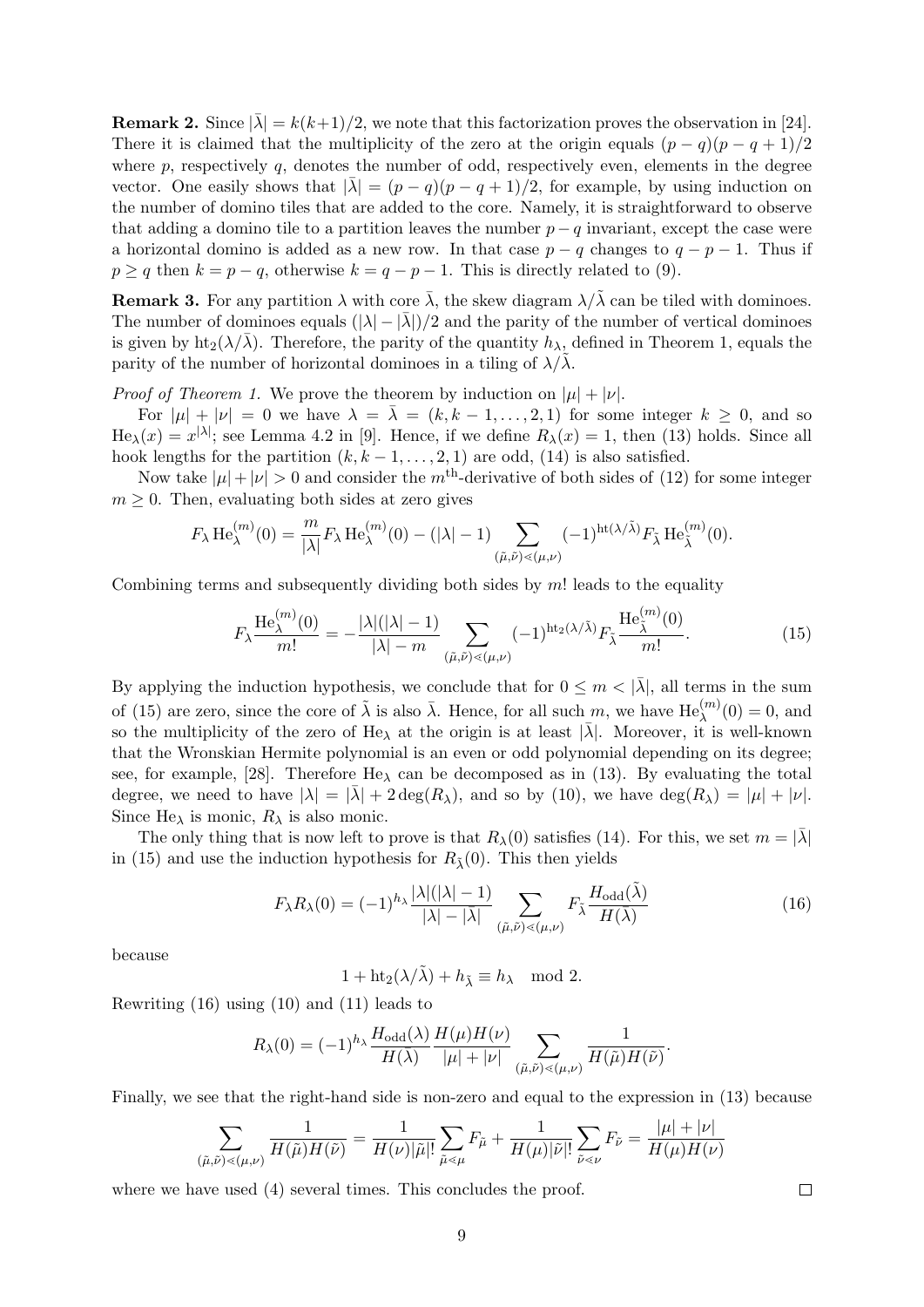**Remark 2.** Since  $|\bar{\lambda}| = k(k+1)/2$ , we note that this factorization proves the observation in [24]. There it is claimed that the multiplicity of the zero at the origin equals  $(p - q)(p - q + 1)/2$ where  $p$ , respectively  $q$ , denotes the number of odd, respectively even, elements in the degree vector. One easily shows that  $|\bar{\lambda}| = (p - q)(p - q + 1)/2$ , for example, by using induction on the number of domino tiles that are added to the core. Namely, it is straightforward to observe that adding a domino tile to a partition leaves the number  $p - q$  invariant, except the case were a horizontal domino is added as a new row. In that case  $p - q$  changes to  $q - p - 1$ . Thus if  $p \ge q$  then  $k = p - q$ , otherwise  $k = q - p - 1$ . This is directly related to (9).

**Remark 3.** For any partition  $\lambda$  with core  $\bar{\lambda}$ , the skew diagram  $\lambda/\tilde{\lambda}$  can be tiled with dominoes. The number of dominoes equals  $(|\lambda| - |\bar{\lambda}|)/2$  and the parity of the number of vertical dominoes is given by  $\text{ht}_2(\lambda/\overline{\lambda})$ . Therefore, the parity of the quantity  $h_\lambda$ , defined in Theorem 1, equals the parity of the number of horizontal dominoes in a tiling of  $\lambda/\lambda$ .

*Proof of Theorem 1.* We prove the theorem by induction on  $|\mu| + |\nu|$ .

For  $|\mu| + |\nu| = 0$  we have  $\lambda = \overline{\lambda} = (k, k - 1, \dots, 2, 1)$  for some integer  $k \geq 0$ , and so  $\text{He}_{\lambda}(x) = x^{|\lambda|}$ ; see Lemma 4.2 in [9]. Hence, if we define  $R_{\lambda}(x) = 1$ , then (13) holds. Since all hook lengths for the partition  $(k, k-1, \ldots, 2, 1)$  are odd,  $(14)$  is also satisfied.

Now take  $|\mu| + |\nu| > 0$  and consider the m<sup>th</sup>-derivative of both sides of (12) for some integer  $m \geq 0$ . Then, evaluating both sides at zero gives

$$
F_{\lambda} \operatorname{He}_{\lambda}^{(m)}(0) = \frac{m}{|\lambda|} F_{\lambda} \operatorname{He}_{\lambda}^{(m)}(0) - (|\lambda| - 1) \sum_{(\tilde{\mu}, \tilde{\nu}) \le (\mu, \nu)} (-1)^{\operatorname{ht}(\lambda/\tilde{\lambda})} F_{\tilde{\lambda}} \operatorname{He}_{\tilde{\lambda}}^{(m)}(0).
$$

Combining terms and subsequently dividing both sides by  $m!$  leads to the equality

$$
F_{\lambda} \frac{\text{He}_{\lambda}^{(m)}(0)}{m!} = -\frac{|\lambda|(|\lambda|-1)}{|\lambda|-m} \sum_{(\tilde{\mu}, \tilde{\nu}) \le (\mu, \nu)} (-1)^{\text{ht}_{2}(\lambda/\tilde{\lambda})} F_{\tilde{\lambda}} \frac{\text{He}_{\tilde{\lambda}}^{(m)}(0)}{m!}.
$$
 (15)

By applying the induction hypothesis, we conclude that for  $0 \leq m < |\bar{\lambda}|$ , all terms in the sum of (15) are zero, since the core of  $\tilde{\lambda}$  is also  $\bar{\lambda}$ . Hence, for all such m, we have  $\text{He}_{\lambda}^{(m)}(0) = 0$ , and so the multiplicity of the zero of He<sub> $\lambda$ </sub> at the origin is at least  $|\lambda|$ . Moreover, it is well-known that the Wronskian Hermite polynomial is an even or odd polynomial depending on its degree; see, for example, [28]. Therefore  $He_{\lambda}$  can be decomposed as in (13). By evaluating the total degree, we need to have  $|\lambda| = |\overline{\lambda}| + 2 \deg(R_\lambda)$ , and so by (10), we have  $\deg(R_\lambda) = |\mu| + |\nu|$ . Since He<sub> $\lambda$ </sub> is monic,  $R_{\lambda}$  is also monic.

The only thing that is now left to prove is that  $R_\lambda(0)$  satisfies (14). For this, we set  $m = |\bar{\lambda}|$ in (15) and use the induction hypothesis for  $R_1(0)$ . This then yields

$$
F_{\lambda}R_{\lambda}(0) = (-1)^{h_{\lambda}} \frac{|\lambda|(|\lambda|-1)}{|\lambda|-|\bar{\lambda}|} \sum_{(\tilde{\mu}, \tilde{\nu}) \le (\mu, \nu)} F_{\tilde{\lambda}} \frac{H_{\text{odd}}(\tilde{\lambda})}{H(\bar{\lambda})}
$$
(16)

because

 $1 + ht_2(\lambda/\tilde{\lambda}) + h_{\tilde{\lambda}} \equiv h_{\lambda} \mod 2.$ 

Rewriting (16) using (10) and (11) leads to

$$
R_{\lambda}(0) = (-1)^{h_{\lambda}} \frac{H_{\text{odd}}(\lambda)}{H(\bar{\lambda})} \frac{H(\mu)H(\nu)}{|\mu| + |\nu|} \sum_{(\tilde{\mu}, \tilde{\nu}) \leq (\mu, \nu)} \frac{1}{H(\tilde{\mu})H(\tilde{\nu})}.
$$

Finally, we see that the right-hand side is non-zero and equal to the expression in (13) because

$$
\sum_{(\tilde{\mu},\tilde{\nu})<(\mu,\nu)}\frac{1}{H(\tilde{\mu})H(\tilde{\nu})}=\frac{1}{H(\nu)|\tilde{\mu}|!}\sum_{\tilde{\mu}<\mu}F_{\tilde{\mu}}+\frac{1}{H(\mu)|\tilde{\nu}|!}\sum_{\tilde{\nu}<\nu}F_{\tilde{\nu}}=\frac{|\mu|+|\nu|}{H(\mu)H(\nu)}
$$

where we have used  $(4)$  several times. This concludes the proof.

 $\Box$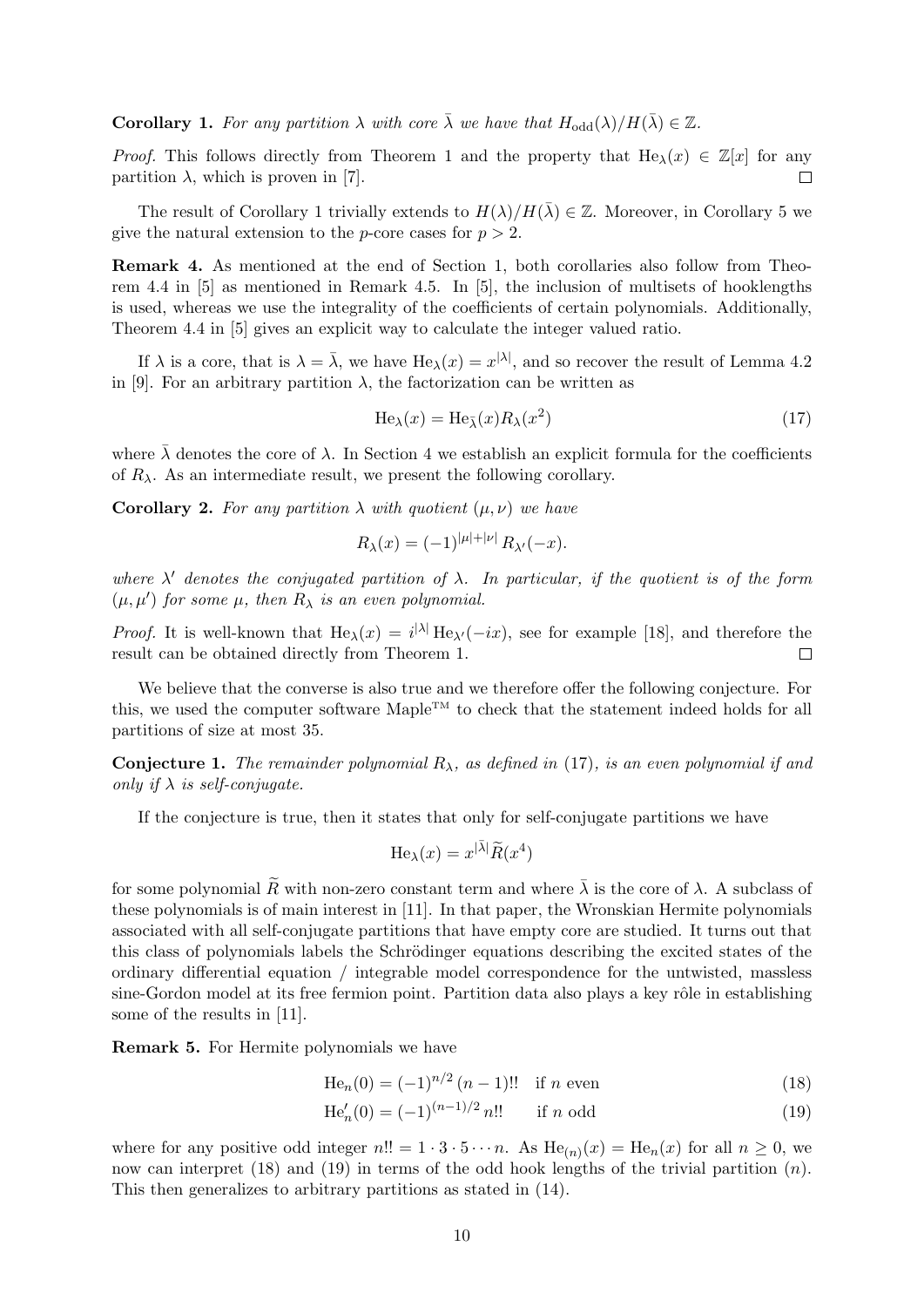**Corollary 1.** For any partition  $\lambda$  with core  $\bar{\lambda}$  we have that  $H_{odd}(\lambda)/H(\bar{\lambda}) \in \mathbb{Z}$ .

*Proof.* This follows directly from Theorem 1 and the property that  $\text{He}_{\lambda}(x) \in \mathbb{Z}[x]$  for any partition  $\lambda$ , which is proven in [7].  $\Box$ 

The result of Corollary 1 trivially extends to  $H(\lambda)/H(\bar{\lambda}) \in \mathbb{Z}$ . Moreover, in Corollary 5 we give the natural extension to the *p*-core cases for  $p > 2$ .

Remark 4. As mentioned at the end of Section 1, both corollaries also follow from Theorem 4.4 in [5] as mentioned in Remark 4.5. In [5], the inclusion of multisets of hooklengths is used, whereas we use the integrality of the coefficients of certain polynomials. Additionally, Theorem 4.4 in [5] gives an explicit way to calculate the integer valued ratio.

If  $\lambda$  is a core, that is  $\lambda = \overline{\lambda}$ , we have  $\text{He}_{\lambda}(x) = x^{|\lambda|}$ , and so recover the result of Lemma 4.2 in [9]. For an arbitrary partition  $\lambda$ , the factorization can be written as

$$
\text{He}_{\lambda}(x) = \text{He}_{\bar{\lambda}}(x) R_{\lambda}(x^2)
$$
\n(17)

where  $\bar{\lambda}$  denotes the core of  $\lambda$ . In Section 4 we establish an explicit formula for the coefficients of  $R_{\lambda}$ . As an intermediate result, we present the following corollary.

**Corollary 2.** For any partition  $\lambda$  with quotient  $(\mu, \nu)$  we have

$$
R_{\lambda}(x) = (-1)^{|\mu| + |\nu|} R_{\lambda'}(-x).
$$

where  $\lambda'$  denotes the conjugated partition of  $\lambda$ . In particular, if the quotient is of the form  $(\mu, \mu')$  for some  $\mu$ , then  $R_{\lambda}$  is an even polynomial.

*Proof.* It is well-known that  $\text{He}_{\lambda}(x) = i^{|\lambda|} \text{He}_{\lambda'}(-ix)$ , see for example [18], and therefore the result can be obtained directly from Theorem 1.  $\Box$ 

We believe that the converse is also true and we therefore offer the following conjecture. For this, we used the computer software Maple<sup>TM</sup> to check that the statement indeed holds for all partitions of size at most 35.

**Conjecture 1.** The remainder polynomial  $R_{\lambda}$ , as defined in (17), is an even polynomial if and only if  $\lambda$  is self-conjugate.

If the conjecture is true, then it states that only for self-conjugate partitions we have

$$
\text{He}_{\lambda}(x) = x^{|\bar{\lambda}|} \widetilde{R}(x^4)
$$

for some polynomial  $\widetilde{R}$  with non-zero constant term and where  $\overline{\lambda}$  is the core of  $\lambda$ . A subclass of these polynomials is of main interest in [11]. In that paper, the Wronskian Hermite polynomials associated with all self-conjugate partitions that have empty core are studied. It turns out that this class of polynomials labels the Schrödinger equations describing the excited states of the ordinary differential equation / integrable model correspondence for the untwisted, massless sine-Gordon model at its free fermion point. Partition data also plays a key rôle in establishing some of the results in [11].

Remark 5. For Hermite polynomials we have

$$
He_n(0) = (-1)^{n/2} (n-1)!! \text{ if } n \text{ even}
$$
 (18)

$$
\text{He}'_n(0) = (-1)^{(n-1)/2} n!! \qquad \text{if } n \text{ odd} \tag{19}
$$

where for any positive odd integer  $n!! = 1 \cdot 3 \cdot 5 \cdots n$ . As  $\text{He}_{(n)}(x) = \text{He}_{n}(x)$  for all  $n \geq 0$ , we now can interpret (18) and (19) in terms of the odd hook lengths of the trivial partition  $(n)$ . This then generalizes to arbitrary partitions as stated in (14).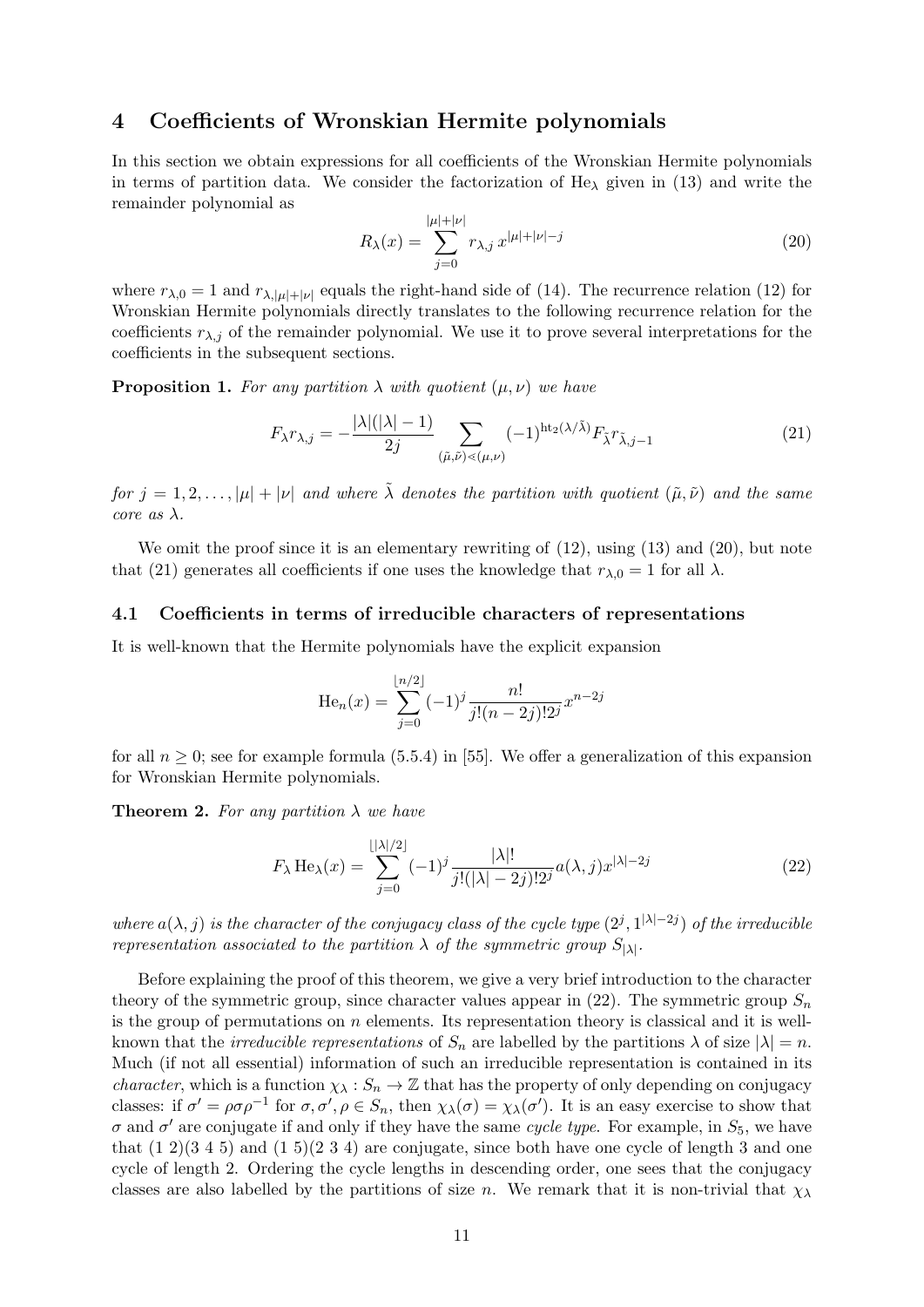# 4 Coefficients of Wronskian Hermite polynomials

In this section we obtain expressions for all coefficients of the Wronskian Hermite polynomials in terms of partition data. We consider the factorization of  $He<sub>\lambda</sub>$  given in (13) and write the remainder polynomial as

$$
R_{\lambda}(x) = \sum_{j=0}^{|\mu|+|\nu|} r_{\lambda,j} x^{|\mu|+|\nu|-j} \tag{20}
$$

where  $r_{\lambda,0} = 1$  and  $r_{\lambda,|\mu|+|\nu|}$  equals the right-hand side of (14). The recurrence relation (12) for Wronskian Hermite polynomials directly translates to the following recurrence relation for the coefficients  $r_{\lambda,i}$  of the remainder polynomial. We use it to prove several interpretations for the coefficients in the subsequent sections.

**Proposition 1.** For any partition  $\lambda$  with quotient  $(\mu, \nu)$  we have

$$
F_{\lambda}r_{\lambda,j} = -\frac{|\lambda|(|\lambda|-1)}{2j} \sum_{(\tilde{\mu},\tilde{\nu}) \leq (\mu,\nu)} (-1)^{\mathrm{ht}_2(\lambda/\tilde{\lambda})} F_{\tilde{\lambda}}r_{\tilde{\lambda},j-1}
$$
(21)

for  $j = 1, 2, \ldots, |\mu| + |\nu|$  and where  $\tilde{\lambda}$  denotes the partition with quotient  $(\tilde{\mu}, \tilde{\nu})$  and the same core as  $\lambda$ .

We omit the proof since it is an elementary rewriting of  $(12)$ , using  $(13)$  and  $(20)$ , but note that (21) generates all coefficients if one uses the knowledge that  $r_{\lambda,0} = 1$  for all  $\lambda$ .

#### 4.1 Coefficients in terms of irreducible characters of representations

It is well-known that the Hermite polynomials have the explicit expansion

$$
\text{He}_n(x) = \sum_{j=0}^{\lfloor n/2 \rfloor} (-1)^j \frac{n!}{j!(n-2j)!2^j} x^{n-2j}
$$

for all  $n \geq 0$ ; see for example formula (5.5.4) in [55]. We offer a generalization of this expansion for Wronskian Hermite polynomials.

**Theorem 2.** For any partition  $\lambda$  we have

$$
F_{\lambda} \operatorname{He}_{\lambda}(x) = \sum_{j=0}^{\lfloor |\lambda|/2 \rfloor} (-1)^{j} \frac{|\lambda|!}{j!(|\lambda|-2j)!2^{j}} a(\lambda, j) x^{|\lambda|-2j}
$$
(22)

where  $a(\lambda, j)$  is the character of the conjugacy class of the cycle type  $(2^j, 1^{|\lambda|-2j})$  of the irreducible representation associated to the partition  $\lambda$  of the symmetric group  $S_{|\lambda|}$ .

Before explaining the proof of this theorem, we give a very brief introduction to the character theory of the symmetric group, since character values appear in  $(22)$ . The symmetric group  $S_n$ is the group of permutations on  $n$  elements. Its representation theory is classical and it is wellknown that the *irreducible representations* of  $S_n$  are labelled by the partitions  $\lambda$  of size  $|\lambda| = n$ . Much (if not all essential) information of such an irreducible representation is contained in its *character*, which is a function  $\chi_{\lambda}: S_n \to \mathbb{Z}$  that has the property of only depending on conjugacy classes: if  $\sigma' = \rho \sigma \rho^{-1}$  for  $\sigma, \sigma', \rho \in S_n$ , then  $\chi_{\lambda}(\sigma) = \chi_{\lambda}(\sigma')$ . It is an easy exercise to show that  $\sigma$  and  $\sigma'$  are conjugate if and only if they have the same cycle type. For example, in  $S_5$ , we have that  $(1\ 2)(3\ 4\ 5)$  and  $(1\ 5)(2\ 3\ 4)$  are conjugate, since both have one cycle of length 3 and one cycle of length 2. Ordering the cycle lengths in descending order, one sees that the conjugacy classes are also labelled by the partitions of size n. We remark that it is non-trivial that  $\chi_{\lambda}$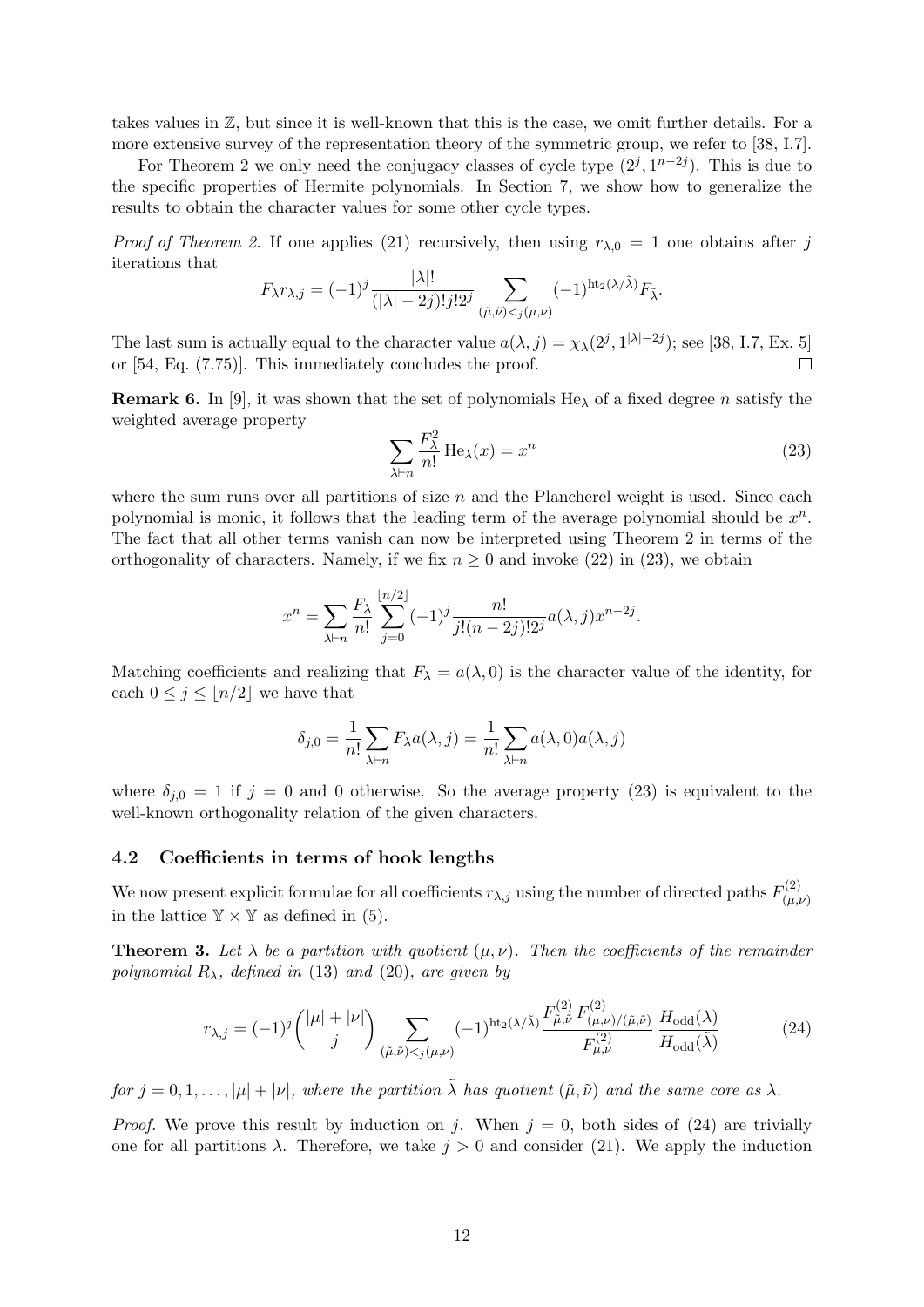takes values in Z, but since it is well-known that this is the case, we omit further details. For a more extensive survey of the representation theory of the symmetric group, we refer to [38, I.7].

For Theorem 2 we only need the conjugacy classes of cycle type  $(2^j, 1^{n-2j})$ . This is due to the specific properties of Hermite polynomials. In Section 7, we show how to generalize the results to obtain the character values for some other cycle types.

*Proof of Theorem 2.* If one applies (21) recursively, then using  $r_{\lambda,0} = 1$  one obtains after j iterations that

$$
F_{\lambda}r_{\lambda,j} = (-1)^{j} \frac{|\lambda|!}{(|\lambda|-2j)!j!2^{j}} \sum_{(\tilde{\mu}, \tilde{\nu}) < j(\mu, \nu)} (-1)^{\text{ht}_{2}(\lambda/\tilde{\lambda})} F_{\tilde{\lambda}}.
$$

The last sum is actually equal to the character value  $a(\lambda, j) = \chi_{\lambda}(2^{j}, 1^{|\lambda| - 2j})$ ; see [38, I.7, Ex. 5] or [54, Eq. (7.75)]. This immediately concludes the proof.  $\Box$ 

**Remark 6.** In [9], it was shown that the set of polynomials  $He_{\lambda}$  of a fixed degree n satisfy the weighted average property

$$
\sum_{\lambda \vdash n} \frac{F_{\lambda}^2}{n!} \operatorname{He}_{\lambda}(x) = x^n \tag{23}
$$

where the sum runs over all partitions of size  $n$  and the Plancherel weight is used. Since each polynomial is monic, it follows that the leading term of the average polynomial should be  $x^n$ . The fact that all other terms vanish can now be interpreted using Theorem 2 in terms of the orthogonality of characters. Namely, if we fix  $n \geq 0$  and invoke (22) in (23), we obtain

$$
x^{n} = \sum_{\lambda \vdash n} \frac{F_{\lambda}}{n!} \sum_{j=0}^{\lfloor n/2 \rfloor} (-1)^{j} \frac{n!}{j!(n-2j)!2^{j}} a(\lambda, j) x^{n-2j}.
$$

Matching coefficients and realizing that  $F_{\lambda} = a(\lambda, 0)$  is the character value of the identity, for each  $0 \leq j \leq |n/2|$  we have that

$$
\delta_{j,0} = \frac{1}{n!} \sum_{\lambda \vdash n} F_{\lambda} a(\lambda, j) = \frac{1}{n!} \sum_{\lambda \vdash n} a(\lambda, 0) a(\lambda, j)
$$

where  $\delta_{i,0} = 1$  if  $j = 0$  and 0 otherwise. So the average property (23) is equivalent to the well-known orthogonality relation of the given characters.

#### 4.2 Coefficients in terms of hook lengths

We now present explicit formulae for all coefficients  $r_{\lambda,j}$  using the number of directed paths  $F_{(\mu)}^{(2)}$  $(\mu,\nu)$ in the lattice  $\mathbb{Y} \times \mathbb{Y}$  as defined in (5).

**Theorem 3.** Let  $\lambda$  be a partition with quotient  $(\mu, \nu)$ . Then the coefficients of the remainder polynomial  $R_{\lambda}$ , defined in (13) and (20), are given by

$$
r_{\lambda,j} = (-1)^j \binom{|\mu| + |\nu|}{j} \sum_{(\tilde{\mu}, \tilde{\nu}) < j(\mu, \nu)} (-1)^{\text{ht}_2(\lambda/\tilde{\lambda})} \frac{F_{\tilde{\mu}, \tilde{\nu}}^{(2)} F_{(\mu, \nu)/(\tilde{\mu}, \tilde{\nu})}^{(2)}}{F_{\mu, \nu}^{(2)}} \frac{H_{\text{odd}}(\lambda)}{H_{\text{odd}}(\tilde{\lambda})} \tag{24}
$$

for  $j = 0, 1, \ldots, |\mu| + |\nu|$ , where the partition  $\tilde{\lambda}$  has quotient  $(\tilde{\mu}, \tilde{\nu})$  and the same core as  $\lambda$ .

*Proof.* We prove this result by induction on j. When  $j = 0$ , both sides of (24) are trivially one for all partitions  $\lambda$ . Therefore, we take  $j > 0$  and consider (21). We apply the induction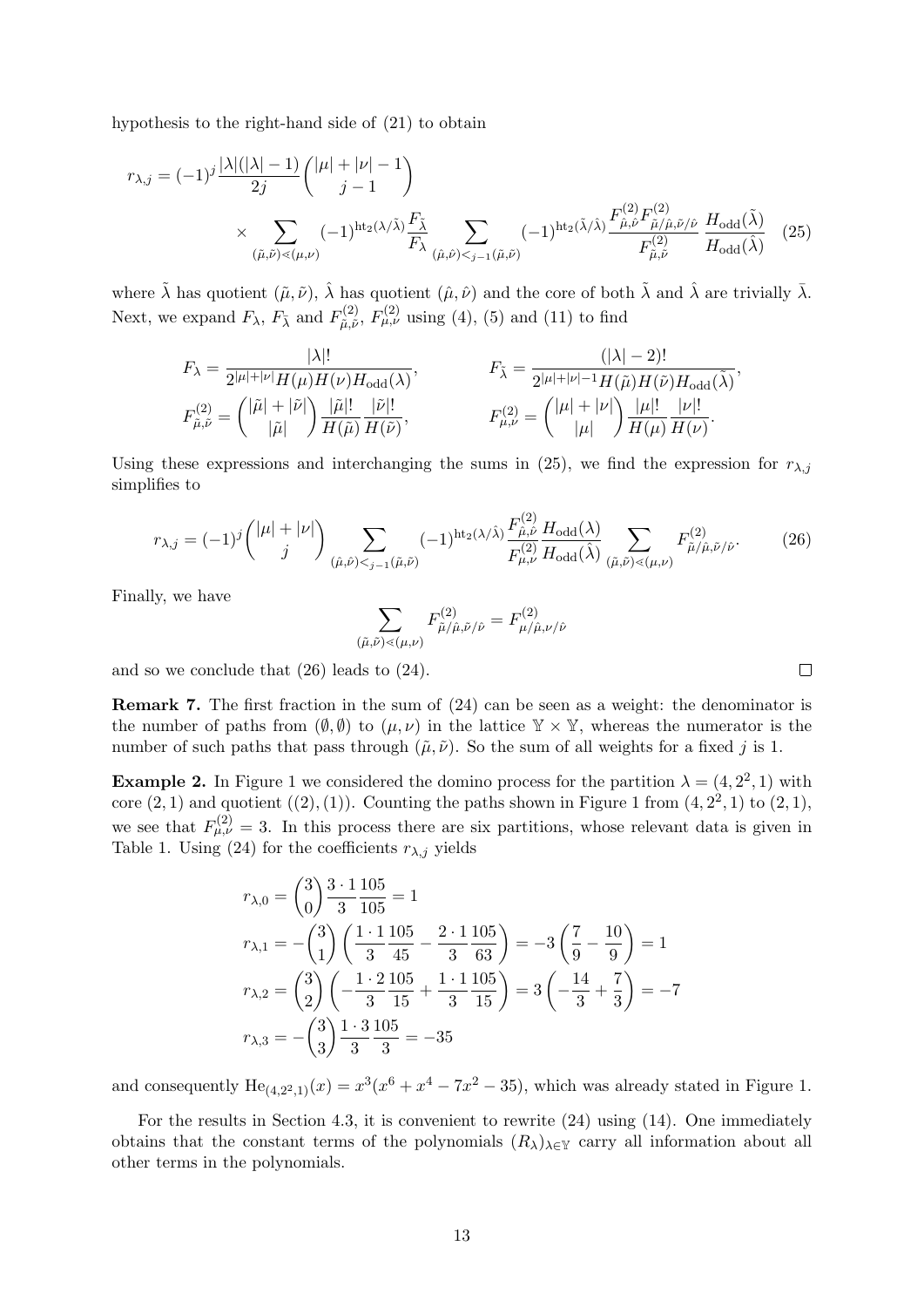hypothesis to the right-hand side of (21) to obtain

$$
r_{\lambda,j} = (-1)^j \frac{|\lambda|(|\lambda|-1)}{2j} {|\mu|+|\nu|-1} \times \sum_{(\tilde{\mu}, \tilde{\nu}) \le (\mu, \nu)} (-1)^{\text{ht}_2(\lambda/\tilde{\lambda})} \frac{F_{\tilde{\lambda}}}{F_{\lambda}} \sum_{(\hat{\mu}, \hat{\nu}) \le j-1} (-1)^{\text{ht}_2(\tilde{\lambda}/\tilde{\lambda})} \frac{F_{\hat{\mu}, \hat{\nu}}^{(2)} F_{\tilde{\mu}, \hat{\mu}}^{(2)} F_{\tilde{\mu}, \tilde{\nu}}^{(2)}}{F_{\tilde{\mu}, \tilde{\nu}}^{(2)}} \frac{H_{\text{odd}}(\tilde{\lambda})}{H_{\text{odd}}(\tilde{\lambda})} (25)
$$

where  $\tilde{\lambda}$  has quotient  $(\tilde{\mu}, \tilde{\nu})$ ,  $\hat{\lambda}$  has quotient  $(\hat{\mu}, \hat{\nu})$  and the core of both  $\tilde{\lambda}$  and  $\hat{\lambda}$  are trivially  $\bar{\lambda}$ . Next, we expand  $F_{\lambda}$ ,  $F_{\bar{\lambda}}$  and  $F_{\tilde{\mu}, \tilde{\nu}}^{(2)}$  $U_{\tilde{\mu}, \tilde{\nu}}^{(2)}$ ,  $F_{\mu, \nu}^{(2)}$  using (4), (5) and (11) to find

$$
F_{\lambda} = \frac{|\lambda|!}{2^{|\mu|+|\nu|}H(\mu)H(\nu)H_{\text{odd}}(\lambda)},
$$
  
\n
$$
F_{\tilde{\lambda}} = \frac{(|\lambda|-2)!}{2^{|\mu|+|\nu|-1}H(\tilde{\mu})H(\tilde{\nu})H_{\text{odd}}(\tilde{\lambda})},
$$
  
\n
$$
F_{\tilde{\mu},\tilde{\nu}}^{(2)} = \binom{|\tilde{\mu}|+|\tilde{\nu}|}{|\tilde{\mu}|} \frac{|\tilde{\mu}|!}{H(\tilde{\mu})}\frac{|\tilde{\nu}|!}{H(\tilde{\nu})},
$$
  
\n
$$
F_{\mu,\nu}^{(2)} = \binom{|\mu|+|\nu|}{|\mu|} \frac{|\mu|!}{H(\mu)}\frac{|\nu|!}{H(\nu)}.
$$
  
\n(2)

Using these expressions and interchanging the sums in (25), we find the expression for  $r_{\lambda,j}$ simplifies to

$$
r_{\lambda,j} = (-1)^j \binom{|\mu|+|\nu|}{j} \sum_{(\hat{\mu},\hat{\nu}) < j-1} (-1)^{\text{ht}_2(\lambda/\hat{\lambda})} \frac{F_{\hat{\mu},\hat{\nu}}^{(2)}}{F_{\mu,\nu}^{(2)}} \frac{H_{\text{odd}}(\lambda)}{H_{\text{odd}}(\hat{\lambda})} \sum_{(\tilde{\mu},\tilde{\nu}) < (\mu,\nu)} F_{\tilde{\mu}/\hat{\mu},\tilde{\nu}/\hat{\nu}}^{(2)}.
$$
 (26)

Finally, we have

$$
\sum_{(\tilde{\mu}, \tilde{\nu}) \lessdot (\mu, \nu)} F^{(2)}_{\tilde{\mu}/\hat{\mu}, \tilde{\nu}/\hat{\nu}} = F^{(2)}_{\mu/\hat{\mu}, \nu/\hat{\nu}}
$$

and so we conclude that (26) leads to (24).

Remark 7. The first fraction in the sum of (24) can be seen as a weight: the denominator is the number of paths from  $(\emptyset, \emptyset)$  to  $(\mu, \nu)$  in the lattice  $\mathbb{Y} \times \mathbb{Y}$ , whereas the numerator is the number of such paths that pass through  $(\tilde{\mu}, \tilde{\nu})$ . So the sum of all weights for a fixed j is 1.

**Example 2.** In Figure 1 we considered the domino process for the partition  $\lambda = (4, 2^2, 1)$  with core  $(2, 1)$  and quotient  $((2), (1))$ . Counting the paths shown in Figure 1 from  $(4, 2^2, 1)$  to  $(2, 1)$ , we see that  $F_{\mu,\nu}^{(2)} = 3$ . In this process there are six partitions, whose relevant data is given in Table 1. Using (24) for the coefficients  $r_{\lambda,j}$  yields

$$
r_{\lambda,0} = \binom{3}{0} \frac{3 \cdot 1}{3} \frac{105}{105} = 1
$$
  
\n
$$
r_{\lambda,1} = -\binom{3}{1} \left( \frac{1 \cdot 1}{3} \frac{105}{45} - \frac{2 \cdot 1}{3} \frac{105}{63} \right) = -3 \left( \frac{7}{9} - \frac{10}{9} \right) = 1
$$
  
\n
$$
r_{\lambda,2} = \binom{3}{2} \left( -\frac{1 \cdot 2}{3} \frac{105}{15} + \frac{1 \cdot 1}{3} \frac{105}{15} \right) = 3 \left( -\frac{14}{3} + \frac{7}{3} \right) = -7
$$
  
\n
$$
r_{\lambda,3} = -\binom{3}{3} \frac{1 \cdot 3}{3} \frac{105}{3} = -35
$$

and consequently  $\text{He}_{(4,2^2,1)}(x) = x^3(x^6 + x^4 - 7x^2 - 35)$ , which was already stated in Figure 1.

For the results in Section 4.3, it is convenient to rewrite (24) using (14). One immediately obtains that the constant terms of the polynomials  $(R_\lambda)_{\lambda \in \mathbb{Y}}$  carry all information about all other terms in the polynomials.

 $\Box$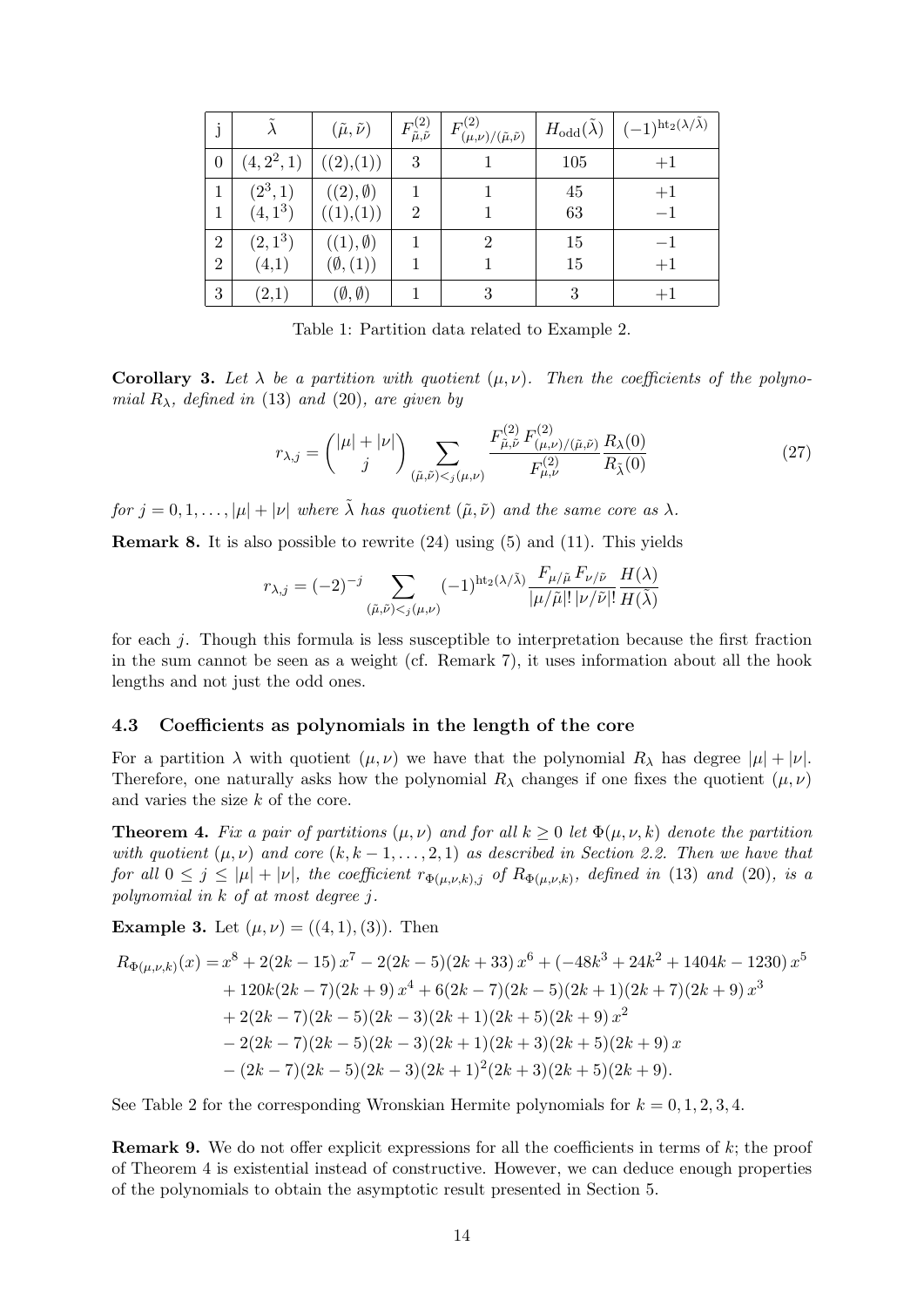| j                 |                         | $(\tilde{\mu}, \tilde{\nu})$    | $F^{(2)}_{\tilde\mu,\tilde\nu}$ | $F^{(2)}_{0}$<br>$(\mu,\!\nu)/(\tilde{\mu},\!\tilde{\nu})$ | $H_{\text{odd}}(\tilde{\lambda})$ | $(-1)^{\text{ht}_2(\lambda/\tilde\lambda)}$ |
|-------------------|-------------------------|---------------------------------|---------------------------------|------------------------------------------------------------|-----------------------------------|---------------------------------------------|
| $\overline{0}$    | $(4, 2^2, 1)$           | ((2),(1))                       | 3                               |                                                            | 105                               | $+1$                                        |
| 1<br>$\mathbf{1}$ | $(2^3, 1)$<br>$(4,1^3)$ | $((2), \emptyset)$<br>((1),(1)) | 1<br>$\overline{2}$             |                                                            | 45<br>63                          | $+1$<br>$-1$                                |
| $\overline{2}$    | $(2,1^3)$               | $((1), \emptyset)$              |                                 | 2                                                          | 15                                |                                             |
| $\overline{2}$    | (4,1)                   | $(\emptyset, (1))$              |                                 |                                                            | 15                                | $+1$                                        |
| 3                 | (2,1)                   | $(\emptyset, \emptyset)$        |                                 | 3                                                          | 3                                 | $+1$                                        |

Table 1: Partition data related to Example 2.

**Corollary 3.** Let  $\lambda$  be a partition with quotient  $(\mu, \nu)$ . Then the coefficients of the polynomial  $R_{\lambda}$ , defined in (13) and (20), are given by

$$
r_{\lambda,j} = \binom{|\mu| + |\nu|}{j} \sum_{(\tilde{\mu}, \tilde{\nu}) < j(\mu, \nu)} \frac{F_{\tilde{\mu}, \tilde{\nu}}^{(2)} F_{(\mu, \nu)/(\tilde{\mu}, \tilde{\nu})}^{(2)} R_{\lambda}(0)}{F_{\mu, \nu}^{(2)}} \frac{R_{\lambda}(0)}{R_{\tilde{\lambda}}(0)} \tag{27}
$$

for  $j = 0, 1, \ldots, |\mu| + |\nu|$  where  $\tilde{\lambda}$  has quotient  $(\tilde{\mu}, \tilde{\nu})$  and the same core as  $\lambda$ .

**Remark 8.** It is also possible to rewrite  $(24)$  using  $(5)$  and  $(11)$ . This yields

$$
r_{\lambda,j} = (-2)^{-j} \sum_{(\tilde{\mu}, \tilde{\nu}) < j(\mu, \nu)} (-1)^{\text{ht}_2(\lambda/\tilde{\lambda})} \frac{F_{\mu/\tilde{\mu}} F_{\nu/\tilde{\nu}}}{|\mu/\tilde{\mu}|! |\nu/\tilde{\nu}|!} \frac{H(\lambda)}{H(\tilde{\lambda})}
$$

for each j. Though this formula is less susceptible to interpretation because the first fraction in the sum cannot be seen as a weight (cf. Remark 7), it uses information about all the hook lengths and not just the odd ones.

#### 4.3 Coefficients as polynomials in the length of the core

For a partition  $\lambda$  with quotient  $(\mu, \nu)$  we have that the polynomial  $R_{\lambda}$  has degree  $|\mu| + |\nu|$ . Therefore, one naturally asks how the polynomial  $R_{\lambda}$  changes if one fixes the quotient  $(\mu, \nu)$ and varies the size k of the core.

**Theorem 4.** Fix a pair of partitions  $(\mu, \nu)$  and for all  $k \geq 0$  let  $\Phi(\mu, \nu, k)$  denote the partition with quotient  $(\mu, \nu)$  and core  $(k, k-1, \ldots, 2, 1)$  as described in Section 2.2. Then we have that for all  $0 \leq j \leq |\mu| + |\nu|$ , the coefficient  $r_{\Phi(\mu,\nu,k),j}$  of  $R_{\Phi(\mu,\nu,k)}$ , defined in (13) and (20), is a polynomial in k of at most degree j.

**Example 3.** Let  $(\mu, \nu) = ((4, 1), (3))$ . Then

$$
R_{\Phi(\mu,\nu,k)}(x) = x^8 + 2(2k - 15) x^7 - 2(2k - 5)(2k + 33) x^6 + (-48k^3 + 24k^2 + 1404k - 1230) x^5
$$
  
+ 120k(2k - 7)(2k + 9) x<sup>4</sup> + 6(2k - 7)(2k - 5)(2k + 1)(2k + 7)(2k + 9) x<sup>3</sup>  
+ 2(2k - 7)(2k - 5)(2k - 3)(2k + 1)(2k + 5)(2k + 9) x<sup>2</sup>  
- 2(2k - 7)(2k - 5)(2k - 3)(2k + 1)(2k + 3)(2k + 5)(2k + 9) x  
-(2k - 7)(2k - 5)(2k - 3)(2k + 1)<sup>2</sup>(2k + 3)(2k + 5)(2k + 9).

See Table 2 for the corresponding Wronskian Hermite polynomials for  $k = 0, 1, 2, 3, 4$ .

**Remark 9.** We do not offer explicit expressions for all the coefficients in terms of  $k$ ; the proof of Theorem 4 is existential instead of constructive. However, we can deduce enough properties of the polynomials to obtain the asymptotic result presented in Section 5.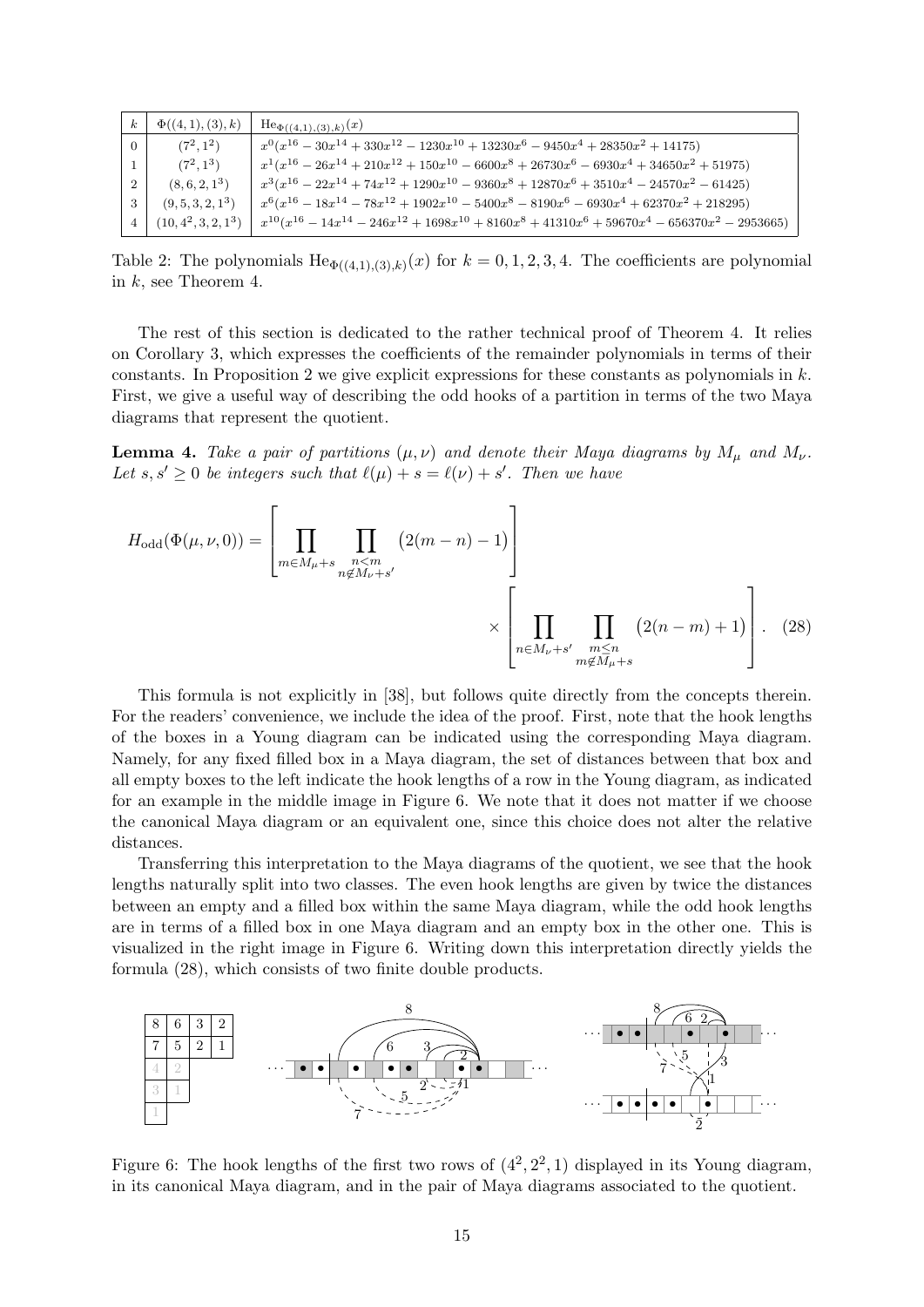| $\boldsymbol{k}$ | $\Phi((4,1),(3),k)$    | $\text{He}_{\Phi((4,1),(3),k)}(x)$                                                                           |
|------------------|------------------------|--------------------------------------------------------------------------------------------------------------|
| $\Omega$         | $(7^2, 1^2)$           | $x^{0}(x^{16} - 30x^{14} + 330x^{12} - 1230x^{10} + 13230x^{6} - 9450x^{4} + 28350x^{2} + 14175)$            |
|                  | $(7^2, 1^3)$           | $x^{1}(x^{16} - 26x^{14} + 210x^{12} + 150x^{10} - 6600x^{8} + 26730x^{6} - 6930x^{4} + 34650x^{2} + 51975)$ |
| 2                | $(8, 6, 2, 1^3)$       | $x^3(x^{16} - 22x^{14} + 74x^{12} + 1290x^{10} - 9360x^8 + 12870x^6 + 3510x^4 - 24570x^2 - 61425)$           |
| -3               | $(9, 5, 3, 2, 1^3)$    | $x^{6}(x^{16}-18x^{14}-78x^{12}+1902x^{10}-5400x^{8}-8190x^{6}-6930x^{4}+62370x^{2}+218295)$                 |
| 4                | $(10, 4^2, 3, 2, 1^3)$ | $x^{10}(x^{16}-14x^{14}-246x^{12}+1698x^{10}+8160x^8+41310x^6+59670x^4-656370x^2-2953665)$                   |

Table 2: The polynomials  $\text{He}_{\Phi((4,1),(3),k)}(x)$  for  $k = 0, 1, 2, 3, 4$ . The coefficients are polynomial in k, see Theorem 4.

The rest of this section is dedicated to the rather technical proof of Theorem 4. It relies on Corollary 3, which expresses the coefficients of the remainder polynomials in terms of their constants. In Proposition 2 we give explicit expressions for these constants as polynomials in  $k$ . First, we give a useful way of describing the odd hooks of a partition in terms of the two Maya diagrams that represent the quotient.

**Lemma 4.** Take a pair of partitions  $(\mu, \nu)$  and denote their Maya diagrams by  $M_{\mu}$  and  $M_{\nu}$ . Let  $s, s' \geq 0$  be integers such that  $\ell(\mu) + s = \ell(\nu) + s'$ . Then we have

$$
H_{\text{odd}}(\Phi(\mu, \nu, 0)) = \left[ \prod_{m \in M_{\mu} + s} \prod_{\substack{n < m \\ n \notin M_{\nu} + s'}} \left( 2(m - n) - 1 \right) \right] \times \left[ \prod_{\substack{n \in M_{\nu} + s' \\ m \notin M_{\mu} + s}} \prod_{\substack{m \le n \\ m \notin M_{\mu} + s'}} \left( 2(n - m) + 1 \right) \right]. \tag{28}
$$

This formula is not explicitly in [38], but follows quite directly from the concepts therein. For the readers' convenience, we include the idea of the proof. First, note that the hook lengths of the boxes in a Young diagram can be indicated using the corresponding Maya diagram. Namely, for any fixed filled box in a Maya diagram, the set of distances between that box and all empty boxes to the left indicate the hook lengths of a row in the Young diagram, as indicated for an example in the middle image in Figure 6. We note that it does not matter if we choose the canonical Maya diagram or an equivalent one, since this choice does not alter the relative distances.

Transferring this interpretation to the Maya diagrams of the quotient, we see that the hook lengths naturally split into two classes. The even hook lengths are given by twice the distances between an empty and a filled box within the same Maya diagram, while the odd hook lengths are in terms of a filled box in one Maya diagram and an empty box in the other one. This is visualized in the right image in Figure 6. Writing down this interpretation directly yields the formula (28), which consists of two finite double products.



Figure 6: The hook lengths of the first two rows of  $(4^2, 2^2, 1)$  displayed in its Young diagram, in its canonical Maya diagram, and in the pair of Maya diagrams associated to the quotient.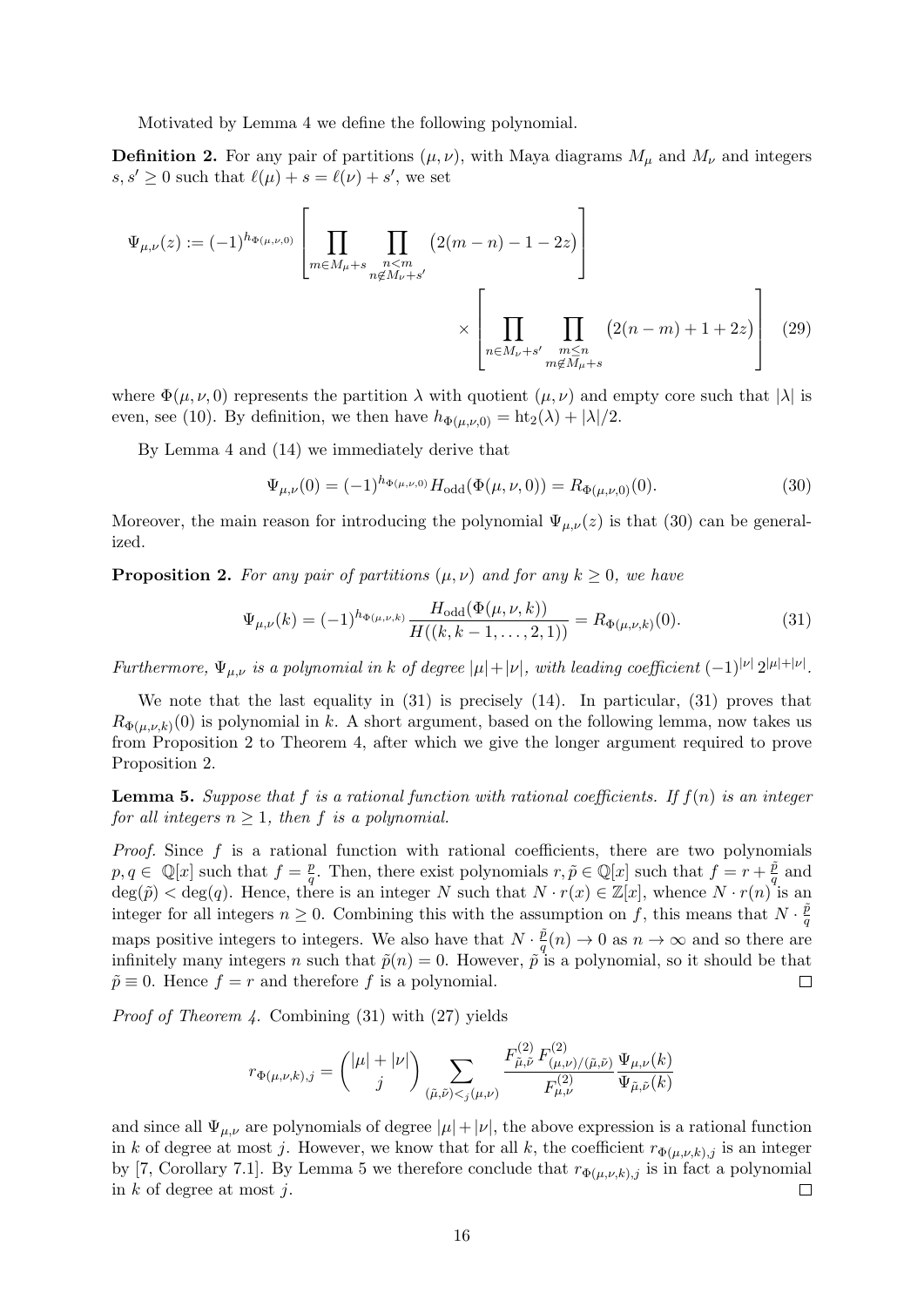Motivated by Lemma 4 we define the following polynomial.

**Definition 2.** For any pair of partitions  $(\mu, \nu)$ , with Maya diagrams  $M_{\mu}$  and  $M_{\nu}$  and integers  $s, s' \geq 0$  such that  $\ell(\mu) + s = \ell(\nu) + s'$ , we set

$$
\Psi_{\mu,\nu}(z) := (-1)^{h_{\Phi(\mu,\nu,0)}} \left[ \prod_{m \in M_{\mu} + s} \prod_{\substack{n \leq m \\ n \notin M_{\nu} + s'}} \left( 2(m-n) - 1 - 2z \right) \right]
$$
  
\$\times \left[ \prod\_{n \in M\_{\nu} + s'} \prod\_{\substack{m \leq n \\ m \notin M\_{\mu} + s}} \left( 2(n-m) + 1 + 2z \right) \right] (29)

where  $\Phi(\mu, \nu, 0)$  represents the partition  $\lambda$  with quotient  $(\mu, \nu)$  and empty core such that  $|\lambda|$  is even, see (10). By definition, we then have  $h_{\Phi(\mu,\nu,0)} = \text{ht}_{2}(\lambda) + |\lambda|/2$ .

By Lemma 4 and (14) we immediately derive that

$$
\Psi_{\mu,\nu}(0) = (-1)^{h_{\Phi(\mu,\nu,0)}} H_{\text{odd}}(\Phi(\mu,\nu,0)) = R_{\Phi(\mu,\nu,0)}(0). \tag{30}
$$

Moreover, the main reason for introducing the polynomial  $\Psi_{\mu,\nu}(z)$  is that (30) can be generalized.

**Proposition 2.** For any pair of partitions  $(\mu, \nu)$  and for any  $k \geq 0$ , we have

$$
\Psi_{\mu,\nu}(k) = (-1)^{h_{\Phi(\mu,\nu,k)}} \frac{H_{\text{odd}}(\Phi(\mu,\nu,k))}{H((k,k-1,\ldots,2,1))} = R_{\Phi(\mu,\nu,k)}(0). \tag{31}
$$

Furthermore,  $\Psi_{\mu,\nu}$  is a polynomial in k of degree  $|\mu| + |\nu|$ , with leading coefficient  $(-1)^{|\nu|} 2^{|\mu| + |\nu|}$ .

We note that the last equality in  $(31)$  is precisely  $(14)$ . In particular,  $(31)$  proves that  $R_{\Phi(\mu,\nu,k)}(0)$  is polynomial in k. A short argument, based on the following lemma, now takes us from Proposition 2 to Theorem 4, after which we give the longer argument required to prove Proposition 2.

**Lemma 5.** Suppose that f is a rational function with rational coefficients. If  $f(n)$  is an integer for all integers  $n \geq 1$ , then f is a polynomial.

*Proof.* Since  $f$  is a rational function with rational coefficients, there are two polynomials  $p, q \in \mathbb{Q}[x]$  such that  $f = \frac{p}{q}$  $\frac{p}{q}$ . Then, there exist polynomials  $r, \tilde{p} \in \mathbb{Q}[x]$  such that  $f = r + \frac{\tilde{p}}{q}$  $\frac{p}{q}$  and  $\deg(\tilde{p}) < \deg(q)$ . Hence, there is an integer N such that  $N \cdot r(x) \in \mathbb{Z}[x]$ , whence  $N \cdot r(n)$  is an integer for all integers  $n \geq 0$ . Combining this with the assumption on f, this means that  $N \cdot \frac{\tilde{p}}{q}$ q maps positive integers to integers. We also have that  $N \cdot \frac{\tilde{p}}{q}$  $\frac{p}{q}(n) \to 0$  as  $n \to \infty$  and so there are infinitely many integers n such that  $\tilde{p}(n) = 0$ . However,  $\tilde{p}$  is a polynomial, so it should be that  $\tilde{p} \equiv 0$ . Hence  $f = r$  and therefore f is a polynomial.  $\Box$ 

Proof of Theorem 4. Combining (31) with (27) yields

$$
r_{\Phi(\mu,\nu,k),j} = \binom{|\mu|+|\nu|}{j} \sum_{(\tilde{\mu},\tilde{\nu}) <_{j}(\mu,\nu)} \frac{F^{(2)}_{\tilde{\mu},\tilde{\nu}}\,F^{(2)}_{(\mu,\nu)/(\tilde{\mu},\tilde{\nu})}\,\Psi_{\mu,\nu}(k)}{F^{(2)}_{\mu,\nu}} \Psi_{\tilde{\mu},\tilde{\nu}}(k)}
$$

and since all  $\Psi_{\mu,\nu}$  are polynomials of degree  $|\mu|+|\nu|$ , the above expression is a rational function in k of degree at most j. However, we know that for all k, the coefficient  $r_{\Phi(\mu,\nu,k),j}$  is an integer by [7, Corollary 7.1]. By Lemma 5 we therefore conclude that  $r_{\Phi(\mu,\nu,k),j}$  is in fact a polynomial in  $k$  of degree at most  $j$ .  $\Box$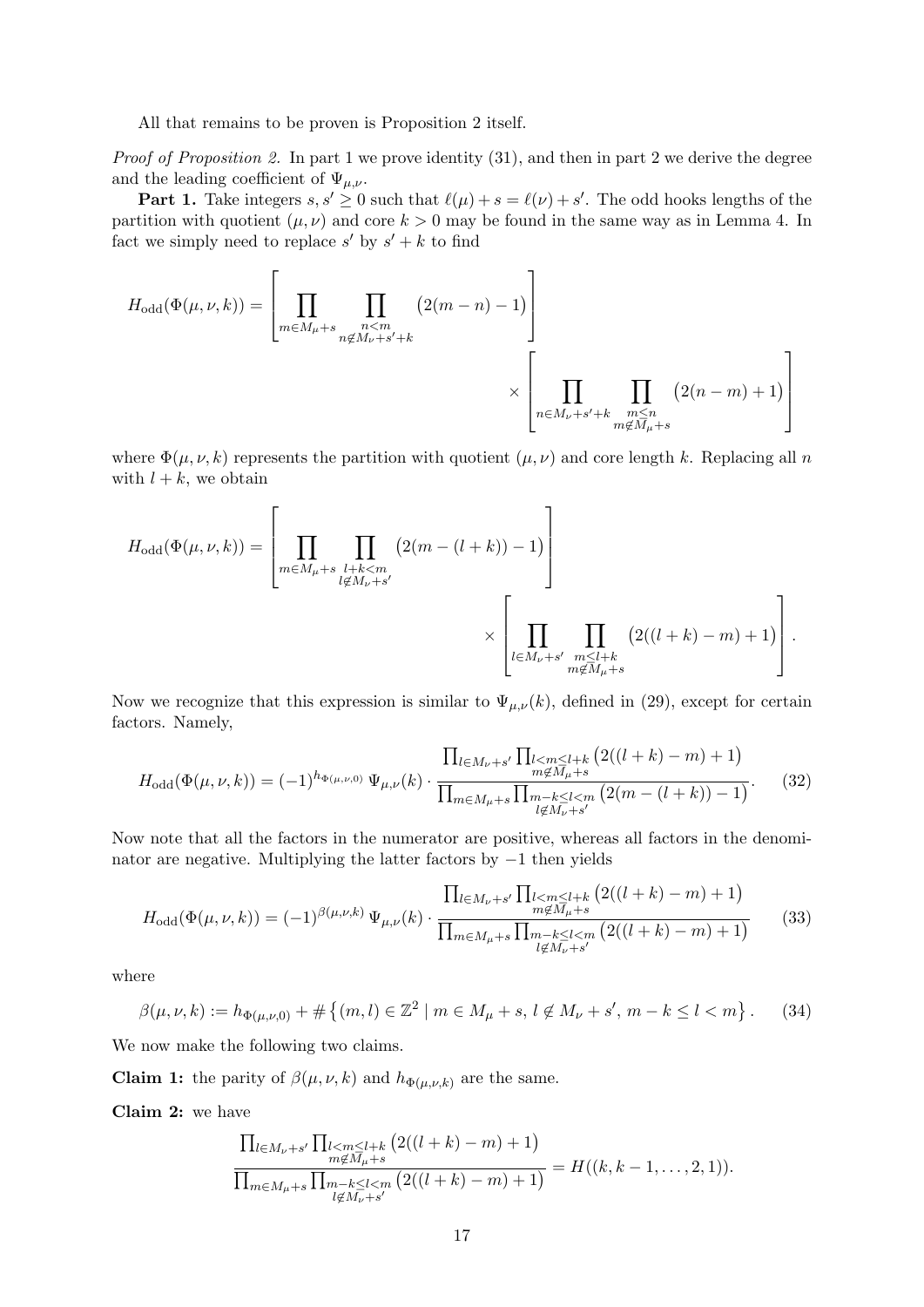All that remains to be proven is Proposition 2 itself.

Proof of Proposition 2. In part 1 we prove identity (31), and then in part 2 we derive the degree and the leading coefficient of  $\Psi_{\mu,\nu}$ .

**Part 1.** Take integers  $s, s' \geq 0$  such that  $\ell(\mu) + s = \ell(\nu) + s'$ . The odd hooks lengths of the partition with quotient  $(\mu, \nu)$  and core  $k > 0$  may be found in the same way as in Lemma 4. In fact we simply need to replace  $s'$  by  $s' + k$  to find

$$
H_{\text{odd}}(\Phi(\mu,\nu,k)) = \left[ \prod_{m \in M_{\mu} + s} \prod_{\substack{n < m \\ n \notin M_{\nu} + s' + k}} (2(m-n) - 1) \right]
$$
  
 
$$
\times \left[ \prod_{n \in M_{\nu} + s' + k} \prod_{\substack{m \le n \\ m \notin M_{\mu} + s}} (2(n-m) + 1) \right]
$$

where  $\Phi(\mu, \nu, k)$  represents the partition with quotient  $(\mu, \nu)$  and core length k. Replacing all n with  $l + k$ , we obtain

$$
H_{\text{odd}}(\Phi(\mu,\nu,k)) = \left[\prod_{\substack{m \in M_{\mu}+s \\ l \notin M_{\nu}+s'}} \prod_{\substack{l+k < m \\ l \notin M_{\nu}+s'}} \left(2(m-(l+k))-1\right)\right]
$$

$$
\times \left[\prod_{\substack{l \in M_{\nu}+s' \\ m \notin M_{\mu}+s}} \prod_{\substack{m \leq l+k \\ m \notin M_{\mu}+s}} \left(2((l+k)-m)+1\right)\right].
$$

Now we recognize that this expression is similar to  $\Psi_{\mu,\nu}(k)$ , defined in (29), except for certain factors. Namely,

$$
H_{\text{odd}}(\Phi(\mu,\nu,k)) = (-1)^{h_{\Phi(\mu,\nu,0)}} \Psi_{\mu,\nu}(k) \cdot \frac{\prod_{l \in M_{\nu}+s'} \prod_{\substack{l < m \le l+k \\ m \notin M_{\mu}+s}} \left( 2((l+k)-m)+1 \right)}{\prod_{m \in M_{\mu}+s} \prod_{\substack{m-k \le l < m \\ l \notin M_{\nu}+s'}} \left( 2(m-(l+k))-1 \right)}.
$$
\n(32)

Now note that all the factors in the numerator are positive, whereas all factors in the denominator are negative. Multiplying the latter factors by −1 then yields

$$
H_{\text{odd}}(\Phi(\mu,\nu,k)) = (-1)^{\beta(\mu,\nu,k)} \Psi_{\mu,\nu}(k) \cdot \frac{\prod_{l \in M_{\nu}+s'} \prod_{\substack{l < m \le l+k \\ m \notin M_{\mu}+s}} \left( 2((l+k)-m)+1 \right)}{\prod_{m \in M_{\mu}+s} \prod_{\substack{m-k \le l < m \\ l \notin M_{\nu}+s'}} \left( 2((l+k)-m)+1 \right)} \tag{33}
$$

where

$$
\beta(\mu, \nu, k) := h_{\Phi(\mu, \nu, 0)} + \# \left\{ (m, l) \in \mathbb{Z}^2 \mid m \in M_{\mu} + s, l \notin M_{\nu} + s', m - k \le l < m \right\}. \tag{34}
$$

We now make the following two claims.

**Claim 1:** the parity of  $\beta(\mu, \nu, k)$  and  $h_{\Phi(\mu, \nu, k)}$  are the same.

Claim 2: we have

$$
\frac{\prod_{l \in M_{\nu}+s'} \prod_{\substack{l < m \le l+k \\ m \notin M_{\nu}+s}} (2((l+k)-m)+1)}{\prod_{\substack{m \in M_{\mu}+s \\ l \notin M_{\nu}+s'}} \prod_{\substack{s' < m \\ m \neq s'}} (2((l+k)-m)+1)} = H((k, k-1, \ldots, 2, 1)).
$$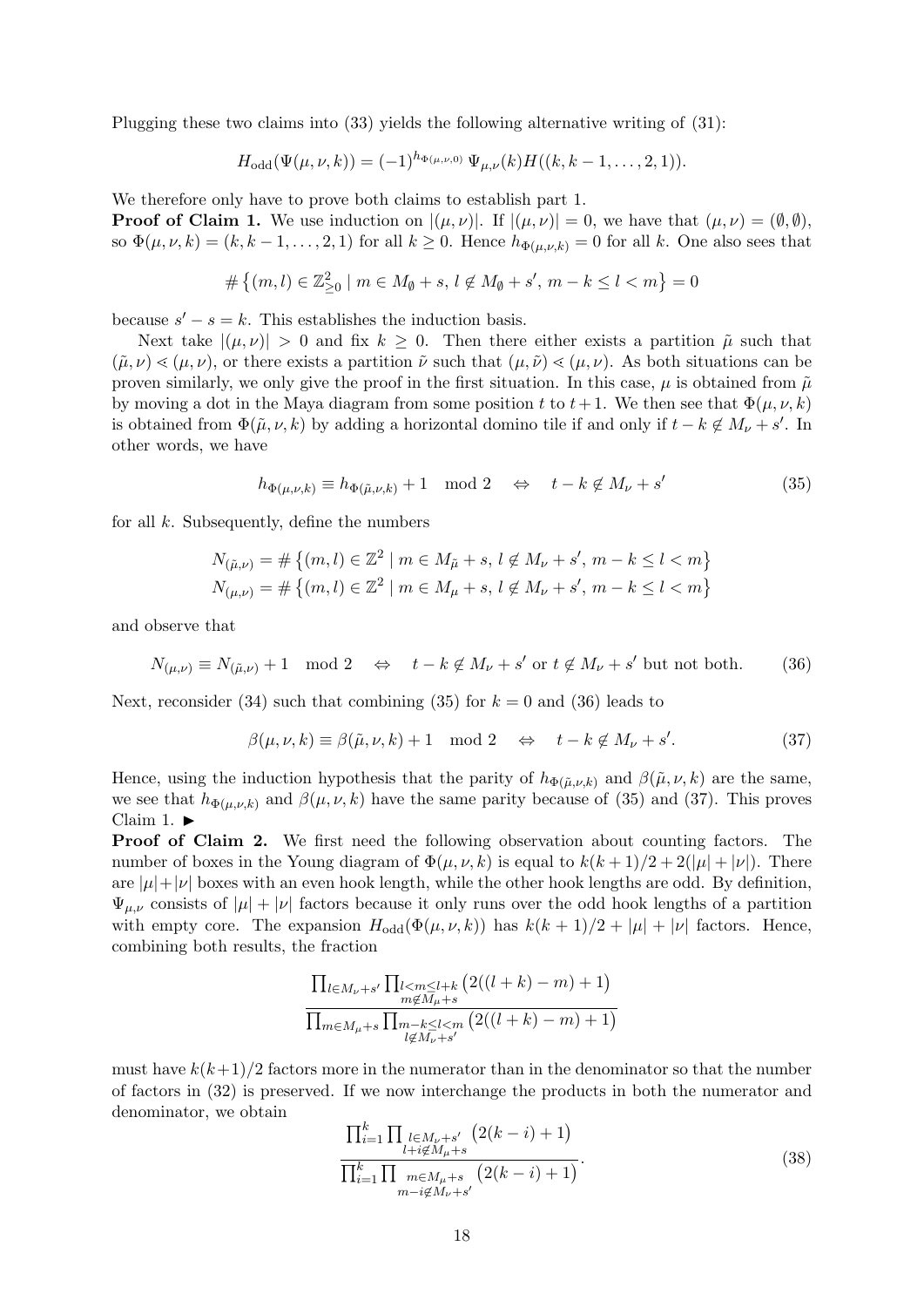Plugging these two claims into (33) yields the following alternative writing of (31):

$$
H_{\text{odd}}(\Psi(\mu,\nu,k)) = (-1)^{h_{\Phi(\mu,\nu,0)}} \Psi_{\mu,\nu}(k) H((k,k-1,\ldots,2,1)).
$$

We therefore only have to prove both claims to establish part 1.

**Proof of Claim 1.** We use induction on  $|(\mu, \nu)|$ . If  $|(\mu, \nu)| = 0$ , we have that  $(\mu, \nu) = (\emptyset, \emptyset)$ , so  $\Phi(\mu, \nu, k) = (k, k - 1, \dots, 2, 1)$  for all  $k \geq 0$ . Hence  $h_{\Phi(\mu, \nu, k)} = 0$  for all k. One also sees that

$$
\#\left\{(m,l)\in\mathbb{Z}_{\ge0}^2\mid m\in M_\emptyset+s,\,l\not\in M_\emptyset+s',\,m-k\le l
$$

because  $s' - s = k$ . This establishes the induction basis.

Next take  $|(\mu, \nu)| > 0$  and fix  $k \geq 0$ . Then there either exists a partition  $\tilde{\mu}$  such that  $(\tilde{\mu}, \nu) \leq (\mu, \nu)$ , or there exists a partition  $\tilde{\nu}$  such that  $(\mu, \tilde{\nu}) \leq (\mu, \nu)$ . As both situations can be proven similarly, we only give the proof in the first situation. In this case,  $\mu$  is obtained from  $\tilde{\mu}$ by moving a dot in the Maya diagram from some position t to  $t+1$ . We then see that  $\Phi(\mu, \nu, k)$ is obtained from  $\Phi(\tilde{\mu}, \nu, k)$  by adding a horizontal domino tile if and only if  $t - k \notin M_{\nu} + s'$ . In other words, we have

$$
h_{\Phi(\mu,\nu,k)} \equiv h_{\Phi(\tilde{\mu},\nu,k)} + 1 \mod 2 \quad \Leftrightarrow \quad t - k \notin M_{\nu} + s' \tag{35}
$$

for all  $k$ . Subsequently, define the numbers

$$
N_{(\tilde{\mu},\nu)} = \# \{ (m,l) \in \mathbb{Z}^2 \mid m \in M_{\tilde{\mu}} + s, l \notin M_{\nu} + s', m - k \le l < m \}
$$
  

$$
N_{(\mu,\nu)} = \# \{ (m,l) \in \mathbb{Z}^2 \mid m \in M_{\mu} + s, l \notin M_{\nu} + s', m - k \le l < m \}
$$

and observe that

$$
N_{(\mu,\nu)} \equiv N_{(\tilde{\mu},\nu)} + 1 \mod 2 \quad \Leftrightarrow \quad t - k \notin M_{\nu} + s' \text{ or } t \notin M_{\nu} + s' \text{ but not both.} \tag{36}
$$

Next, reconsider (34) such that combining (35) for  $k = 0$  and (36) leads to

$$
\beta(\mu, \nu, k) \equiv \beta(\tilde{\mu}, \nu, k) + 1 \mod 2 \quad \Leftrightarrow \quad t - k \notin M_{\nu} + s'. \tag{37}
$$

Hence, using the induction hypothesis that the parity of  $h_{\Phi(\tilde{\mu},\nu,k)}$  and  $\beta(\tilde{\mu},\nu,k)$  are the same, we see that  $h_{\Phi(\mu,\nu,k)}$  and  $\beta(\mu,\nu,k)$  have the same parity because of (35) and (37). This proves Claim 1.  $\blacktriangleright$ 

Proof of Claim 2. We first need the following observation about counting factors. The number of boxes in the Young diagram of  $\Phi(\mu, \nu, k)$  is equal to  $k(k+1)/2 + 2(|\mu| + |\nu|)$ . There are  $|\mu| + |\nu|$  boxes with an even hook length, while the other hook lengths are odd. By definition,  $\Psi_{\mu,\nu}$  consists of  $|\mu| + |\nu|$  factors because it only runs over the odd hook lengths of a partition with empty core. The expansion  $H_{odd}(\Phi(\mu, \nu, k))$  has  $k(k+1)/2 + |\mu| + |\nu|$  factors. Hence, combining both results, the fraction

$$
\frac{\prod_{l \in M_{\nu}+s'} \prod_{\substack{l < m \le l+k \\ m \notin M_{\mu}+s}} \left(2((l+k)-m)+1\right)}{\prod_{m \in M_{\mu}+s} \prod_{\substack{m-k \le l \le m \\ l \notin M_{\nu}+s'}} \left(2((l+k)-m)+1\right)}
$$

must have  $k(k+1)/2$  factors more in the numerator than in the denominator so that the number of factors in (32) is preserved. If we now interchange the products in both the numerator and denominator, we obtain

$$
\frac{\prod_{i=1}^{k} \prod_{\substack{l \in M_{\nu}+s'\\l+i \notin M_{\mu}+s}} (2(k-i)+1)}{\prod_{i=1}^{k} \prod_{\substack{m \in M_{\mu}+s\\m-i \notin M_{\nu}+s'}} (2(k-i)+1)}.
$$
\n(38)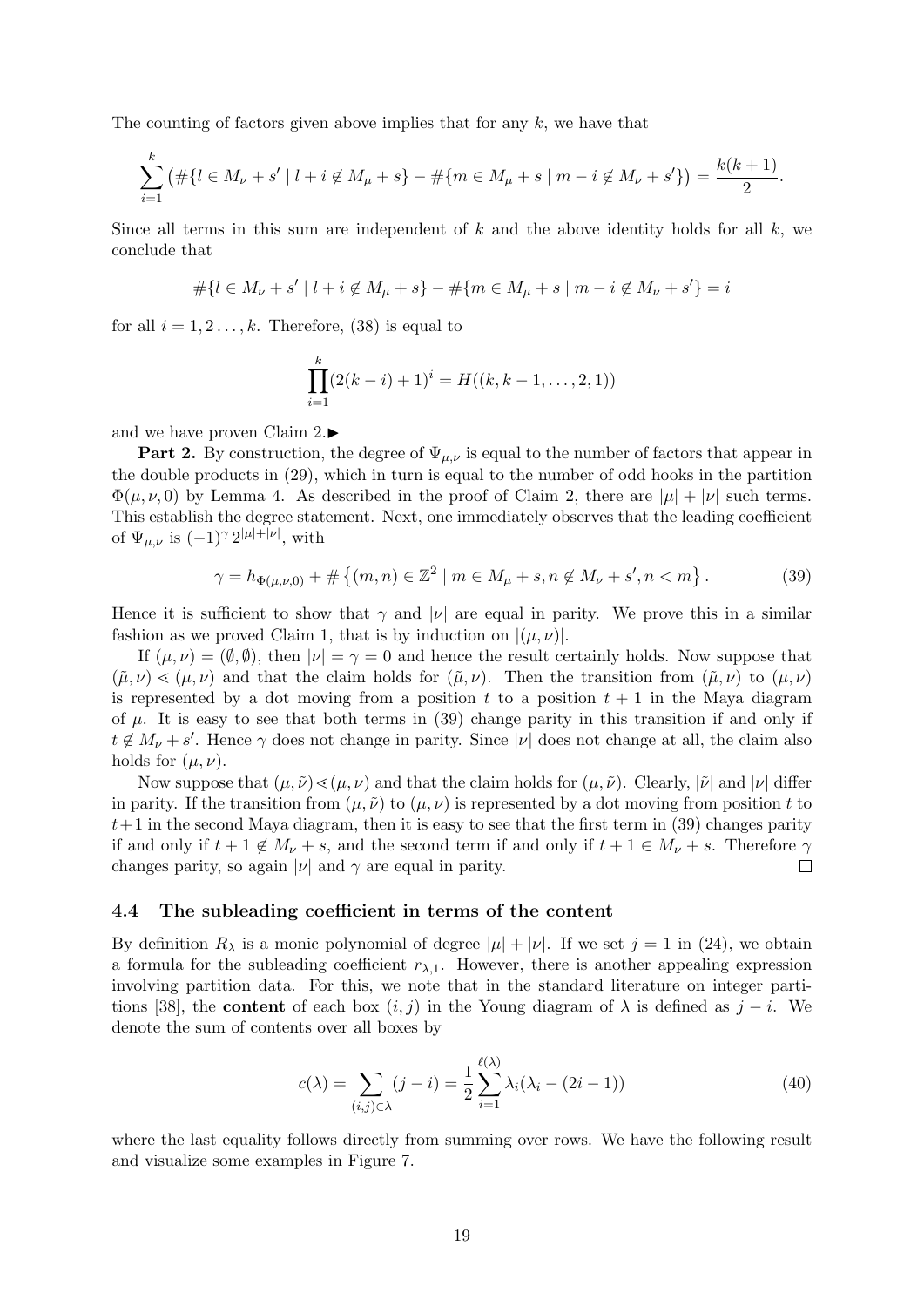The counting of factors given above implies that for any  $k$ , we have that

$$
\sum_{i=1}^k (\# \{ l \in M_{\nu} + s' \mid l + i \notin M_{\mu} + s \} - \# \{ m \in M_{\mu} + s \mid m - i \notin M_{\nu} + s' \} ) = \frac{k(k+1)}{2}.
$$

Since all terms in this sum are independent of  $k$  and the above identity holds for all  $k$ , we conclude that

$$
\#\{l\in M_\nu+s' \mid l+i\not\in M_\mu+s\}-\#\{m\in M_\mu+s \mid m-i\not\in M_\nu+s'\}=i
$$

for all  $i = 1, 2, \ldots, k$ . Therefore, (38) is equal to

$$
\prod_{i=1}^{k} (2(k-i)+1)^{i} = H((k, k-1, \ldots, 2, 1))
$$

and we have proven Claim  $2.$ 

**Part 2.** By construction, the degree of  $\Psi_{\mu,\nu}$  is equal to the number of factors that appear in the double products in (29), which in turn is equal to the number of odd hooks in the partition  $\Phi(\mu, \nu, 0)$  by Lemma 4. As described in the proof of Claim 2, there are  $|\mu| + |\nu|$  such terms. This establish the degree statement. Next, one immediately observes that the leading coefficient of  $\Psi_{\mu,\nu}$  is  $(-1)^{\gamma} 2^{|\mu|+|\nu|}$ , with

$$
\gamma = h_{\Phi(\mu,\nu,0)} + \# \left\{ (m,n) \in \mathbb{Z}^2 \mid m \in M_{\mu} + s, n \notin M_{\nu} + s', n < m \right\}.
$$
 (39)

Hence it is sufficient to show that  $\gamma$  and |v| are equal in parity. We prove this in a similar fashion as we proved Claim 1, that is by induction on  $|(\mu, \nu)|$ .

If  $(\mu, \nu) = (\emptyset, \emptyset)$ , then  $|\nu| = \gamma = 0$  and hence the result certainly holds. Now suppose that  $(\tilde{\mu}, \nu) \leq (\mu, \nu)$  and that the claim holds for  $(\tilde{\mu}, \nu)$ . Then the transition from  $(\tilde{\mu}, \nu)$  to  $(\mu, \nu)$ is represented by a dot moving from a position  $t$  to a position  $t + 1$  in the Maya diagram of  $\mu$ . It is easy to see that both terms in (39) change parity in this transition if and only if  $t \notin M_{\nu} + s'$ . Hence  $\gamma$  does not change in parity. Since  $|\nu|$  does not change at all, the claim also holds for  $(\mu, \nu)$ .

Now suppose that  $(\mu, \tilde{\nu}) \leq (\mu, \nu)$  and that the claim holds for  $(\mu, \tilde{\nu})$ . Clearly,  $|\tilde{\nu}|$  and  $|\nu|$  differ in parity. If the transition from  $(\mu, \tilde{\nu})$  to  $(\mu, \nu)$  is represented by a dot moving from position t to  $t+1$  in the second Maya diagram, then it is easy to see that the first term in (39) changes parity if and only if  $t + 1 \notin M_{\nu} + s$ , and the second term if and only if  $t + 1 \in M_{\nu} + s$ . Therefore  $\gamma$ changes parity, so again  $|\nu|$  and  $\gamma$  are equal in parity.  $\Box$ 

#### 4.4 The subleading coefficient in terms of the content

By definition  $R_{\lambda}$  is a monic polynomial of degree  $|\mu| + |\nu|$ . If we set  $j = 1$  in (24), we obtain a formula for the subleading coefficient  $r_{\lambda,1}$ . However, there is another appealing expression involving partition data. For this, we note that in the standard literature on integer partitions [38], the **content** of each box  $(i, j)$  in the Young diagram of  $\lambda$  is defined as  $j - i$ . We denote the sum of contents over all boxes by

$$
c(\lambda) = \sum_{(i,j)\in\lambda} (j-i) = \frac{1}{2} \sum_{i=1}^{\ell(\lambda)} \lambda_i (\lambda_i - (2i-1))
$$
 (40)

where the last equality follows directly from summing over rows. We have the following result and visualize some examples in Figure 7.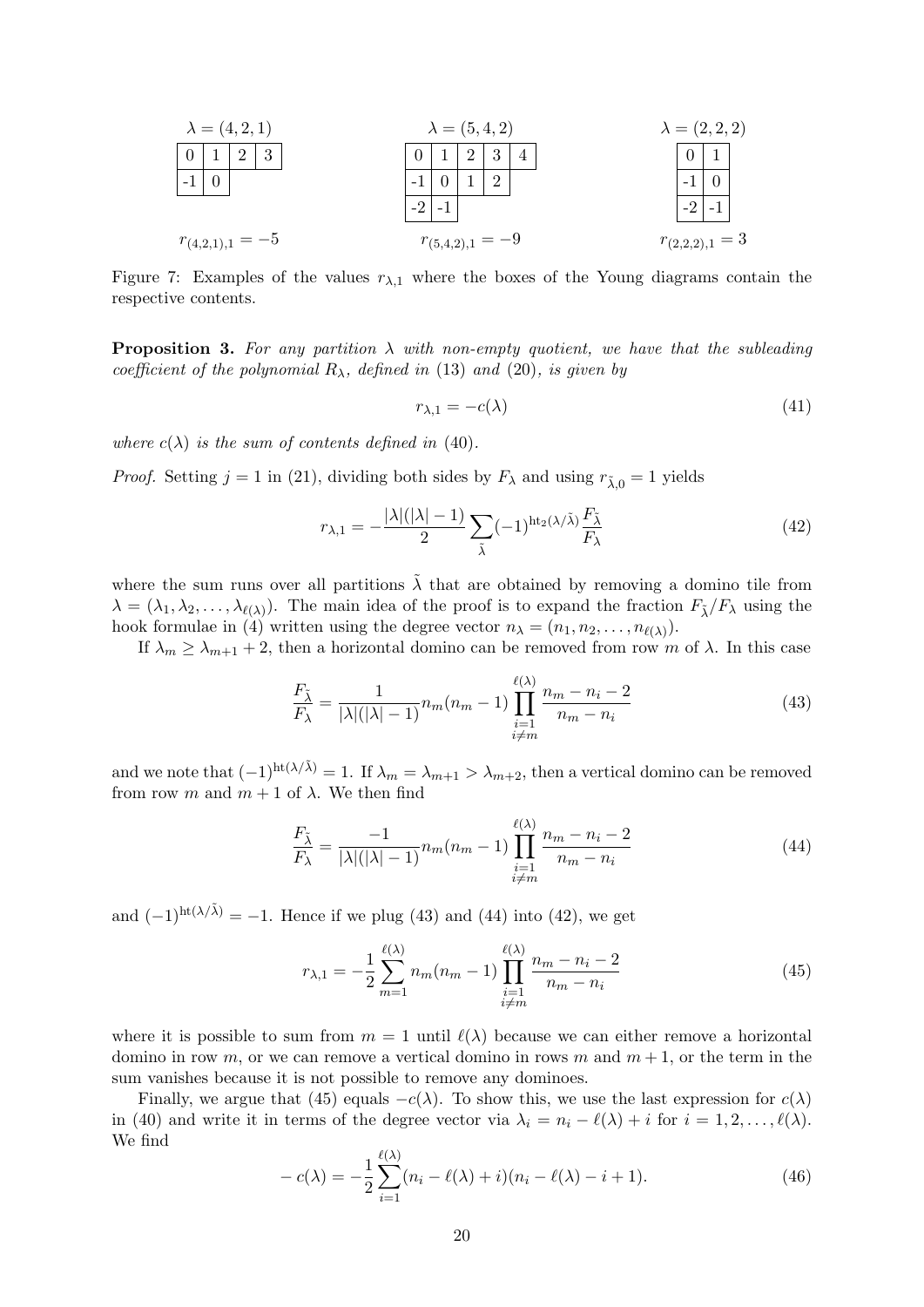$$
\lambda = (4, 2, 1)
$$
\n
$$
\lambda = (5, 4, 2)
$$
\n
$$
\lambda = (2, 2, 2)
$$
\n
$$
\begin{array}{|c|c|c|c|c|}\n\hline\n0 & 1 & 2 & 3 & 4 \\
\hline\n-1 & 0 & 1 & 2 & 3 & 4 \\
\hline\n-2 & -1 & & & & \\
\hline\nr_{(4,2,1),1} = -5 & & & & r_{(5,4,2),1} = -9 & & & r_{(2,2,2),1} = 3\n\end{array}
$$
\n
$$
\lambda = (2, 2, 2)
$$
\n
$$
\begin{array}{|c|c|c|c|}\n\hline\n0 & 1 & 2 & 3 & 4 \\
\hline\n-2 & -1 & & & & \\
\hline\nr_{(4,2,1),1} = -5 & & & r_{(5,4,2),1} = -9 & & & r_{(2,2,2),1} = 3\n\end{array}
$$

Figure 7: Examples of the values  $r_{\lambda,1}$  where the boxes of the Young diagrams contain the respective contents.

**Proposition 3.** For any partition  $\lambda$  with non-empty quotient, we have that the subleading coefficient of the polynomial  $R_{\lambda}$ , defined in (13) and (20), is given by

$$
r_{\lambda,1} = -c(\lambda) \tag{41}
$$

where  $c(\lambda)$  is the sum of contents defined in (40).

*Proof.* Setting  $j = 1$  in (21), dividing both sides by  $F_{\lambda}$  and using  $r_{\lambda,0} = 1$  yields

$$
r_{\lambda,1} = -\frac{|\lambda|(|\lambda|-1)}{2} \sum_{\tilde{\lambda}} (-1)^{\text{ht}_2(\lambda/\tilde{\lambda})} \frac{F_{\tilde{\lambda}}}{F_{\lambda}}
$$
(42)

where the sum runs over all partitions  $\tilde{\lambda}$  that are obtained by removing a domino tile from  $\lambda = (\lambda_1, \lambda_2, \dots, \lambda_{\ell(\lambda)})$ . The main idea of the proof is to expand the fraction  $F_{\tilde{\lambda}}/F_{\lambda}$  using the hook formulae in (4) written using the degree vector  $n_{\lambda} = (n_1, n_2, \dots, n_{\ell(\lambda)})$ .

If  $\lambda_m \geq \lambda_{m+1} + 2$ , then a horizontal domino can be removed from row m of  $\lambda$ . In this case

$$
\frac{F_{\tilde{\lambda}}}{F_{\lambda}} = \frac{1}{|\lambda|(|\lambda|-1)} n_m(n_m-1) \prod_{\substack{i=1 \ i \neq m}}^{\ell(\lambda)} \frac{n_m - n_i - 2}{n_m - n_i} \tag{43}
$$

and we note that  $(-1)^{ht(\lambda/\tilde{\lambda})}=1$ . If  $\lambda_m=\lambda_{m+1}>\lambda_{m+2}$ , then a vertical domino can be removed from row m and  $m + 1$  of  $\lambda$ . We then find

$$
\frac{F_{\tilde{\lambda}}}{F_{\lambda}} = \frac{-1}{|\lambda|(|\lambda|-1)} n_m(n_m-1) \prod_{\substack{i=1 \ i \neq m}}^{\ell(\lambda)} \frac{n_m - n_i - 2}{n_m - n_i} \tag{44}
$$

and  $(-1)^{ht(\lambda/\tilde{\lambda})} = -1$ . Hence if we plug (43) and (44) into (42), we get

$$
r_{\lambda,1} = -\frac{1}{2} \sum_{m=1}^{\ell(\lambda)} n_m (n_m - 1) \prod_{\substack{i=1 \ i \neq m}}^{\ell(\lambda)} \frac{n_m - n_i - 2}{n_m - n_i} \tag{45}
$$

where it is possible to sum from  $m = 1$  until  $\ell(\lambda)$  because we can either remove a horizontal domino in row m, or we can remove a vertical domino in rows m and  $m + 1$ , or the term in the sum vanishes because it is not possible to remove any dominoes.

Finally, we argue that (45) equals  $-c(\lambda)$ . To show this, we use the last expression for  $c(\lambda)$ in (40) and write it in terms of the degree vector via  $\lambda_i = n_i - \ell(\lambda) + i$  for  $i = 1, 2, \ldots, \ell(\lambda)$ . We find

$$
-c(\lambda) = -\frac{1}{2} \sum_{i=1}^{\ell(\lambda)} (n_i - \ell(\lambda) + i)(n_i - \ell(\lambda) - i + 1).
$$
 (46)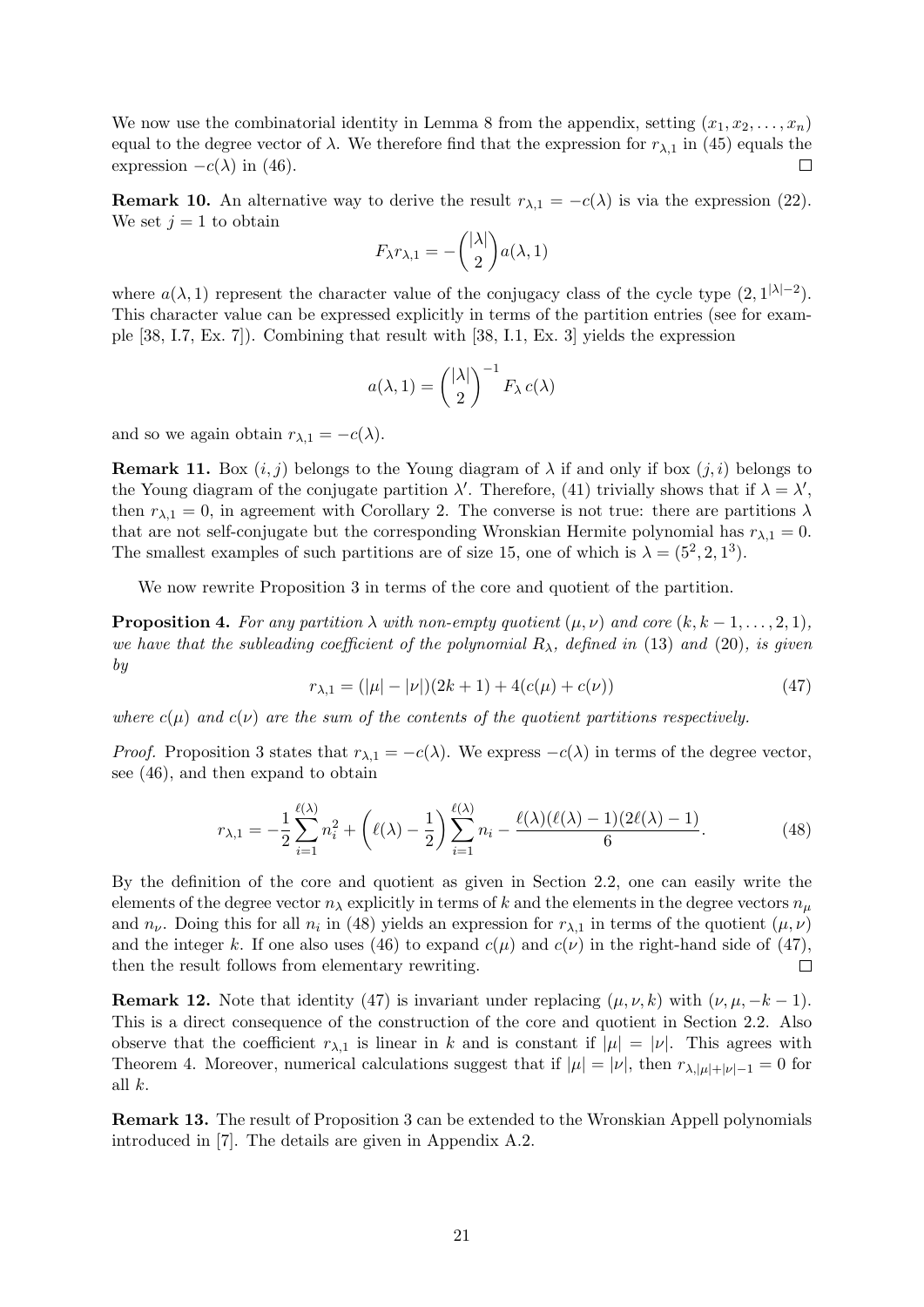We now use the combinatorial identity in Lemma 8 from the appendix, setting  $(x_1, x_2, \ldots, x_n)$ equal to the degree vector of  $\lambda$ . We therefore find that the expression for  $r_{\lambda,1}$  in (45) equals the expression  $-c(\lambda)$  in (46).  $\Box$ 

**Remark 10.** An alternative way to derive the result  $r_{\lambda,1} = -c(\lambda)$  is via the expression (22). We set  $j = 1$  to obtain

$$
F_{\lambda}r_{\lambda,1}=-\binom{|\lambda|}{2}a(\lambda,1)
$$

where  $a(\lambda, 1)$  represent the character value of the conjugacy class of the cycle type  $(2, 1^{|\lambda|-2})$ . This character value can be expressed explicitly in terms of the partition entries (see for example [38, I.7, Ex. 7]). Combining that result with [38, I.1, Ex. 3] yields the expression

$$
a(\lambda, 1) = {\lambda|\lambda| \choose 2}^{-1} F_{\lambda} c(\lambda)
$$

and so we again obtain  $r_{\lambda,1} = -c(\lambda)$ .

**Remark 11.** Box  $(i, j)$  belongs to the Young diagram of  $\lambda$  if and only if box  $(j, i)$  belongs to the Young diagram of the conjugate partition  $\lambda'$ . Therefore, (41) trivially shows that if  $\lambda = \lambda'$ , then  $r_{\lambda,1} = 0$ , in agreement with Corollary 2. The converse is not true: there are partitions  $\lambda$ that are not self-conjugate but the corresponding Wronskian Hermite polynomial has  $r_{\lambda,1} = 0$ . The smallest examples of such partitions are of size 15, one of which is  $\lambda = (5^2, 2, 1^3)$ .

We now rewrite Proposition 3 in terms of the core and quotient of the partition.

**Proposition 4.** For any partition  $\lambda$  with non-empty quotient  $(\mu, \nu)$  and core  $(k, k - 1, \ldots, 2, 1)$ , we have that the subleading coefficient of the polynomial  $R_{\lambda}$ , defined in (13) and (20), is given by

$$
r_{\lambda,1} = (|\mu| - |\nu|)(2k + 1) + 4(c(\mu) + c(\nu))
$$
\n(47)

where  $c(\mu)$  and  $c(\nu)$  are the sum of the contents of the quotient partitions respectively.

*Proof.* Proposition 3 states that  $r_{\lambda,1} = -c(\lambda)$ . We express  $-c(\lambda)$  in terms of the degree vector, see (46), and then expand to obtain

$$
r_{\lambda,1} = -\frac{1}{2} \sum_{i=1}^{\ell(\lambda)} n_i^2 + \left(\ell(\lambda) - \frac{1}{2}\right) \sum_{i=1}^{\ell(\lambda)} n_i - \frac{\ell(\lambda)(\ell(\lambda) - 1)(2\ell(\lambda) - 1)}{6}.
$$
 (48)

By the definition of the core and quotient as given in Section 2.2, one can easily write the elements of the degree vector  $n_{\lambda}$  explicitly in terms of k and the elements in the degree vectors  $n_{\mu}$ and  $n_{\nu}$ . Doing this for all  $n_i$  in (48) yields an expression for  $r_{\lambda,1}$  in terms of the quotient  $(\mu, \nu)$ and the integer k. If one also uses (46) to expand  $c(\mu)$  and  $c(\nu)$  in the right-hand side of (47), then the result follows from elementary rewriting.  $\Box$ 

**Remark 12.** Note that identity (47) is invariant under replacing  $(\mu, \nu, k)$  with  $(\nu, \mu, -k-1)$ . This is a direct consequence of the construction of the core and quotient in Section 2.2. Also observe that the coefficient  $r_{\lambda,1}$  is linear in k and is constant if  $|\mu| = |\nu|$ . This agrees with Theorem 4. Moreover, numerical calculations suggest that if  $|\mu| = |\nu|$ , then  $r_{\lambda,|\mu|+|\nu|-1} = 0$  for all k.

Remark 13. The result of Proposition 3 can be extended to the Wronskian Appell polynomials introduced in [7]. The details are given in Appendix A.2.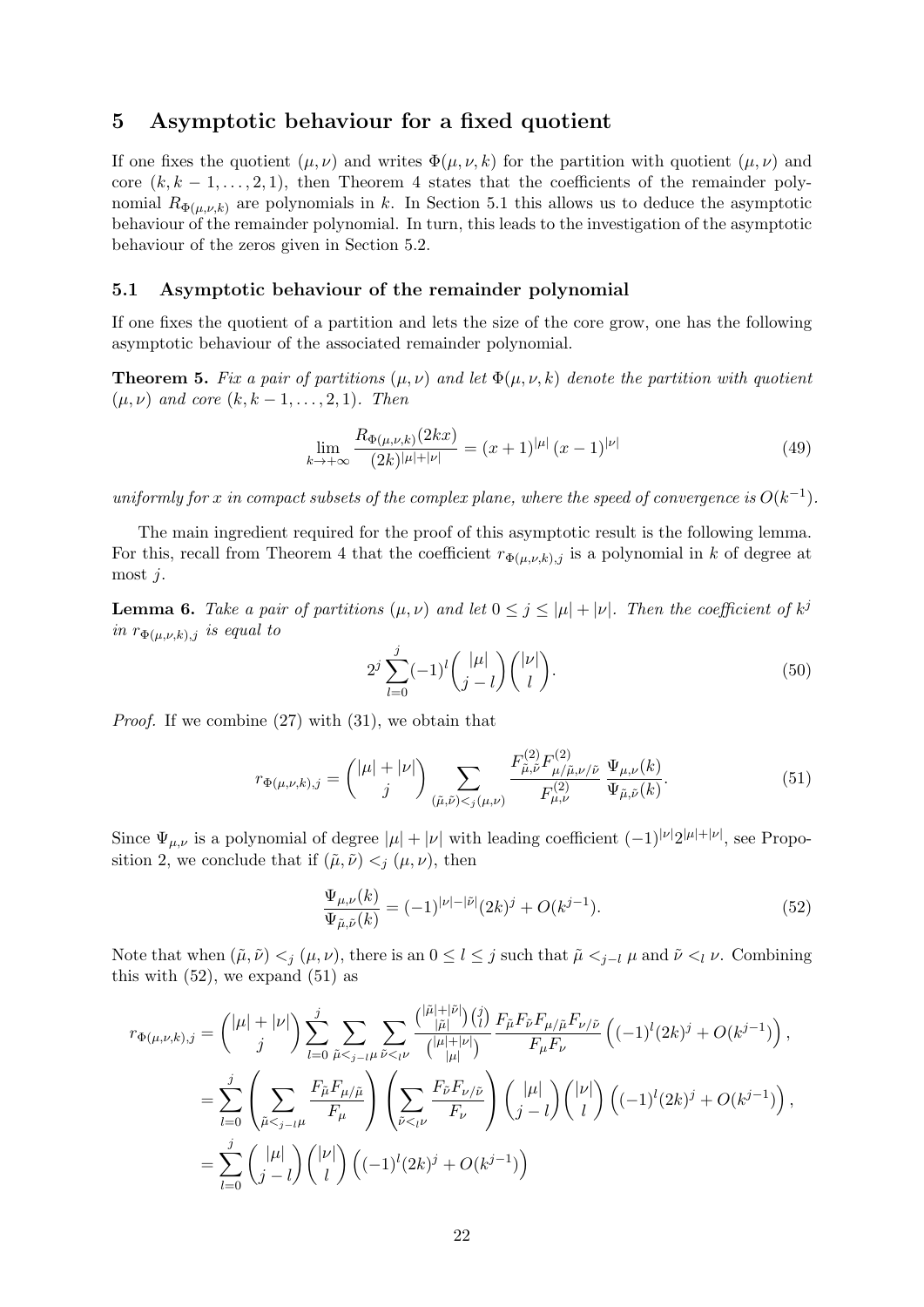# 5 Asymptotic behaviour for a fixed quotient

If one fixes the quotient  $(\mu, \nu)$  and writes  $\Phi(\mu, \nu, k)$  for the partition with quotient  $(\mu, \nu)$  and core  $(k, k-1, \ldots, 2, 1)$ , then Theorem 4 states that the coefficients of the remainder polynomial  $R_{\Phi(\mu,\nu,k)}$  are polynomials in k. In Section 5.1 this allows us to deduce the asymptotic behaviour of the remainder polynomial. In turn, this leads to the investigation of the asymptotic behaviour of the zeros given in Section 5.2.

#### 5.1 Asymptotic behaviour of the remainder polynomial

If one fixes the quotient of a partition and lets the size of the core grow, one has the following asymptotic behaviour of the associated remainder polynomial.

**Theorem 5.** Fix a pair of partitions  $(\mu, \nu)$  and let  $\Phi(\mu, \nu, k)$  denote the partition with quotient  $(\mu, \nu)$  and core  $(k, k-1, \ldots, 2, 1)$ . Then

$$
\lim_{k \to +\infty} \frac{R_{\Phi(\mu,\nu,k)}(2kx)}{(2k)^{|\mu|+|\nu|}} = (x+1)^{|\mu|} (x-1)^{|\nu|}
$$
\n(49)

uniformly for x in compact subsets of the complex plane, where the speed of convergence is  $O(k^{-1})$ .

The main ingredient required for the proof of this asymptotic result is the following lemma. For this, recall from Theorem 4 that the coefficient  $r_{\Phi(\mu,\nu,k),j}$  is a polynomial in k of degree at most j.

**Lemma 6.** Take a pair of partitions  $(\mu, \nu)$  and let  $0 \leq j \leq |\mu| + |\nu|$ . Then the coefficient of  $k^{j}$ in  $r_{\Phi(\mu,\nu,k),j}$  is equal to

$$
2^j \sum_{l=0}^j (-1)^l {\binom{|\mu|}{j-l}} {\binom{|\nu|}{l}}.
$$
\n
$$
(50)
$$

Proof. If we combine (27) with (31), we obtain that

$$
r_{\Phi(\mu,\nu,k),j} = \binom{|\mu|+|\nu|}{j} \sum_{(\tilde{\mu},\tilde{\nu}) < j(\mu,\nu)} \frac{F_{\tilde{\mu},\tilde{\nu}}^{(2)} F_{\mu/\tilde{\mu},\nu/\tilde{\nu}}^{(2)}}{F_{\mu,\nu}^{(2)}} \frac{\Psi_{\mu,\nu}(k)}{\Psi_{\tilde{\mu},\tilde{\nu}}(k)}.
$$
(51)

Since  $\Psi_{\mu,\nu}$  is a polynomial of degree  $|\mu| + |\nu|$  with leading coefficient  $(-1)^{|\nu|}2^{|\mu|+|\nu|}$ , see Proposition 2, we conclude that if  $(\tilde{\mu}, \tilde{\nu}) <_i (\mu, \nu)$ , then

$$
\frac{\Psi_{\mu,\nu}(k)}{\Psi_{\tilde{\mu},\tilde{\nu}}(k)} = (-1)^{|\nu|-|\tilde{\nu}|}(2k)^j + O(k^{j-1}).\tag{52}
$$

Note that when  $(\tilde{\mu}, \tilde{\nu}) <_j (\mu, \nu)$ , there is an  $0 \leq l \leq j$  such that  $\tilde{\mu} <_{j-l} \mu$  and  $\tilde{\nu} <_l \nu$ . Combining this with  $(52)$ , we expand  $(51)$  as

$$
r_{\Phi(\mu,\nu,k),j} = {\mu + |\nu| \choose j} \sum_{l=0}^{j} \sum_{\tilde{\mu} <_{j-l\mu}} \sum_{\tilde{\nu} <_{l\nu}} {\mu + |\tilde{\nu}| \choose |\tilde{\mu}|} {F_{\tilde{\mu}} F_{\tilde{\nu}} F_{\mu/\tilde{\mu}} F_{\nu/\tilde{\nu}} \over F_{\mu} F_{\nu}} \left( (-1)^{l} (2k)^{j} + O(k^{j-1}) \right),
$$
  

$$
= \sum_{l=0}^{j} \left( \sum_{\tilde{\mu} <_{j-l\mu}} \frac{F_{\tilde{\mu}} F_{\mu/\tilde{\mu}}}{F_{\mu}} \right) \left( \sum_{\tilde{\nu} <_{l\nu}} \frac{F_{\tilde{\nu}} F_{\nu/\tilde{\nu}}}{F_{\nu}} \right) {\mu| \choose j-l} \left( \mu \right) {\mu| \choose l} \left( (-1)^{l} (2k)^{j} + O(k^{j-1}) \right),
$$
  

$$
= \sum_{l=0}^{j} {\mu| \choose j-l} {\nu| \choose l} \left( (-1)^{l} (2k)^{j} + O(k^{j-1}) \right)
$$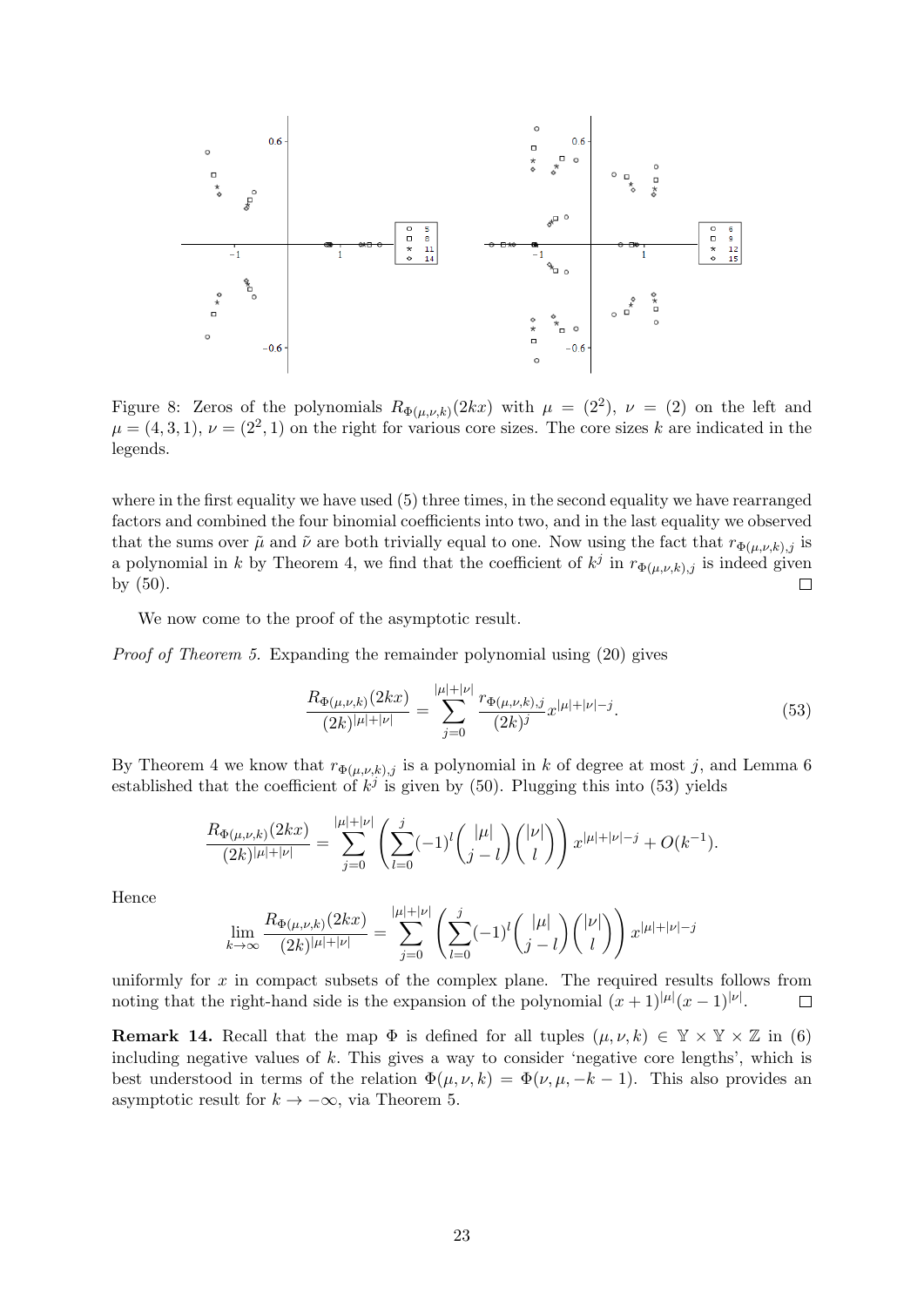

Figure 8: Zeros of the polynomials  $R_{\Phi(\mu,\nu,k)}(2kx)$  with  $\mu = (2^2)$ ,  $\nu = (2)$  on the left and  $\mu = (4, 3, 1), \nu = (2^2, 1)$  on the right for various core sizes. The core sizes k are indicated in the legends.

where in the first equality we have used (5) three times, in the second equality we have rearranged factors and combined the four binomial coefficients into two, and in the last equality we observed that the sums over  $\tilde{\mu}$  and  $\tilde{\nu}$  are both trivially equal to one. Now using the fact that  $r_{\Phi(\mu,\nu,k),j}$  is a polynomial in k by Theorem 4, we find that the coefficient of  $k^j$  in  $r_{\Phi(\mu,\nu,k),j}$  is indeed given by (50).  $\Box$ 

We now come to the proof of the asymptotic result.

Proof of Theorem 5. Expanding the remainder polynomial using (20) gives

$$
\frac{R_{\Phi(\mu,\nu,k)}(2kx)}{(2k)^{|\mu|+|\nu|}} = \sum_{j=0}^{|\mu|+|\nu|} \frac{r_{\Phi(\mu,\nu,k),j}}{(2k)^j} x^{|\mu|+|\nu|-j}.
$$
\n(53)

By Theorem 4 we know that  $r_{\Phi(\mu,\nu,k),j}$  is a polynomial in k of degree at most j, and Lemma 6 established that the coefficient of  $k^j$  is given by (50). Plugging this into (53) yields

$$
\frac{R_{\Phi(\mu,\nu,k)}(2kx)}{(2k)^{|\mu|+|\nu|}} = \sum_{j=0}^{|\mu|+|\nu|} \left( \sum_{l=0}^{j} (-1)^l \binom{|\mu|}{j-l} \binom{|\nu|}{l} \right) x^{|\mu|+|\nu|-j} + O(k^{-1}).
$$

Hence

$$
\lim_{k \to \infty} \frac{R_{\Phi(\mu,\nu,k)}(2kx)}{(2k)^{|\mu|+|\nu|}} = \sum_{j=0}^{|\mu|+|\nu|} \left( \sum_{l=0}^j (-1)^l \binom{|\mu|}{j-l} \binom{|\nu|}{l} \right) x^{|\mu|+|\nu|-j}
$$

uniformly for x in compact subsets of the complex plane. The required results follows from noting that the right-hand side is the expansion of the polynomial  $(x+1)^{|\mu|}(x-1)^{|\nu|}$ .  $\Box$ 

**Remark 14.** Recall that the map  $\Phi$  is defined for all tuples  $(\mu, \nu, k) \in \mathbb{Y} \times \mathbb{Y} \times \mathbb{Z}$  in (6) including negative values of k. This gives a way to consider 'negative core lengths', which is best understood in terms of the relation  $\Phi(\mu, \nu, k) = \Phi(\nu, \mu, -k-1)$ . This also provides an asymptotic result for  $k \to -\infty$ , via Theorem 5.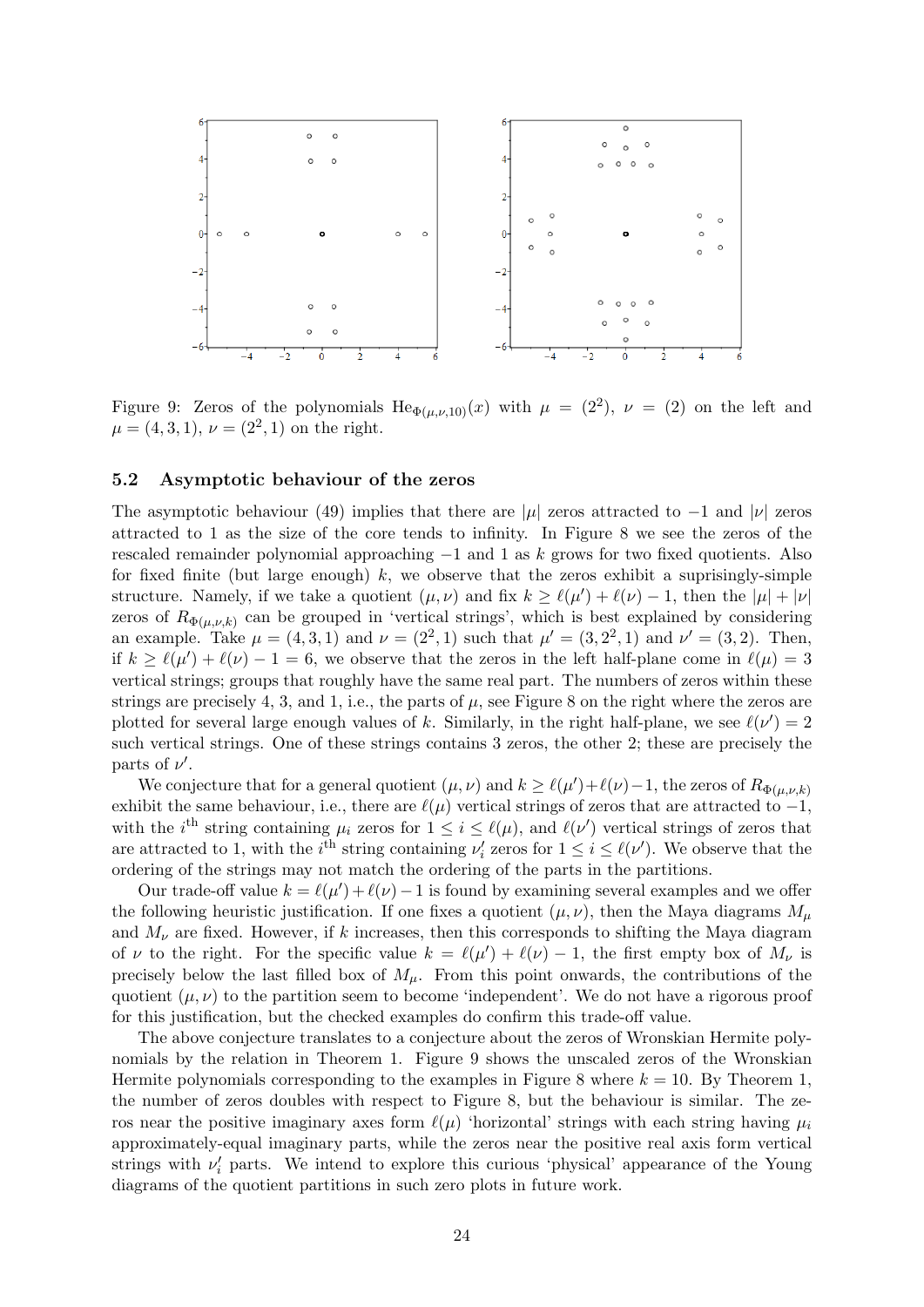

Figure 9: Zeros of the polynomials  $\text{He}_{\Phi(\mu,\nu,10)}(x)$  with  $\mu = (2^2)$ ,  $\nu = (2)$  on the left and  $\mu = (4, 3, 1), \nu = (2^2, 1)$  on the right.

#### 5.2 Asymptotic behaviour of the zeros

The asymptotic behaviour (49) implies that there are |µ| zeros attracted to  $-1$  and |ν| zeros attracted to 1 as the size of the core tends to infinity. In Figure 8 we see the zeros of the rescaled remainder polynomial approaching  $-1$  and 1 as k grows for two fixed quotients. Also for fixed finite (but large enough)  $k$ , we observe that the zeros exhibit a suprisingly-simple structure. Namely, if we take a quotient  $(\mu, \nu)$  and fix  $k \geq \ell(\mu') + \ell(\nu) - 1$ , then the  $|\mu| + |\nu|$ zeros of  $R_{\Phi(\mu,\nu,k)}$  can be grouped in 'vertical strings', which is best explained by considering an example. Take  $\mu = (4, 3, 1)$  and  $\nu = (2^2, 1)$  such that  $\mu' = (3, 2^2, 1)$  and  $\nu' = (3, 2)$ . Then, if  $k \geq \ell(\mu') + \ell(\nu) - 1 = 6$ , we observe that the zeros in the left half-plane come in  $\ell(\mu) = 3$ vertical strings; groups that roughly have the same real part. The numbers of zeros within these strings are precisely 4, 3, and 1, i.e., the parts of  $\mu$ , see Figure 8 on the right where the zeros are plotted for several large enough values of k. Similarly, in the right half-plane, we see  $\ell(\nu') = 2$ such vertical strings. One of these strings contains 3 zeros, the other 2; these are precisely the parts of  $\nu'$ .

We conjecture that for a general quotient  $(\mu, \nu)$  and  $k \ge \ell(\mu') + \ell(\nu) - 1$ , the zeros of  $R_{\Phi(\mu,\nu,k)}$ exhibit the same behaviour, i.e., there are  $\ell(\mu)$  vertical strings of zeros that are attracted to  $-1$ , with the *i*<sup>th</sup> string containing  $\mu_i$  zeros for  $1 \leq i \leq \ell(\mu)$ , and  $\ell(\nu')$  vertical strings of zeros that are attracted to 1, with the i<sup>th</sup> string containing  $\nu'_i$  zeros for  $1 \leq i \leq \ell(\nu')$ . We observe that the ordering of the strings may not match the ordering of the parts in the partitions.

Our trade-off value  $k = \ell(\mu') + \ell(\nu) - 1$  is found by examining several examples and we offer the following heuristic justification. If one fixes a quotient  $(\mu, \nu)$ , then the Maya diagrams  $M_{\mu}$ and  $M_{\nu}$  are fixed. However, if k increases, then this corresponds to shifting the Maya diagram of v to the right. For the specific value  $k = \ell(\mu') + \ell(\nu) - 1$ , the first empty box of  $M_{\nu}$  is precisely below the last filled box of  $M<sub>\mu</sub>$ . From this point onwards, the contributions of the quotient  $(\mu, \nu)$  to the partition seem to become 'independent'. We do not have a rigorous proof for this justification, but the checked examples do confirm this trade-off value.

The above conjecture translates to a conjecture about the zeros of Wronskian Hermite polynomials by the relation in Theorem 1. Figure 9 shows the unscaled zeros of the Wronskian Hermite polynomials corresponding to the examples in Figure 8 where  $k = 10$ . By Theorem 1, the number of zeros doubles with respect to Figure 8, but the behaviour is similar. The zeros near the positive imaginary axes form  $\ell(\mu)$  'horizontal' strings with each string having  $\mu_i$ approximately-equal imaginary parts, while the zeros near the positive real axis form vertical strings with  $\nu'_i$  parts. We intend to explore this curious 'physical' appearance of the Young diagrams of the quotient partitions in such zero plots in future work.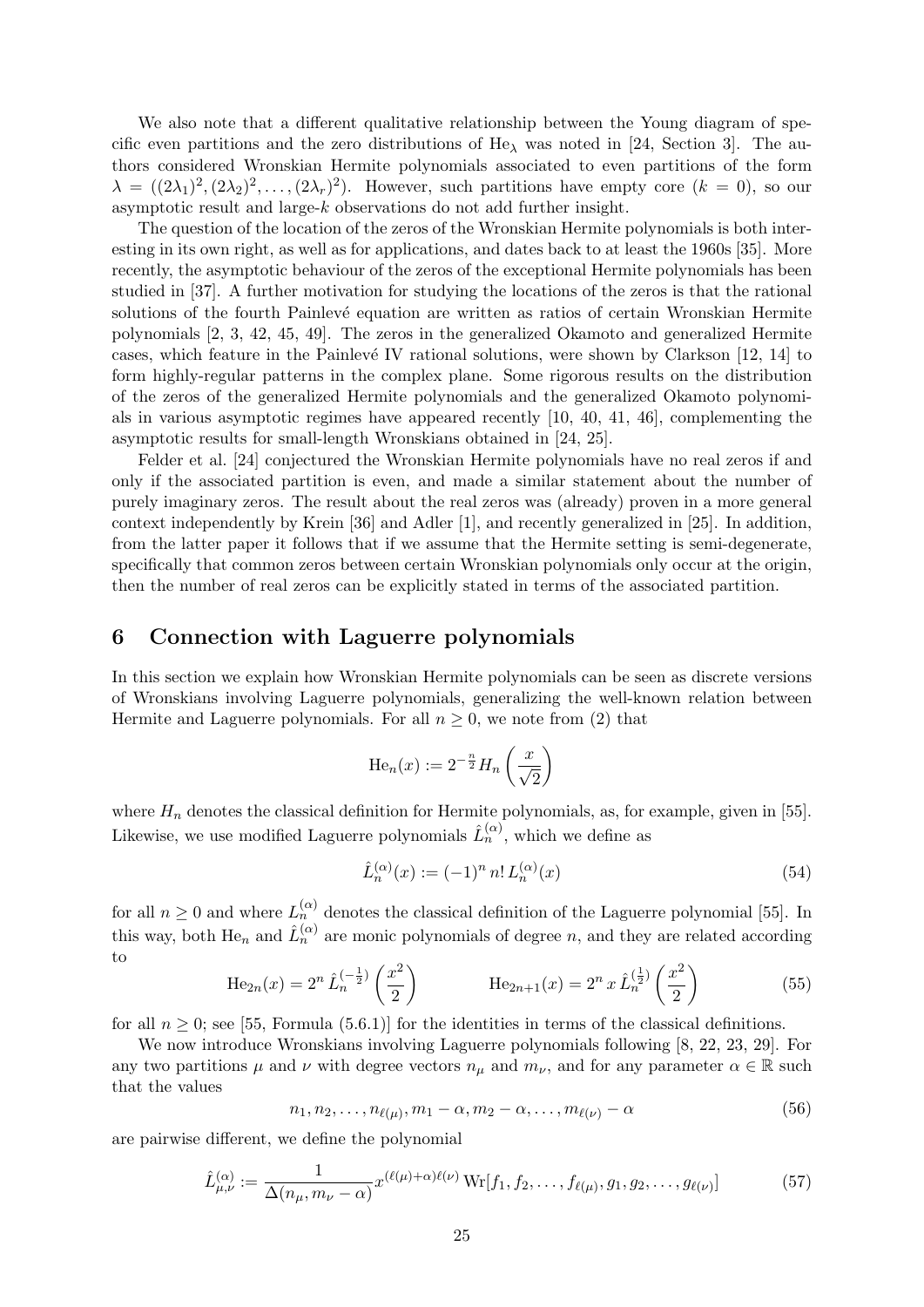We also note that a different qualitative relationship between the Young diagram of specific even partitions and the zero distributions of  $He_\lambda$  was noted in [24, Section 3]. The authors considered Wronskian Hermite polynomials associated to even partitions of the form  $\lambda = ((2\lambda_1)^2, (2\lambda_2)^2, \ldots, (2\lambda_r)^2)$ . However, such partitions have empty core  $(k = 0)$ , so our asymptotic result and large-k observations do not add further insight.

The question of the location of the zeros of the Wronskian Hermite polynomials is both interesting in its own right, as well as for applications, and dates back to at least the 1960s [35]. More recently, the asymptotic behaviour of the zeros of the exceptional Hermite polynomials has been studied in [37]. A further motivation for studying the locations of the zeros is that the rational solutions of the fourth Painlevé equation are written as ratios of certain Wronskian Hermite polynomials [2, 3, 42, 45, 49]. The zeros in the generalized Okamoto and generalized Hermite cases, which feature in the Painlevé IV rational solutions, were shown by Clarkson  $[12, 14]$  to form highly-regular patterns in the complex plane. Some rigorous results on the distribution of the zeros of the generalized Hermite polynomials and the generalized Okamoto polynomials in various asymptotic regimes have appeared recently [10, 40, 41, 46], complementing the asymptotic results for small-length Wronskians obtained in [24, 25].

Felder et al. [24] conjectured the Wronskian Hermite polynomials have no real zeros if and only if the associated partition is even, and made a similar statement about the number of purely imaginary zeros. The result about the real zeros was (already) proven in a more general context independently by Krein [36] and Adler [1], and recently generalized in [25]. In addition, from the latter paper it follows that if we assume that the Hermite setting is semi-degenerate, specifically that common zeros between certain Wronskian polynomials only occur at the origin, then the number of real zeros can be explicitly stated in terms of the associated partition.

# 6 Connection with Laguerre polynomials

In this section we explain how Wronskian Hermite polynomials can be seen as discrete versions of Wronskians involving Laguerre polynomials, generalizing the well-known relation between Hermite and Laguerre polynomials. For all  $n \geq 0$ , we note from (2) that

$$
\text{He}_n(x) := 2^{-\frac{n}{2}} H_n\left(\frac{x}{\sqrt{2}}\right)
$$

where  $H_n$  denotes the classical definition for Hermite polynomials, as, for example, given in [55]. Likewise, we use modified Laguerre polynomials  $\hat{L}_n^{(\alpha)}$ , which we define as

$$
\hat{L}_n^{(\alpha)}(x) := (-1)^n n! L_n^{(\alpha)}(x) \tag{54}
$$

for all  $n \geq 0$  and where  $L_n^{(\alpha)}$  denotes the classical definition of the Laguerre polynomial [55]. In this way, both He<sub>n</sub> and  $\hat{L}_n^{(\alpha)}$  are monic polynomials of degree n, and they are related according to

$$
\text{He}_{2n}(x) = 2^n \,\hat{L}_n^{(-\frac{1}{2})} \left( \frac{x^2}{2} \right) \qquad \qquad \text{He}_{2n+1}(x) = 2^n \, x \,\hat{L}_n^{(\frac{1}{2})} \left( \frac{x^2}{2} \right) \tag{55}
$$

for all  $n \geq 0$ ; see [55, Formula (5.6.1)] for the identities in terms of the classical definitions.

We now introduce Wronskians involving Laguerre polynomials following [8, 22, 23, 29]. For any two partitions  $\mu$  and  $\nu$  with degree vectors  $n_{\mu}$  and  $m_{\nu}$ , and for any parameter  $\alpha \in \mathbb{R}$  such that the values

$$
n_1, n_2, \ldots, n_{\ell(\mu)}, m_1 - \alpha, m_2 - \alpha, \ldots, m_{\ell(\nu)} - \alpha \tag{56}
$$

are pairwise different, we define the polynomial

$$
\hat{L}^{(\alpha)}_{\mu,\nu} := \frac{1}{\Delta(n_{\mu}, m_{\nu} - \alpha)} x^{(\ell(\mu) + \alpha)\ell(\nu)} \operatorname{Wr}[f_1, f_2, \dots, f_{\ell(\mu)}, g_1, g_2, \dots, g_{\ell(\nu)}]
$$
(57)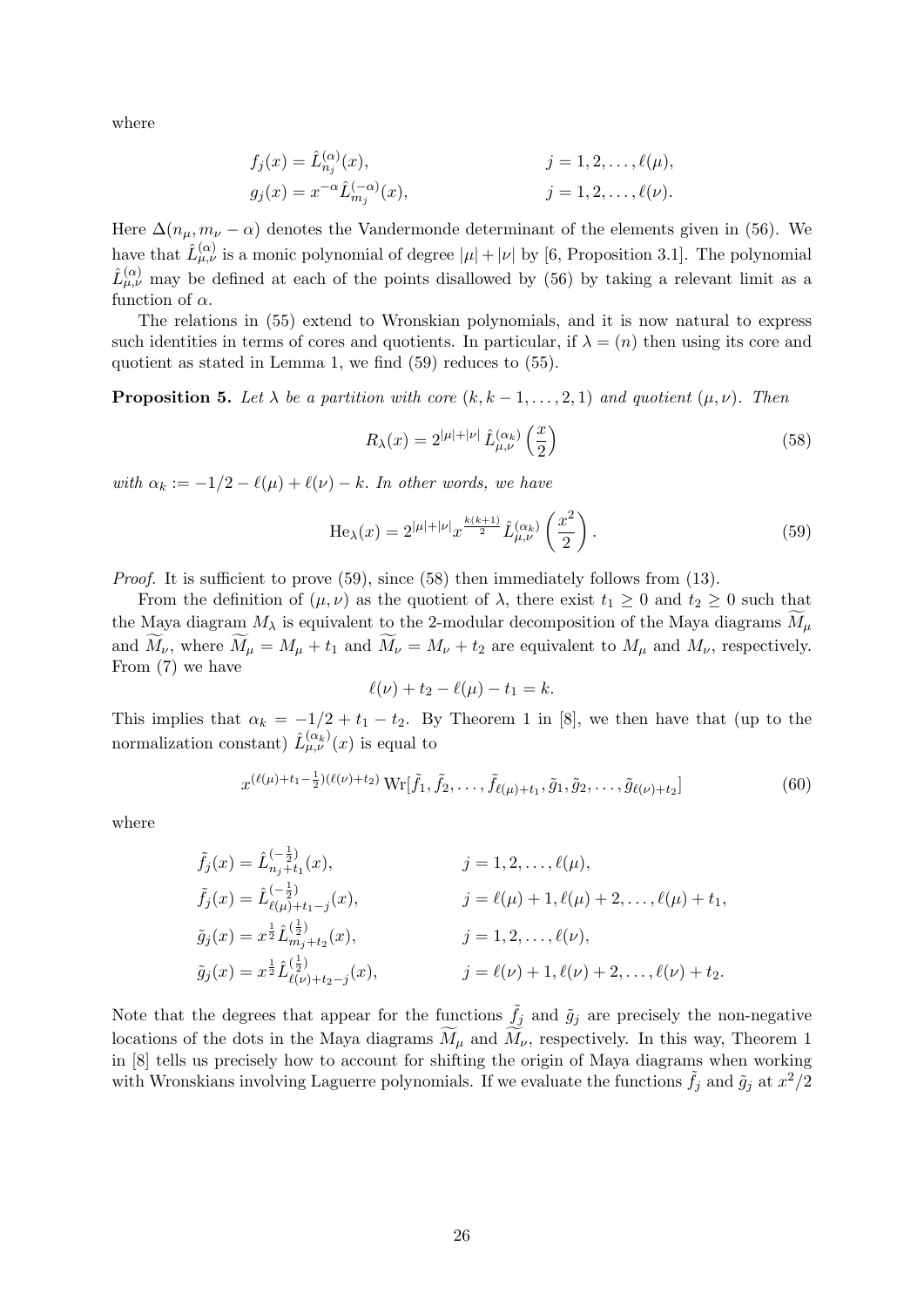where

$$
f_j(x) = \hat{L}_{n_j}^{(\alpha)}(x), \qquad j = 1, 2, ..., \ell(\mu),
$$
  
\n
$$
g_j(x) = x^{-\alpha} \hat{L}_{m_j}^{(-\alpha)}(x), \qquad j = 1, 2, ..., \ell(\nu).
$$

Here  $\Delta(n_{\mu}, m_{\nu} - \alpha)$  denotes the Vandermonde determinant of the elements given in (56). We have that  $\hat{L}^{(\alpha)}_{\mu,\nu}$  is a monic polynomial of degree  $|\mu|+|\nu|$  by [6, Proposition 3.1]. The polynomial  $\hat{L}^{(\alpha)}_{\mu,\nu}$  may be defined at each of the points disallowed by (56) by taking a relevant limit as a function of  $\alpha$ .

The relations in (55) extend to Wronskian polynomials, and it is now natural to express such identities in terms of cores and quotients. In particular, if  $\lambda = (n)$  then using its core and quotient as stated in Lemma 1, we find (59) reduces to (55).

**Proposition 5.** Let  $\lambda$  be a partition with core  $(k, k-1, \ldots, 2, 1)$  and quotient  $(\mu, \nu)$ . Then

$$
R_{\lambda}(x) = 2^{|\mu|+|\nu|} \hat{L}^{(\alpha_k)}_{\mu,\nu} \left(\frac{x}{2}\right)
$$
\n
$$
(58)
$$

with  $\alpha_k := -1/2 - \ell(\mu) + \ell(\nu) - k$ . In other words, we have

$$
\text{He}_{\lambda}(x) = 2^{|\mu| + |\nu|} x^{\frac{k(k+1)}{2}} \hat{L}^{(\alpha_k)}_{\mu,\nu} \left(\frac{x^2}{2}\right). \tag{59}
$$

*Proof.* It is sufficient to prove  $(59)$ , since  $(58)$  then immediately follows from  $(13)$ .

From the definition of  $(\mu, \nu)$  as the quotient of  $\lambda$ , there exist  $t_1 \geq 0$  and  $t_2 \geq 0$  such that the Maya diagram  $M_{\lambda}$  is equivalent to the 2-modular decomposition of the Maya diagrams  $M_{\mu}$ and  $\widetilde{M}_{\nu}$ , where  $\widetilde{M}_{\mu} = M_{\mu} + t_1$  and  $\widetilde{M}_{\nu} = M_{\nu} + t_2$  are equivalent to  $M_{\mu}$  and  $M_{\nu}$ , respectively. From (7) we have

$$
\ell(\nu)+t_2-\ell(\mu)-t_1=k.
$$

This implies that  $\alpha_k = -1/2 + t_1 - t_2$ . By Theorem 1 in [8], we then have that (up to the normalization constant)  $\hat{L}^{(\alpha_k)}_{\mu,\nu}(x)$  is equal to

$$
x^{(\ell(\mu)+t_1-\frac{1}{2})(\ell(\nu)+t_2)} \text{Wr}[\tilde{f}_1, \tilde{f}_2, \dots, \tilde{f}_{\ell(\mu)+t_1}, \tilde{g}_1, \tilde{g}_2, \dots, \tilde{g}_{\ell(\nu)+t_2}] \tag{60}
$$

where

$$
\tilde{f}_j(x) = \hat{L}_{n_j+t_1}^{\left(-\frac{1}{2}\right)}(x), \qquad j = 1, 2, \dots, \ell(\mu),
$$
  
\n
$$
\tilde{f}_j(x) = \hat{L}_{\ell(\mu)+t_1-j}^{\left(-\frac{1}{2}\right)}(x), \qquad j = \ell(\mu) + 1, \ell(\mu) + 2, \dots, \ell(\mu) + t_1,
$$
  
\n
$$
\tilde{g}_j(x) = x^{\frac{1}{2}} \hat{L}_{n_j+t_2}^{\left(\frac{1}{2}\right)}(x), \qquad j = 1, 2, \dots, \ell(\nu),
$$
  
\n
$$
\tilde{g}_j(x) = x^{\frac{1}{2}} \hat{L}_{\ell(\nu)+t_2-j}^{\left(\frac{1}{2}\right)}(x), \qquad j = \ell(\nu) + 1, \ell(\nu) + 2, \dots, \ell(\nu) + t_2.
$$

Note that the degrees that appear for the functions  $\tilde{f}_j$  and  $\tilde{g}_j$  are precisely the non-negative locations of the dots in the Maya diagrams  $\tilde{M}_{\mu}$  and  $\tilde{M}_{\nu}$ , respectively. In this way, Theorem 1 in [8] tells us precisely how to account for shifting the origin of Maya diagrams when working with Wronskians involving Laguerre polynomials. If we evaluate the functions  $\tilde{f}_j$  and  $\tilde{g}_j$  at  $x^2/2$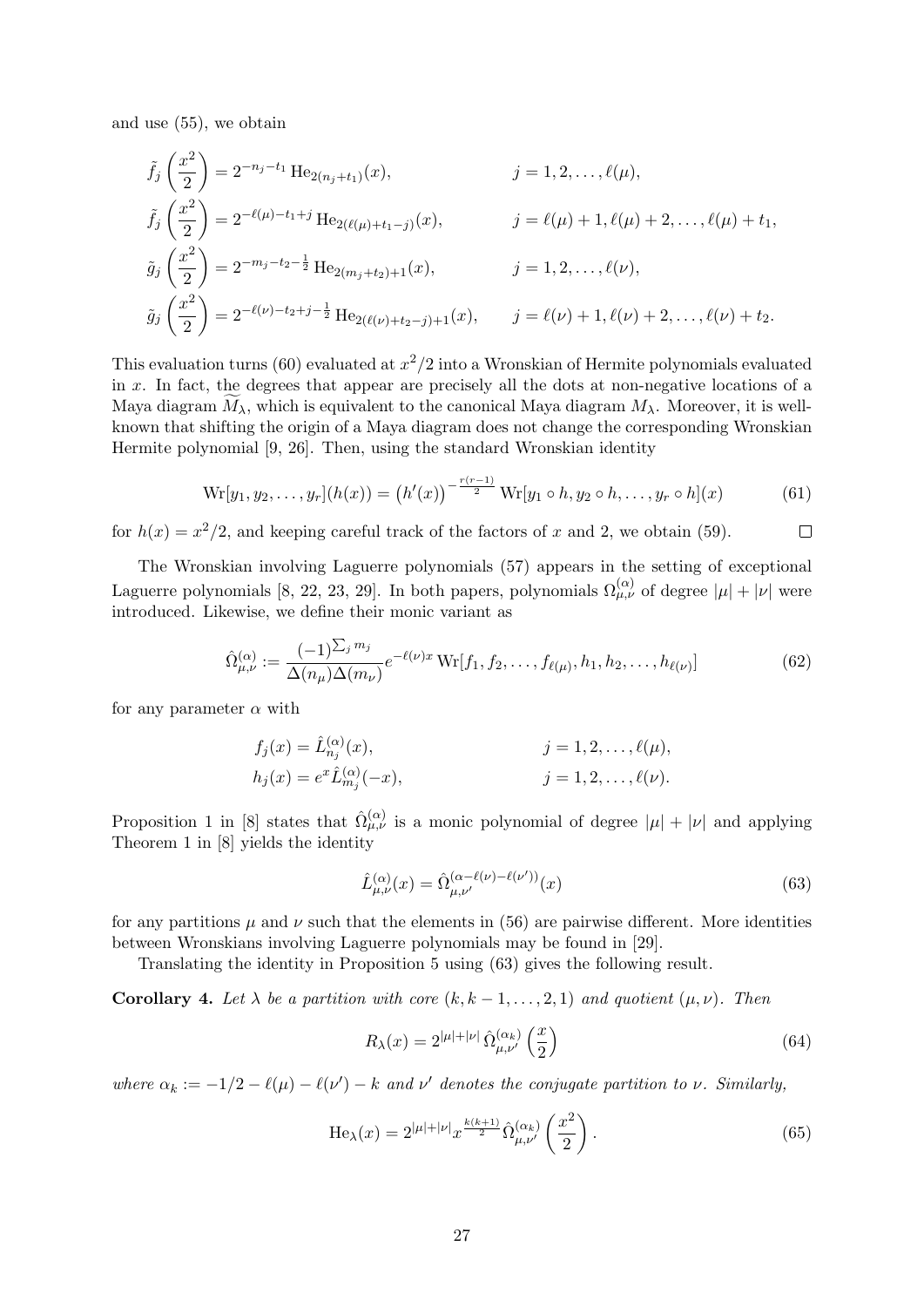and use (55), we obtain

$$
\tilde{f}_j\left(\frac{x^2}{2}\right) = 2^{-n_j - t_1} \text{He}_{2(n_j + t_1)}(x), \qquad j = 1, 2, \dots, \ell(\mu),
$$
\n
$$
\tilde{f}_j\left(\frac{x^2}{2}\right) = 2^{-\ell(\mu) - t_1 + j} \text{He}_{2(\ell(\mu) + t_1 - j)}(x), \qquad j = \ell(\mu) + 1, \ell(\mu) + 2, \dots, \ell(\mu) + t_1,
$$
\n
$$
\tilde{g}_j\left(\frac{x^2}{2}\right) = 2^{-m_j - t_2 - \frac{1}{2}} \text{He}_{2(m_j + t_2) + 1}(x), \qquad j = 1, 2, \dots, \ell(\nu),
$$
\n
$$
\tilde{g}_j\left(\frac{x^2}{2}\right) = 2^{-\ell(\nu) - t_2 + j - \frac{1}{2}} \text{He}_{2(\ell(\nu) + t_2 - j) + 1}(x), \qquad j = \ell(\nu) + 1, \ell(\nu) + 2, \dots, \ell(\nu) + t_2.
$$

This evaluation turns (60) evaluated at  $x^2/2$  into a Wronskian of Hermite polynomials evaluated in  $x$ . In fact, the degrees that appear are precisely all the dots at non-negative locations of a Maya diagram  $M_{\lambda}$ , which is equivalent to the canonical Maya diagram  $M_{\lambda}$ . Moreover, it is wellknown that shifting the origin of a Maya diagram does not change the corresponding Wronskian Hermite polynomial [9, 26]. Then, using the standard Wronskian identity

$$
\text{Wr}[y_1, y_2, \dots, y_r](h(x)) = (h'(x))^{-\frac{r(r-1)}{2}} \text{Wr}[y_1 \circ h, y_2 \circ h, \dots, y_r \circ h](x) \tag{61}
$$

for  $h(x) = x^2/2$ , and keeping careful track of the factors of x and 2, we obtain (59).  $\Box$ 

The Wronskian involving Laguerre polynomials (57) appears in the setting of exceptional Laguerre polynomials [8, 22, 23, 29]. In both papers, polynomials  $\Omega_{\mu,\nu}^{(\alpha)}$  of degree  $|\mu| + |\nu|$  were introduced. Likewise, we define their monic variant as

$$
\hat{\Omega}^{(\alpha)}_{\mu,\nu} := \frac{(-1)^{\sum_j m_j}}{\Delta(n_\mu)\Delta(m_\nu)} e^{-\ell(\nu)x} \operatorname{Wr}[f_1, f_2, \dots, f_{\ell(\mu)}, h_1, h_2, \dots, h_{\ell(\nu)}]
$$
(62)

for any parameter  $\alpha$  with

$$
f_j(x) = \hat{L}_{n_j}^{(\alpha)}(x), \qquad j = 1, 2, ..., \ell(\mu),
$$
  
\n
$$
h_j(x) = e^x \hat{L}_{m_j}^{(\alpha)}(-x), \qquad j = 1, 2, ..., \ell(\nu).
$$

Proposition 1 in [8] states that  $\hat{\Omega}_{\mu,\nu}^{(\alpha)}$  is a monic polynomial of degree  $|\mu| + |\nu|$  and applying Theorem 1 in [8] yields the identity

$$
\hat{L}^{(\alpha)}_{\mu,\nu}(x) = \hat{\Omega}^{(\alpha-\ell(\nu)-\ell(\nu'))}_{\mu,\nu'}(x)
$$
\n(63)

for any partitions  $\mu$  and  $\nu$  such that the elements in (56) are pairwise different. More identities between Wronskians involving Laguerre polynomials may be found in [29].

Translating the identity in Proposition 5 using (63) gives the following result.

**Corollary 4.** Let  $\lambda$  be a partition with core  $(k, k-1, \ldots, 2, 1)$  and quotient  $(\mu, \nu)$ . Then

$$
R_{\lambda}(x) = 2^{|\mu|+|\nu|} \hat{\Omega}^{(\alpha_k)}_{\mu,\nu'}\left(\frac{x}{2}\right) \tag{64}
$$

where  $\alpha_k := -1/2 - \ell(\mu) - \ell(\nu') - k$  and  $\nu'$  denotes the conjugate partition to  $\nu$ . Similarly,

$$
\text{He}_{\lambda}(x) = 2^{|\mu| + |\nu|} x^{\frac{k(k+1)}{2}} \hat{\Omega}^{(\alpha_k)}_{\mu,\nu'} \left(\frac{x^2}{2}\right). \tag{65}
$$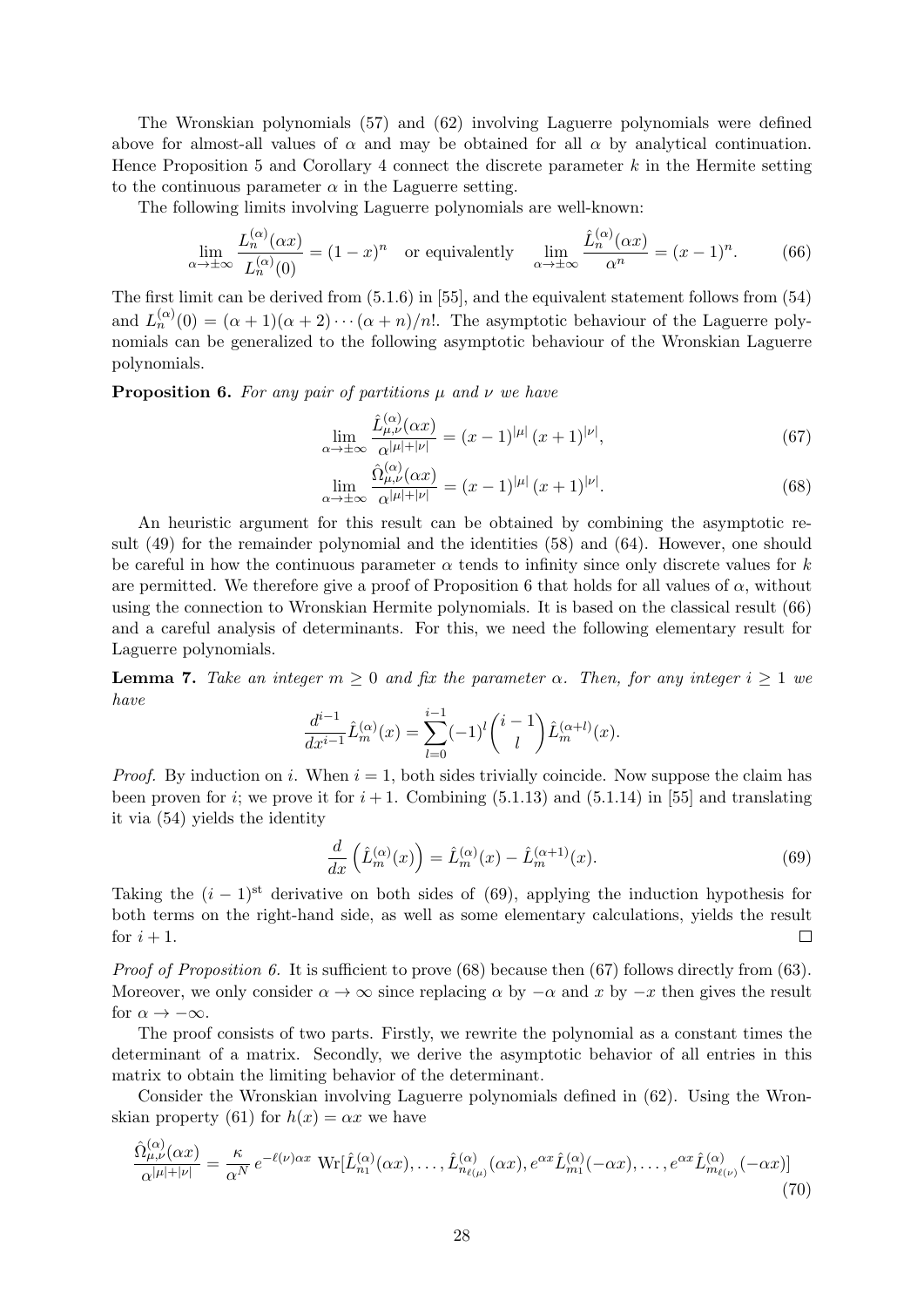The Wronskian polynomials (57) and (62) involving Laguerre polynomials were defined above for almost-all values of  $\alpha$  and may be obtained for all  $\alpha$  by analytical continuation. Hence Proposition 5 and Corollary 4 connect the discrete parameter  $k$  in the Hermite setting to the continuous parameter  $\alpha$  in the Laguerre setting.

The following limits involving Laguerre polynomials are well-known:

$$
\lim_{\alpha \to \pm \infty} \frac{L_n^{(\alpha)}(\alpha x)}{L_n^{(\alpha)}(0)} = (1 - x)^n \quad \text{or equivalently} \quad \lim_{\alpha \to \pm \infty} \frac{\hat{L}_n^{(\alpha)}(\alpha x)}{\alpha^n} = (x - 1)^n. \tag{66}
$$

The first limit can be derived from (5.1.6) in [55], and the equivalent statement follows from (54) and  $L_n^{(\alpha)}(0) = (\alpha + 1)(\alpha + 2) \cdots (\alpha + n)/n!$ . The asymptotic behaviour of the Laguerre polynomials can be generalized to the following asymptotic behaviour of the Wronskian Laguerre polynomials.

**Proposition 6.** For any pair of partitions  $\mu$  and  $\nu$  we have

$$
\lim_{\alpha \to \pm \infty} \frac{\hat{L}^{(\alpha)}_{\mu,\nu}(\alpha x)}{\alpha^{|\mu|+|\nu|}} = (x-1)^{|\mu|} (x+1)^{|\nu|},\tag{67}
$$

$$
\lim_{\alpha \to \pm \infty} \frac{\hat{\Omega}^{(\alpha)}_{\mu,\nu}(\alpha x)}{\alpha^{|\mu|+|\nu|}} = (x-1)^{|\mu|} (x+1)^{|\nu|}.
$$
\n(68)

An heuristic argument for this result can be obtained by combining the asymptotic result (49) for the remainder polynomial and the identities (58) and (64). However, one should be careful in how the continuous parameter  $\alpha$  tends to infinity since only discrete values for k are permitted. We therefore give a proof of Proposition 6 that holds for all values of  $\alpha$ , without using the connection to Wronskian Hermite polynomials. It is based on the classical result (66) and a careful analysis of determinants. For this, we need the following elementary result for Laguerre polynomials.

**Lemma 7.** Take an integer  $m \geq 0$  and fix the parameter  $\alpha$ . Then, for any integer  $i \geq 1$  we have

$$
\frac{d^{i-1}}{dx^{i-1}}\hat{L}_m^{(\alpha)}(x) = \sum_{l=0}^{i-1} (-1)^l \binom{i-1}{l} \hat{L}_m^{(\alpha+l)}(x).
$$

*Proof.* By induction on i. When  $i = 1$ , both sides trivially coincide. Now suppose the claim has been proven for *i*; we prove it for  $i + 1$ . Combining (5.1.13) and (5.1.14) in [55] and translating it via (54) yields the identity

$$
\frac{d}{dx}\left(\hat{L}_m^{(\alpha)}(x)\right) = \hat{L}_m^{(\alpha)}(x) - \hat{L}_m^{(\alpha+1)}(x). \tag{69}
$$

Taking the  $(i - 1)$ <sup>st</sup> derivative on both sides of (69), applying the induction hypothesis for both terms on the right-hand side, as well as some elementary calculations, yields the result for  $i+1$ .  $\Box$ 

*Proof of Proposition 6.* It is sufficient to prove  $(68)$  because then  $(67)$  follows directly from  $(63)$ . Moreover, we only consider  $\alpha \to \infty$  since replacing  $\alpha$  by  $-\alpha$  and x by  $-x$  then gives the result for  $\alpha \to -\infty$ .

The proof consists of two parts. Firstly, we rewrite the polynomial as a constant times the determinant of a matrix. Secondly, we derive the asymptotic behavior of all entries in this matrix to obtain the limiting behavior of the determinant.

Consider the Wronskian involving Laguerre polynomials defined in (62). Using the Wronskian property (61) for  $h(x) = \alpha x$  we have

$$
\frac{\hat{\Omega}_{\mu,\nu}^{(\alpha)}(\alpha x)}{\alpha^{|\mu|+|\nu|}} = \frac{\kappa}{\alpha^N} e^{-\ell(\nu)\alpha x} \operatorname{Wr}[\hat{L}_{n_1}^{(\alpha)}(\alpha x), \dots, \hat{L}_{n_{\ell(\mu)}}^{(\alpha)}(\alpha x), e^{\alpha x} \hat{L}_{m_1}^{(\alpha)}(-\alpha x), \dots, e^{\alpha x} \hat{L}_{m_{\ell(\nu)}}^{(\alpha)}(-\alpha x)] \tag{70}
$$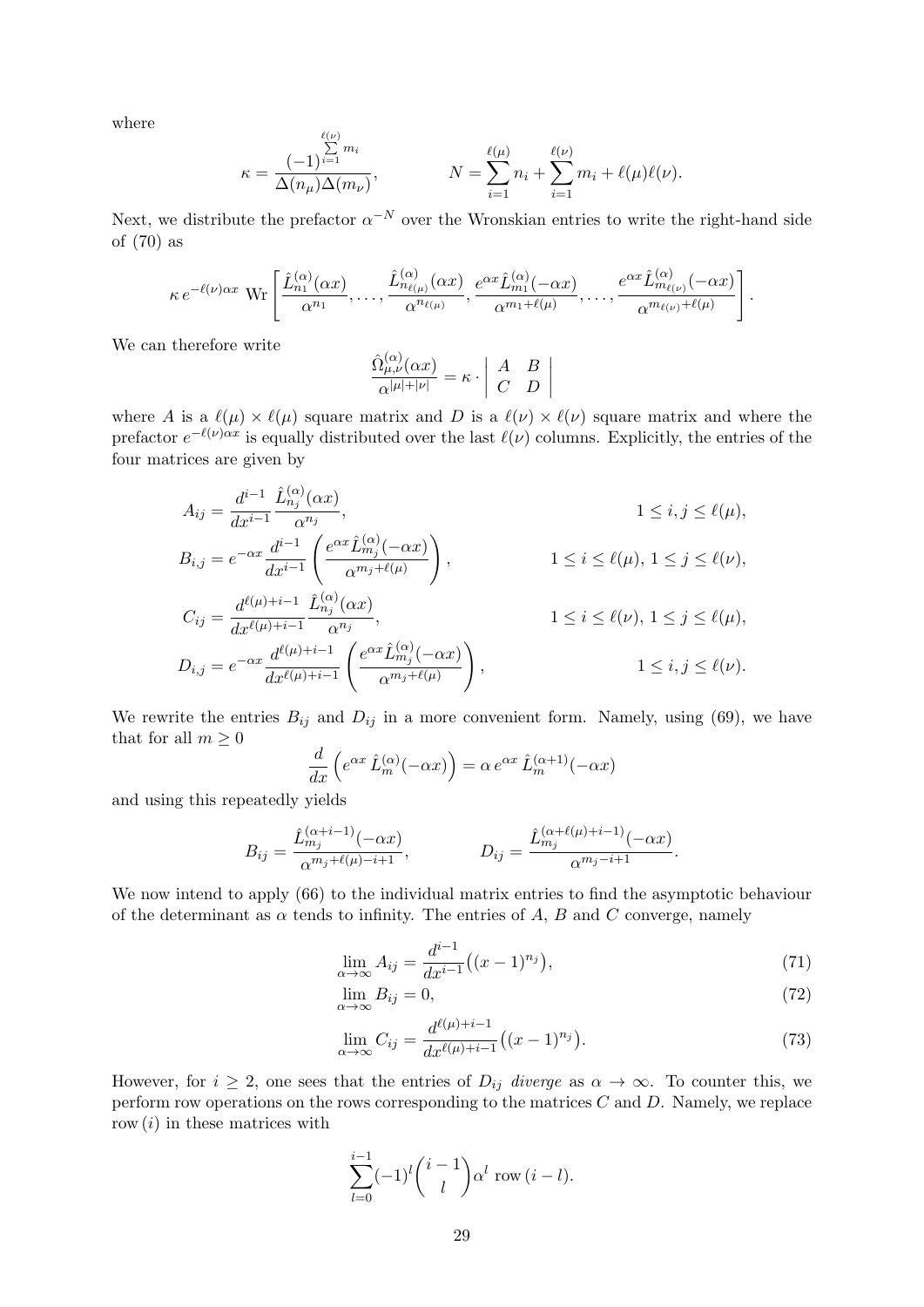where

$$
\kappa = \frac{(-1)^{\sum\limits_{i=1}^{\ell(\nu)} m_i}}{\Delta(n_{\mu})\Delta(m_{\nu})}, \qquad N = \sum\limits_{i=1}^{\ell(\mu)} n_i + \sum\limits_{i=1}^{\ell(\nu)} m_i + \ell(\mu)\ell(\nu).
$$

Next, we distribute the prefactor  $\alpha^{-N}$  over the Wronskian entries to write the right-hand side of (70) as

$$
\kappa e^{-\ell(\nu)\alpha x} \operatorname{Wr}\left[\frac{\hat{L}_{n_1}^{(\alpha)}(\alpha x)}{\alpha^{n_1}},\ldots,\frac{\hat{L}_{n_{\ell(\mu)}}^{(\alpha)}(\alpha x)}{\alpha^{n_{\ell(\mu)}}},\frac{e^{\alpha x}\hat{L}_{m_1}^{(\alpha)}(-\alpha x)}{\alpha^{m_1+\ell(\mu)}},\ldots,\frac{e^{\alpha x}\hat{L}_{m_{\ell(\nu)}}^{(\alpha)}(-\alpha x)}{\alpha^{m_{\ell(\nu)}+\ell(\mu)}}\right].
$$

We can therefore write

$$
\frac{\hat{\Omega}_{\mu,\nu}^{(\alpha)}(\alpha x)}{\alpha^{|\mu|+|\nu|}} = \kappa \cdot \left| \begin{array}{cc} A & B \\ C & D \end{array} \right|
$$

where A is a  $\ell(\mu) \times \ell(\mu)$  square matrix and D is a  $\ell(\nu) \times \ell(\nu)$  square matrix and where the prefactor  $e^{-\ell(\nu)\alpha x}$  is equally distributed over the last  $\ell(\nu)$  columns. Explicitly, the entries of the four matrices are given by

$$
A_{ij} = \frac{d^{i-1}}{dx^{i-1}} \frac{\hat{L}_{n_j}^{(\alpha)}(\alpha x)}{\alpha^{n_j}},
$$
  
\n
$$
B_{i,j} = e^{-\alpha x} \frac{d^{i-1}}{dx^{i-1}} \left( \frac{e^{\alpha x} \hat{L}_{m_j}^{(\alpha)}(-\alpha x)}{\alpha^{m_j + \ell(\mu)}} \right),
$$
  
\n
$$
C_{ij} = \frac{d^{\ell(\mu)+i-1}}{dx^{\ell(\mu)+i-1}} \frac{\hat{L}_{n_j}^{(\alpha)}(\alpha x)}{\alpha^{n_j}},
$$
  
\n
$$
1 \leq i \leq \ell(\mu), 1 \leq j \leq \ell(\nu),
$$
  
\n
$$
D_{i,j} = e^{-\alpha x} \frac{d^{\ell(\mu)+i-1}}{dx^{\ell(\mu)+i-1}} \left( \frac{e^{\alpha x} \hat{L}_{m_j}^{(\alpha)}(-\alpha x)}{\alpha^{m_j + \ell(\mu)}} \right),
$$
  
\n
$$
1 \leq i, j \leq \ell(\nu).
$$
  
\n
$$
1 \leq i, j \leq \ell(\nu).
$$

We rewrite the entries  $B_{ij}$  and  $D_{ij}$  in a more convenient form. Namely, using (69), we have that for all  $m \geq 0$ 

$$
\frac{d}{dx}\left(e^{\alpha x}\,\hat{L}_m^{(\alpha)}(-\alpha x)\right) = \alpha \,e^{\alpha x}\,\hat{L}_m^{(\alpha+1)}(-\alpha x)
$$

and using this repeatedly yields

$$
B_{ij} = \frac{\hat{L}_{m_j}^{(\alpha+i-1)}(-\alpha x)}{\alpha^{m_j + \ell(\mu) - i + 1}}, \qquad D_{ij} = \frac{\hat{L}_{m_j}^{(\alpha+\ell(\mu)+i-1)}(-\alpha x)}{\alpha^{m_j - i + 1}}.
$$

We now intend to apply  $(66)$  to the individual matrix entries to find the asymptotic behaviour of the determinant as  $\alpha$  tends to infinity. The entries of A, B and C converge, namely

$$
\lim_{\alpha \to \infty} A_{ij} = \frac{d^{i-1}}{dx^{i-1}} \big( (x-1)^{n_j} \big),\tag{71}
$$

$$
\lim_{\alpha \to \infty} B_{ij} = 0,\tag{72}
$$

$$
\lim_{\alpha \to \infty} C_{ij} = \frac{d^{\ell(\mu)+i-1}}{dx^{\ell(\mu)+i-1}} \big( (x-1)^{n_j} \big). \tag{73}
$$

However, for  $i \geq 2$ , one sees that the entries of  $D_{ij}$  diverge as  $\alpha \to \infty$ . To counter this, we perform row operations on the rows corresponding to the matrices  $C$  and  $D$ . Namely, we replace row  $(i)$  in these matrices with

$$
\sum_{l=0}^{i-1}(-1)^l\binom{i-1}{l}\alpha^l\,\operatorname{row}\,(i-l).
$$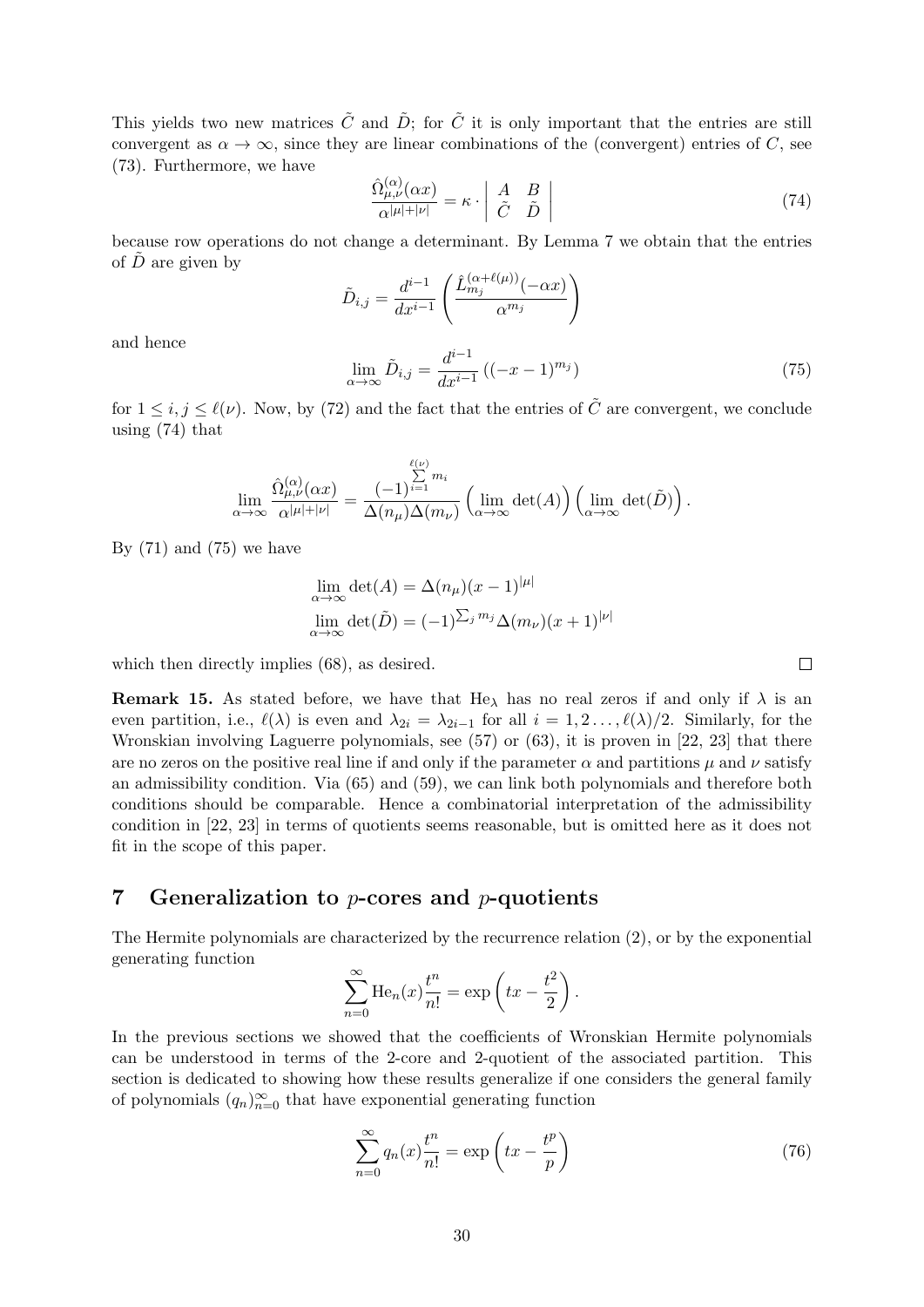This yields two new matrices  $\tilde{C}$  and  $\tilde{D}$ ; for  $\tilde{C}$  it is only important that the entries are still convergent as  $\alpha \to \infty$ , since they are linear combinations of the (convergent) entries of C, see (73). Furthermore, we have

$$
\frac{\hat{\Omega}^{(\alpha)}_{\mu,\nu}(\alpha x)}{\alpha^{|\mu|+|\nu|}} = \kappa \cdot \left| \begin{array}{cc} A & B \\ \tilde{C} & \tilde{D} \end{array} \right| \tag{74}
$$

because row operations do not change a determinant. By Lemma 7 we obtain that the entries of  $\overline{D}$  are given by

$$
\tilde{D}_{i,j} = \frac{d^{i-1}}{dx^{i-1}} \left( \frac{\hat{L}_{m_j}^{(\alpha+\ell(\mu))}(-\alpha x)}{\alpha^{m_j}} \right)
$$

and hence

$$
\lim_{\alpha \to \infty} \tilde{D}_{i,j} = \frac{d^{i-1}}{dx^{i-1}} \left( (-x-1)^{m_j} \right) \tag{75}
$$

for  $1 \leq i, j \leq \ell(\nu)$ . Now, by (72) and the fact that the entries of  $\tilde{C}$  are convergent, we conclude using (74) that

$$
\lim_{\alpha \to \infty} \frac{\hat{\Omega}^{(\alpha)}_{\mu,\nu}(\alpha x)}{\alpha^{|\mu|+|\nu|}} = \frac{(-1)^{\sum\limits_{i=1}^{\ell(\nu)}} m_i}{\Delta(n_{\mu})\Delta(m_{\nu})} \left(\lim_{\alpha \to \infty} \det(A)\right) \left(\lim_{\alpha \to \infty} \det(\tilde{D})\right).
$$

By  $(71)$  and  $(75)$  we have

$$
\lim_{\alpha \to \infty} \det(A) = \Delta(n_{\mu})(x - 1)^{|\mu|}
$$

$$
\lim_{\alpha \to \infty} \det(\tilde{D}) = (-1)^{\sum_j m_j} \Delta(m_{\nu})(x + 1)^{|\nu|}
$$

which then directly implies (68), as desired.

**Remark 15.** As stated before, we have that He<sub> $\lambda$ </sub> has no real zeros if and only if  $\lambda$  is an even partition, i.e.,  $\ell(\lambda)$  is even and  $\lambda_{2i} = \lambda_{2i-1}$  for all  $i = 1, 2, \ldots, \ell(\lambda)/2$ . Similarly, for the Wronskian involving Laguerre polynomials, see (57) or (63), it is proven in [22, 23] that there are no zeros on the positive real line if and only if the parameter  $\alpha$  and partitions  $\mu$  and  $\nu$  satisfy an admissibility condition. Via (65) and (59), we can link both polynomials and therefore both conditions should be comparable. Hence a combinatorial interpretation of the admissibility condition in [22, 23] in terms of quotients seems reasonable, but is omitted here as it does not fit in the scope of this paper.

## 7 Generalization to  $p$ -cores and  $p$ -quotients

The Hermite polynomials are characterized by the recurrence relation (2), or by the exponential generating function

$$
\sum_{n=0}^{\infty} \text{He}_n(x) \frac{t^n}{n!} = \exp\left(tx - \frac{t^2}{2}\right).
$$

In the previous sections we showed that the coefficients of Wronskian Hermite polynomials can be understood in terms of the 2-core and 2-quotient of the associated partition. This section is dedicated to showing how these results generalize if one considers the general family of polynomials  $(q_n)_{n=0}^{\infty}$  that have exponential generating function

$$
\sum_{n=0}^{\infty} q_n(x) \frac{t^n}{n!} = \exp\left(tx - \frac{t^p}{p}\right)
$$
\n(76)

 $\Box$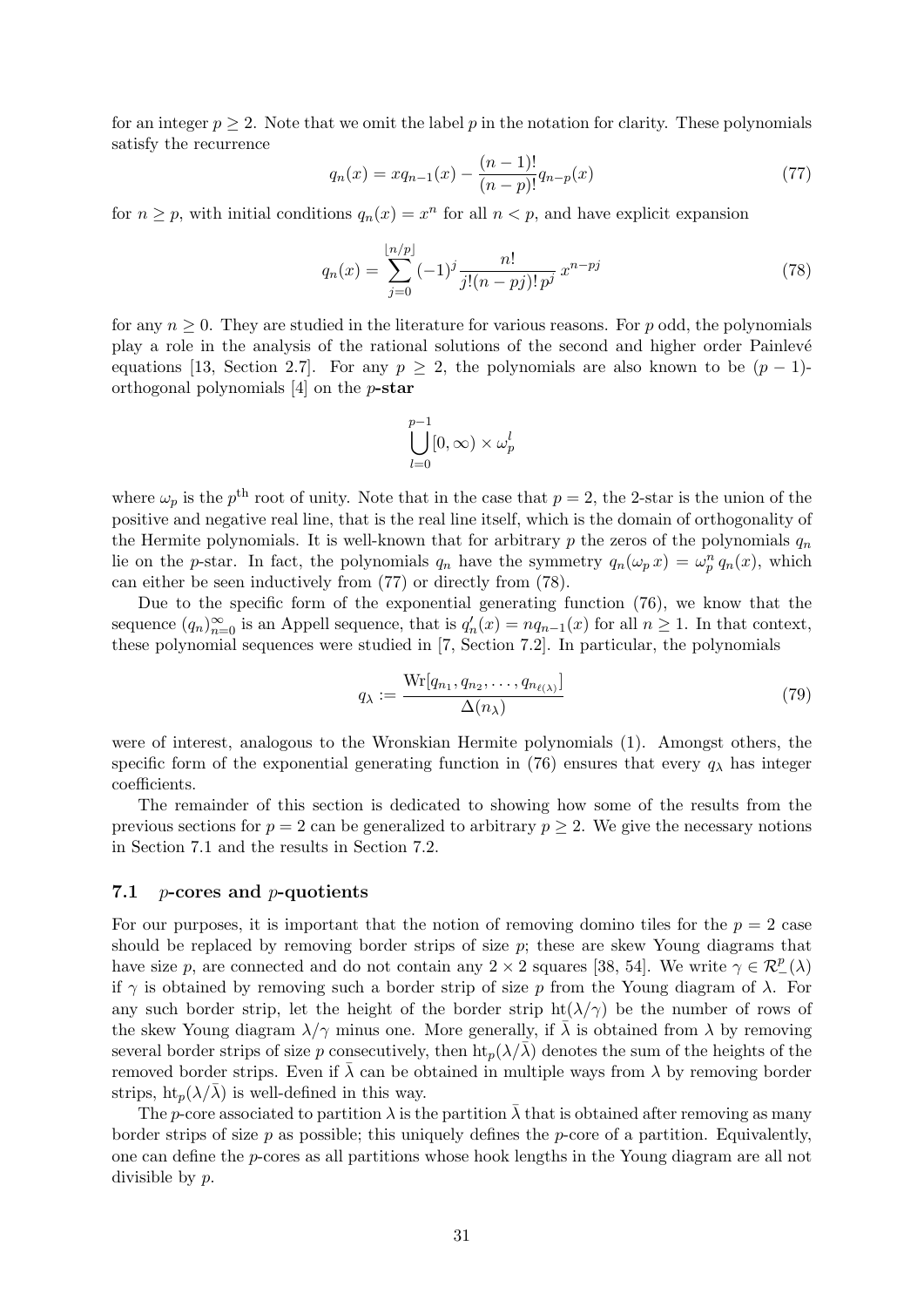for an integer  $p \geq 2$ . Note that we omit the label p in the notation for clarity. These polynomials satisfy the recurrence

$$
q_n(x) = xq_{n-1}(x) - \frac{(n-1)!}{(n-p)!}q_{n-p}(x)
$$
\n(77)

for  $n \geq p$ , with initial conditions  $q_n(x) = x^n$  for all  $n < p$ , and have explicit expansion

$$
q_n(x) = \sum_{j=0}^{\lfloor n/p \rfloor} (-1)^j \frac{n!}{j!(n-pj)! \, p^j} \, x^{n-pj} \tag{78}
$$

for any  $n \geq 0$ . They are studied in the literature for various reasons. For p odd, the polynomials play a role in the analysis of the rational solutions of the second and higher order Painlevé equations [13, Section 2.7]. For any  $p \ge 2$ , the polynomials are also known to be  $(p-1)$ orthogonal polynomials [4] on the p-star

$$
\bigcup_{l=0}^{p-1} [0, \infty) \times \omega_p^l
$$

where  $\omega_p$  is the  $p^{\text{th}}$  root of unity. Note that in the case that  $p=2$ , the 2-star is the union of the positive and negative real line, that is the real line itself, which is the domain of orthogonality of the Hermite polynomials. It is well-known that for arbitrary p the zeros of the polynomials  $q_n$ lie on the p-star. In fact, the polynomials  $q_n$  have the symmetry  $q_n(\omega_p x) = \omega_p^n q_n(x)$ , which can either be seen inductively from (77) or directly from (78).

Due to the specific form of the exponential generating function (76), we know that the sequence  $(q_n)_{n=0}^{\infty}$  is an Appell sequence, that is  $q'_n(x) = nq_{n-1}(x)$  for all  $n \ge 1$ . In that context, these polynomial sequences were studied in [7, Section 7.2]. In particular, the polynomials

$$
q_{\lambda} := \frac{\text{Wr}[q_{n_1}, q_{n_2}, \dots, q_{n_{\ell(\lambda)}}]}{\Delta(n_{\lambda})}
$$
\n(79)

were of interest, analogous to the Wronskian Hermite polynomials (1). Amongst others, the specific form of the exponential generating function in (76) ensures that every  $q_{\lambda}$  has integer coefficients.

The remainder of this section is dedicated to showing how some of the results from the previous sections for  $p = 2$  can be generalized to arbitrary  $p \ge 2$ . We give the necessary notions in Section 7.1 and the results in Section 7.2.

#### 7.1 p-cores and p-quotients

For our purposes, it is important that the notion of removing domino tiles for the  $p = 2$  case should be replaced by removing border strips of size  $p$ ; these are skew Young diagrams that have size p, are connected and do not contain any 2 × 2 squares [38, 54]. We write  $\gamma \in \mathcal{R}^p_-(\lambda)$ if  $\gamma$  is obtained by removing such a border strip of size p from the Young diagram of  $\lambda$ . For any such border strip, let the height of the border strip  $ht(\lambda/\gamma)$  be the number of rows of the skew Young diagram  $\lambda/\gamma$  minus one. More generally, if  $\bar{\lambda}$  is obtained from  $\lambda$  by removing several border strips of size p consecutively, then  $\text{ht}_n(\lambda/\overline{\lambda})$  denotes the sum of the heights of the removed border strips. Even if  $\overline{\lambda}$  can be obtained in multiple ways from  $\lambda$  by removing border strips,  $\text{ht}_p(\lambda/\overline{\lambda})$  is well-defined in this way.

The p-core associated to partition  $\lambda$  is the partition  $\bar{\lambda}$  that is obtained after removing as many border strips of size  $p$  as possible; this uniquely defines the  $p$ -core of a partition. Equivalently, one can define the p-cores as all partitions whose hook lengths in the Young diagram are all not divisible by p.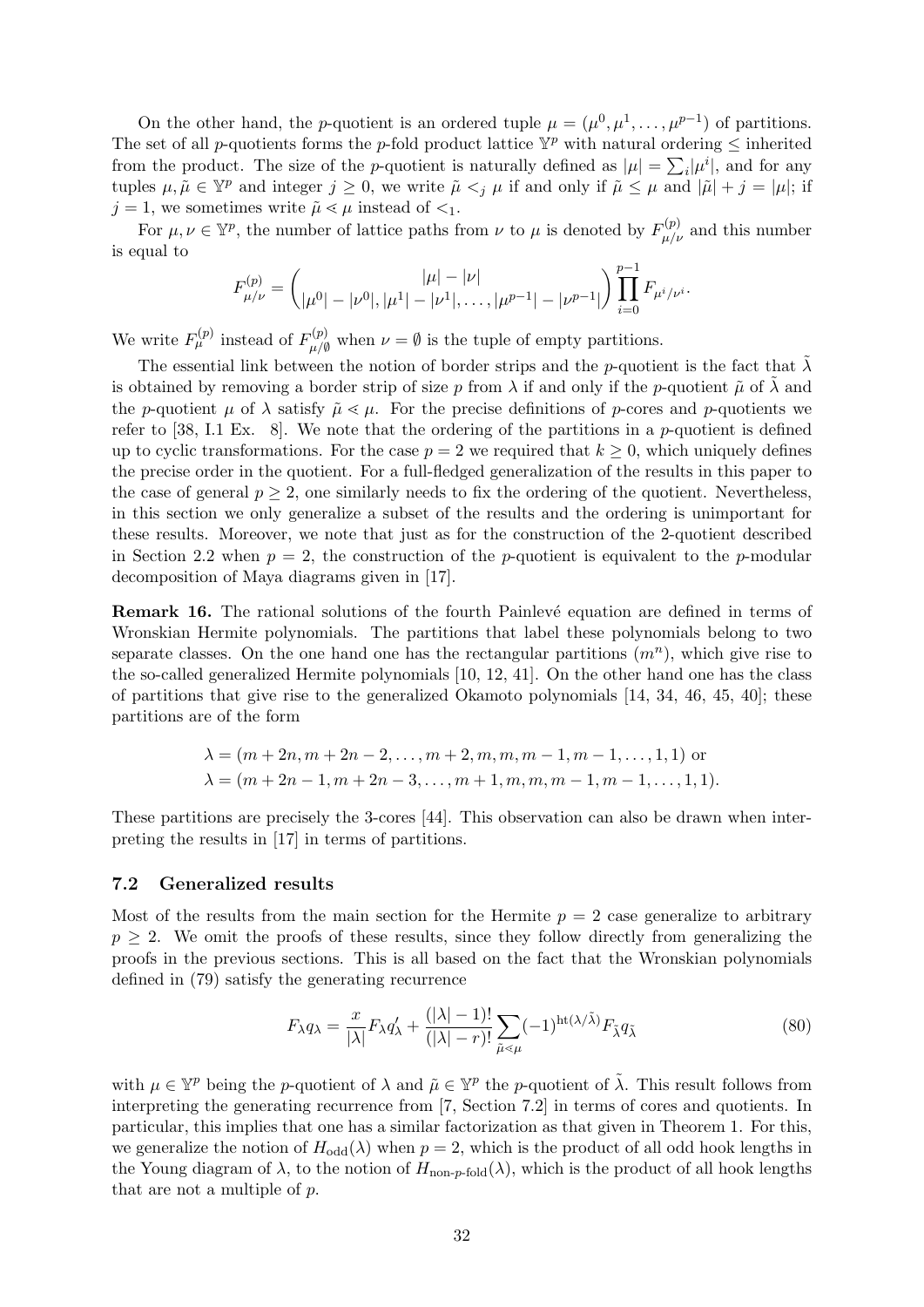On the other hand, the p-quotient is an ordered tuple  $\mu = (\mu^0, \mu^1, \dots, \mu^{p-1})$  of partitions. The set of all p-quotients forms the p-fold product lattice  $\mathbb{Y}^p$  with natural ordering  $\leq$  inherited from the product. The size of the *p*-quotient is naturally defined as  $|\mu| = \sum_i |\mu^i|$ , and for any tuples  $\mu, \tilde{\mu} \in \mathbb{Y}^p$  and integer  $j \geq 0$ , we write  $\tilde{\mu} \leq_{j} \mu$  if and only if  $\tilde{\mu} \leq \mu$  and  $|\tilde{\mu}| + j = |\mu|$ ; if  $j = 1$ , we sometimes write  $\tilde{\mu} \leq \mu$  instead of  $\leq_1$ .

For  $\mu, \nu \in \mathbb{Y}^p$ , the number of lattice paths from  $\nu$  to  $\mu$  is denoted by  $F^{(p)}_{\mu/\nu}$  and this number is equal to

$$
F_{\mu/\nu}^{(p)} = \binom{|\mu| - |\nu|}{|\mu^0| - |\nu^0|, |\mu^1| - |\nu^1|, \dots, |\mu^{p-1}| - |\nu^{p-1}|} \prod_{i=0}^{p-1} F_{\mu^i/\nu^i}.
$$

We write  $F_{\mu}^{(p)}$  instead of  $F_{\mu\mu}^{(p)}$  $\mu^{(p)}_{\mu/\emptyset}$  when  $\nu = \emptyset$  is the tuple of empty partitions.

The essential link between the notion of border strips and the p-quotient is the fact that  $\tilde{\lambda}$ is obtained by removing a border strip of size p from  $\lambda$  if and only if the p-quotient  $\tilde{\mu}$  of  $\lambda$  and the p-quotient  $\mu$  of  $\lambda$  satisfy  $\tilde{\mu} \leq \mu$ . For the precise definitions of p-cores and p-quotients we refer to  $[38, 1.1]$  Ex. 8. We note that the ordering of the partitions in a p-quotient is defined up to cyclic transformations. For the case  $p = 2$  we required that  $k \geq 0$ , which uniquely defines the precise order in the quotient. For a full-fledged generalization of the results in this paper to the case of general  $p \geq 2$ , one similarly needs to fix the ordering of the quotient. Nevertheless, in this section we only generalize a subset of the results and the ordering is unimportant for these results. Moreover, we note that just as for the construction of the 2-quotient described in Section 2.2 when  $p = 2$ , the construction of the p-quotient is equivalent to the p-modular decomposition of Maya diagrams given in [17].

**Remark 16.** The rational solutions of the fourth Painlevé equation are defined in terms of Wronskian Hermite polynomials. The partitions that label these polynomials belong to two separate classes. On the one hand one has the rectangular partitions  $(m^n)$ , which give rise to the so-called generalized Hermite polynomials [10, 12, 41]. On the other hand one has the class of partitions that give rise to the generalized Okamoto polynomials  $[14, 34, 46, 45, 40]$ ; these partitions are of the form

$$
\lambda = (m+2n, m+2n-2, \dots, m+2, m, m, m-1, m-1, \dots, 1, 1)
$$
or  

$$
\lambda = (m+2n-1, m+2n-3, \dots, m+1, m, m, m-1, m-1, \dots, 1, 1).
$$

These partitions are precisely the 3-cores [44]. This observation can also be drawn when interpreting the results in [17] in terms of partitions.

#### 7.2 Generalized results

Most of the results from the main section for the Hermite  $p = 2$  case generalize to arbitrary  $p \geq 2$ . We omit the proofs of these results, since they follow directly from generalizing the proofs in the previous sections. This is all based on the fact that the Wronskian polynomials defined in (79) satisfy the generating recurrence

$$
F_{\lambda}q_{\lambda} = \frac{x}{|\lambda|}F_{\lambda}q_{\lambda}' + \frac{(|\lambda|-1)!}{(|\lambda|-r)!} \sum_{\tilde{\mu} \le \mu} (-1)^{\text{ht}(\lambda/\tilde{\lambda})} F_{\tilde{\lambda}}q_{\tilde{\lambda}} \tag{80}
$$

with  $\mu \in \mathbb{Y}^p$  being the p-quotient of  $\lambda$  and  $\tilde{\mu} \in \mathbb{Y}^p$  the p-quotient of  $\tilde{\lambda}$ . This result follows from interpreting the generating recurrence from [7, Section 7.2] in terms of cores and quotients. In particular, this implies that one has a similar factorization as that given in Theorem 1. For this, we generalize the notion of  $H_{odd}(\lambda)$  when  $p = 2$ , which is the product of all odd hook lengths in the Young diagram of  $\lambda$ , to the notion of  $H_{\text{non-p-fold}}(\lambda)$ , which is the product of all hook lengths that are not a multiple of p.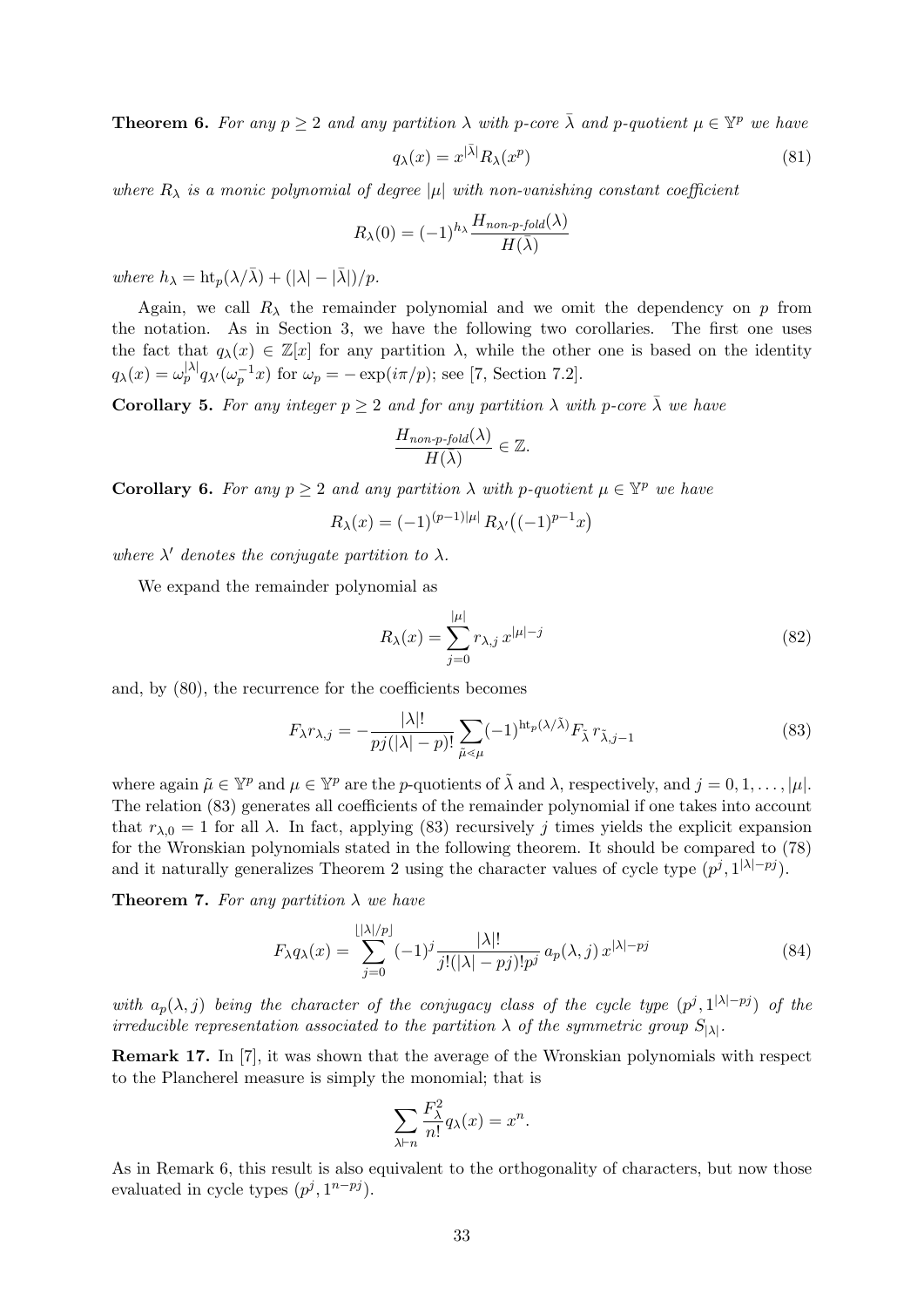**Theorem 6.** For any  $p \ge 2$  and any partition  $\lambda$  with p-core  $\bar{\lambda}$  and p-quotient  $\mu \in \mathbb{Y}^p$  we have

$$
q_{\lambda}(x) = x^{|\bar{\lambda}|} R_{\lambda}(x^p)
$$
\n(81)

where  $R_{\lambda}$  is a monic polynomial of degree |µ| with non-vanishing constant coefficient

$$
R_{\lambda}(0) = (-1)^{h_{\lambda}} \frac{H_{non\text{-}p\text{-}fold}(\lambda)}{H(\bar{\lambda})}
$$

where  $h_{\lambda} = \frac{ht_n(\lambda/\bar{\lambda}) + (|\lambda| - |\bar{\lambda}|)}{p}.$ 

Again, we call  $R_{\lambda}$  the remainder polynomial and we omit the dependency on p from the notation. As in Section 3, we have the following two corollaries. The first one uses the fact that  $q_\lambda(x) \in \mathbb{Z}[x]$  for any partition  $\lambda$ , while the other one is based on the identity  $q_{\lambda}(x) = \omega_p^{|\lambda|} q_{\lambda'}(\omega_p^{-1}x)$  for  $\omega_p = -\exp(i\pi/p)$ ; see [7, Section 7.2].

**Corollary 5.** For any integer  $p \geq 2$  and for any partition  $\lambda$  with p-core  $\bar{\lambda}$  we have

$$
\frac{H_{non\text{-}p\text{-}fold}(\lambda)}{H(\bar{\lambda})} \in \mathbb{Z}.
$$

**Corollary 6.** For any  $p \ge 2$  and any partition  $\lambda$  with p-quotient  $\mu \in \mathbb{Y}^p$  we have

$$
R_{\lambda}(x) = (-1)^{(p-1)|\mu|} R_{\lambda'}((-1)^{p-1}x)
$$

where  $\lambda'$  denotes the conjugate partition to  $\lambda$ .

We expand the remainder polynomial as

$$
R_{\lambda}(x) = \sum_{j=0}^{|\mu|} r_{\lambda,j} x^{|\mu|-j}
$$
 (82)

and, by (80), the recurrence for the coefficients becomes

$$
F_{\lambda}r_{\lambda,j} = -\frac{|\lambda|!}{pj(|\lambda|-p)!} \sum_{\tilde{\mu}\leq \mu} (-1)^{\mathrm{ht}_{p}(\lambda/\tilde{\lambda})} F_{\tilde{\lambda}} r_{\tilde{\lambda},j-1}
$$
(83)

where again  $\tilde{\mu} \in \mathbb{Y}^p$  and  $\mu \in \mathbb{Y}^p$  are the p-quotients of  $\tilde{\lambda}$  and  $\lambda$ , respectively, and  $j = 0, 1, \ldots, |\mu|$ . The relation (83) generates all coefficients of the remainder polynomial if one takes into account that  $r_{\lambda,0} = 1$  for all  $\lambda$ . In fact, applying (83) recursively j times yields the explicit expansion for the Wronskian polynomials stated in the following theorem. It should be compared to (78) and it naturally generalizes Theorem 2 using the character values of cycle type  $(p^j, 1^{|\lambda|-pj})$ .

**Theorem 7.** For any partition  $\lambda$  we have

$$
F_{\lambda}q_{\lambda}(x) = \sum_{j=0}^{\lfloor |\lambda|/p \rfloor} (-1)^{j} \frac{|\lambda|!}{j!(|\lambda| - pj)!p^{j}} a_{p}(\lambda, j) x^{|\lambda| - pj}
$$
(84)

with  $a_p(\lambda, j)$  being the character of the conjugacy class of the cycle type  $(p^j, 1^{|\lambda|-pj})$  of the irreducible representation associated to the partition  $\lambda$  of the symmetric group  $S_{|\lambda|}$ .

Remark 17. In [7], it was shown that the average of the Wronskian polynomials with respect to the Plancherel measure is simply the monomial; that is

$$
\sum_{\lambda \vdash n} \frac{F_{\lambda}^2}{n!} q_{\lambda}(x) = x^n.
$$

As in Remark 6, this result is also equivalent to the orthogonality of characters, but now those evaluated in cycle types  $(p^j, 1^{n-pj})$ .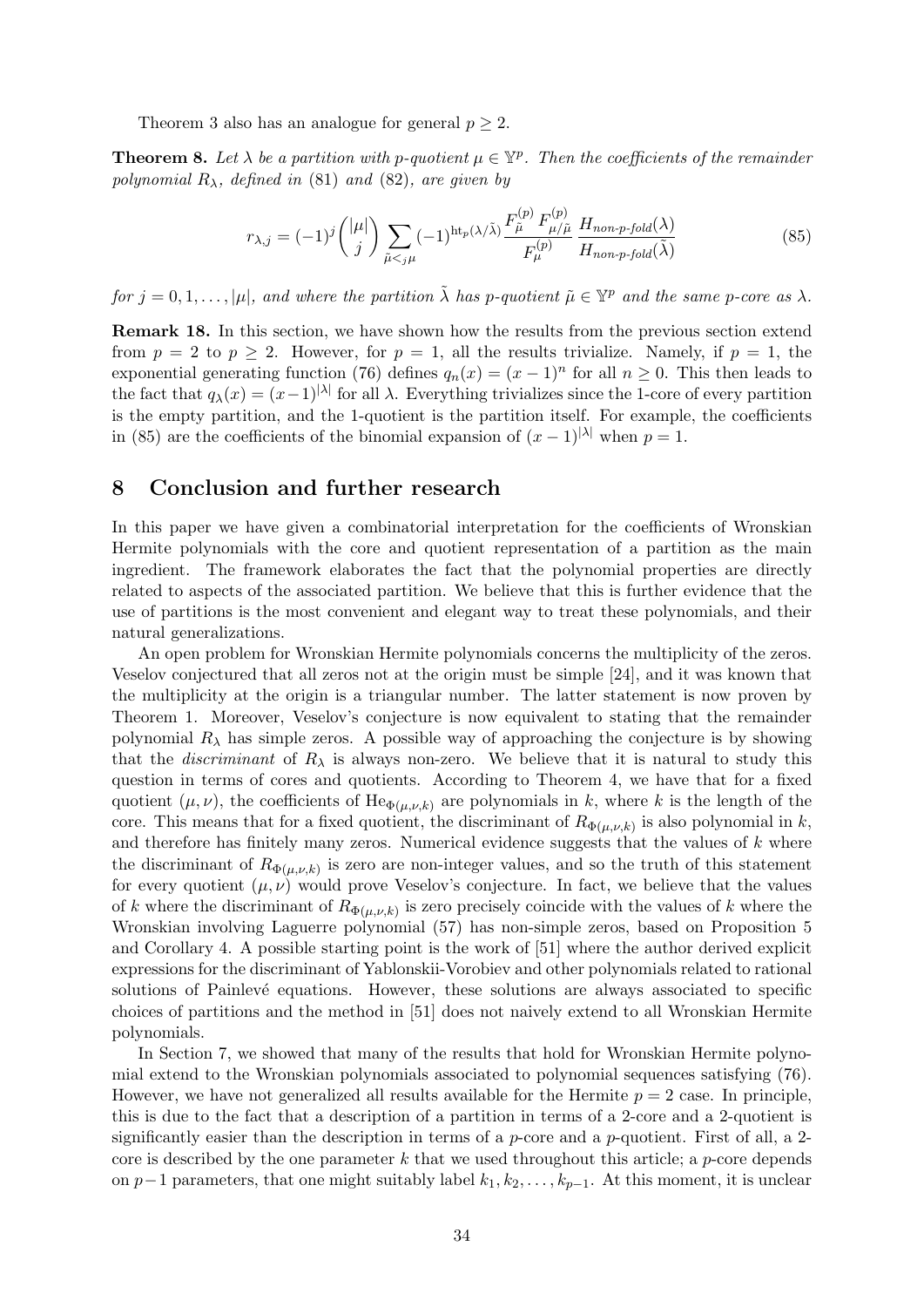Theorem 3 also has an analogue for general  $p \geq 2$ .

**Theorem 8.** Let  $\lambda$  be a partition with p-quotient  $\mu \in \mathbb{Y}^p$ . Then the coefficients of the remainder polynomial  $R_{\lambda}$ , defined in (81) and (82), are given by

$$
r_{\lambda,j} = (-1)^j \binom{|\mu|}{j} \sum_{\tilde{\mu} < j\mu} (-1)^{\text{ht}_p(\lambda/\tilde{\lambda})} \frac{F_{\tilde{\mu}}^{(p)} F_{\mu/\tilde{\mu}}^{(p)}}{F_{\mu}^{(p)}} \frac{H_{non\text{-}p\text{-}fold}(\lambda)}{H_{non\text{-}p\text{-}fold}(\tilde{\lambda})} \tag{85}
$$

for  $j = 0, 1, \ldots, |\mu|$ , and where the partition  $\tilde{\lambda}$  has p-quotient  $\tilde{\mu} \in \mathbb{Y}^p$  and the same p-core as  $\lambda$ .

Remark 18. In this section, we have shown how the results from the previous section extend from  $p = 2$  to  $p \ge 2$ . However, for  $p = 1$ , all the results trivialize. Namely, if  $p = 1$ , the exponential generating function (76) defines  $q_n(x) = (x - 1)^n$  for all  $n \ge 0$ . This then leads to the fact that  $q_{\lambda}(x) = (x-1)^{|\lambda|}$  for all  $\lambda$ . Everything trivializes since the 1-core of every partition is the empty partition, and the 1-quotient is the partition itself. For example, the coefficients in (85) are the coefficients of the binomial expansion of  $(x - 1)^{|\lambda|}$  when  $p = 1$ .

## 8 Conclusion and further research

In this paper we have given a combinatorial interpretation for the coefficients of Wronskian Hermite polynomials with the core and quotient representation of a partition as the main ingredient. The framework elaborates the fact that the polynomial properties are directly related to aspects of the associated partition. We believe that this is further evidence that the use of partitions is the most convenient and elegant way to treat these polynomials, and their natural generalizations.

An open problem for Wronskian Hermite polynomials concerns the multiplicity of the zeros. Veselov conjectured that all zeros not at the origin must be simple [24], and it was known that the multiplicity at the origin is a triangular number. The latter statement is now proven by Theorem 1. Moreover, Veselov's conjecture is now equivalent to stating that the remainder polynomial  $R_{\lambda}$  has simple zeros. A possible way of approaching the conjecture is by showing that the *discriminant* of  $R_{\lambda}$  is always non-zero. We believe that it is natural to study this question in terms of cores and quotients. According to Theorem 4, we have that for a fixed quotient  $(\mu, \nu)$ , the coefficients of He<sub> $\Phi(\mu, \nu, k)$ </sub> are polynomials in k, where k is the length of the core. This means that for a fixed quotient, the discriminant of  $R_{\Phi(\mu,\nu,k)}$  is also polynomial in k, and therefore has finitely many zeros. Numerical evidence suggests that the values of  $k$  where the discriminant of  $R_{\Phi(\mu,\nu,k)}$  is zero are non-integer values, and so the truth of this statement for every quotient  $(\mu, \nu)$  would prove Veselov's conjecture. In fact, we believe that the values of k where the discriminant of  $R_{\Phi(\mu,\nu,k)}$  is zero precisely coincide with the values of k where the Wronskian involving Laguerre polynomial (57) has non-simple zeros, based on Proposition 5 and Corollary 4. A possible starting point is the work of [51] where the author derived explicit expressions for the discriminant of Yablonskii-Vorobiev and other polynomials related to rational solutions of Painlevé equations. However, these solutions are always associated to specific choices of partitions and the method in [51] does not naively extend to all Wronskian Hermite polynomials.

In Section 7, we showed that many of the results that hold for Wronskian Hermite polynomial extend to the Wronskian polynomials associated to polynomial sequences satisfying (76). However, we have not generalized all results available for the Hermite  $p = 2$  case. In principle, this is due to the fact that a description of a partition in terms of a 2-core and a 2-quotient is significantly easier than the description in terms of a  $p$ -core and a  $p$ -quotient. First of all, a 2core is described by the one parameter  $k$  that we used throughout this article; a  $p$ -core depends on  $p-1$  parameters, that one might suitably label  $k_1, k_2, \ldots, k_{p-1}$ . At this moment, it is unclear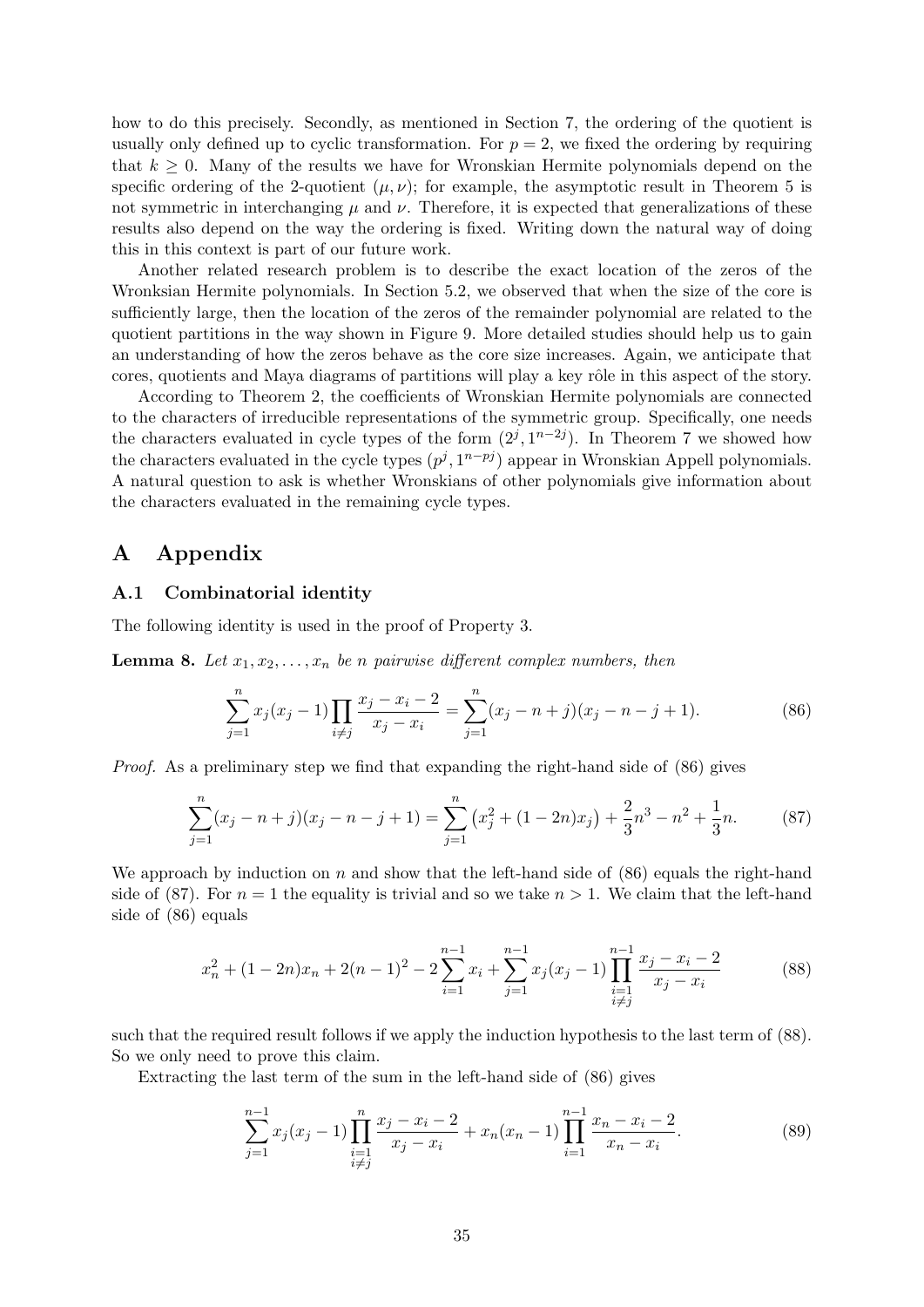how to do this precisely. Secondly, as mentioned in Section 7, the ordering of the quotient is usually only defined up to cyclic transformation. For  $p = 2$ , we fixed the ordering by requiring that  $k \geq 0$ . Many of the results we have for Wronskian Hermite polynomials depend on the specific ordering of the 2-quotient  $(\mu, \nu)$ ; for example, the asymptotic result in Theorem 5 is not symmetric in interchanging  $\mu$  and  $\nu$ . Therefore, it is expected that generalizations of these results also depend on the way the ordering is fixed. Writing down the natural way of doing this in this context is part of our future work.

Another related research problem is to describe the exact location of the zeros of the Wronksian Hermite polynomials. In Section 5.2, we observed that when the size of the core is sufficiently large, then the location of the zeros of the remainder polynomial are related to the quotient partitions in the way shown in Figure 9. More detailed studies should help us to gain an understanding of how the zeros behave as the core size increases. Again, we anticipate that cores, quotients and Maya diagrams of partitions will play a key rôle in this aspect of the story.

According to Theorem 2, the coefficients of Wronskian Hermite polynomials are connected to the characters of irreducible representations of the symmetric group. Specifically, one needs the characters evaluated in cycle types of the form  $(2^j, 1^{n-2j})$ . In Theorem 7 we showed how the characters evaluated in the cycle types  $(p^j, 1^{n-pj})$  appear in Wronskian Appell polynomials. A natural question to ask is whether Wronskians of other polynomials give information about the characters evaluated in the remaining cycle types.

# A Appendix

#### A.1 Combinatorial identity

The following identity is used in the proof of Property 3.

**Lemma 8.** Let  $x_1, x_2, \ldots, x_n$  be n pairwise different complex numbers, then

$$
\sum_{j=1}^{n} x_j (x_j - 1) \prod_{i \neq j} \frac{x_j - x_i - 2}{x_j - x_i} = \sum_{j=1}^{n} (x_j - n + j)(x_j - n - j + 1).
$$
 (86)

Proof. As a preliminary step we find that expanding the right-hand side of (86) gives

$$
\sum_{j=1}^{n} (x_j - n + j)(x_j - n - j + 1) = \sum_{j=1}^{n} (x_j^2 + (1 - 2n)x_j) + \frac{2}{3}n^3 - n^2 + \frac{1}{3}n.
$$
 (87)

We approach by induction on n and show that the left-hand side of  $(86)$  equals the right-hand side of (87). For  $n = 1$  the equality is trivial and so we take  $n > 1$ . We claim that the left-hand side of (86) equals

$$
x_n^2 + (1 - 2n)x_n + 2(n - 1)^2 - 2\sum_{i=1}^{n-1} x_i + \sum_{j=1}^{n-1} x_j (x_j - 1) \prod_{\substack{i=1 \ i \neq j}}^{n-1} \frac{x_j - x_i - 2}{x_j - x_i} \tag{88}
$$

such that the required result follows if we apply the induction hypothesis to the last term of (88). So we only need to prove this claim.

Extracting the last term of the sum in the left-hand side of (86) gives

$$
\sum_{j=1}^{n-1} x_j (x_j - 1) \prod_{\substack{i=1 \ i \neq j}}^n \frac{x_j - x_i - 2}{x_j - x_i} + x_n (x_n - 1) \prod_{i=1}^{n-1} \frac{x_n - x_i - 2}{x_n - x_i}.
$$
 (89)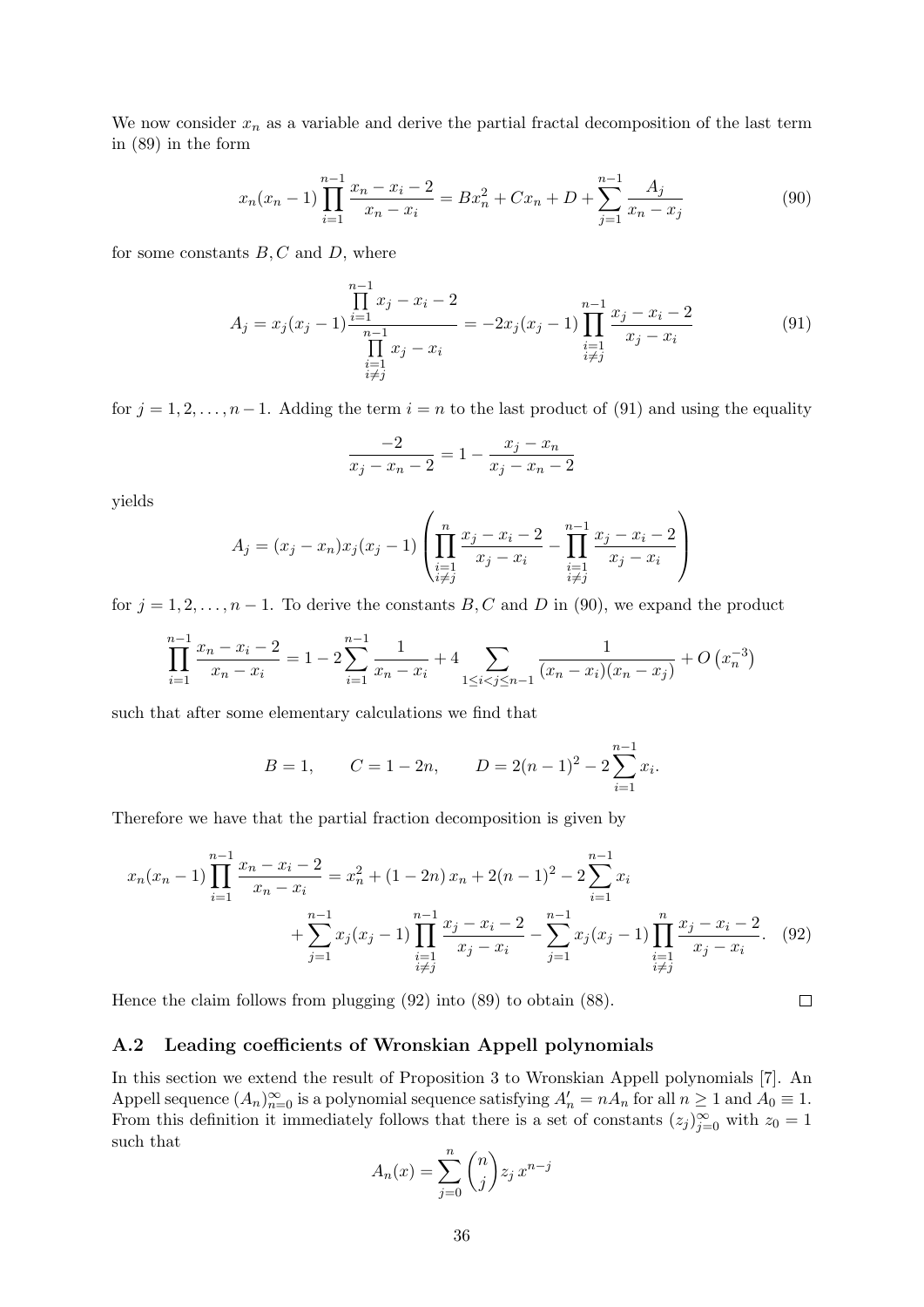We now consider  $x_n$  as a variable and derive the partial fractal decomposition of the last term in (89) in the form

$$
x_n(x_n - 1) \prod_{i=1}^{n-1} \frac{x_n - x_i - 2}{x_n - x_i} = Bx_n^2 + Cx_n + D + \sum_{j=1}^{n-1} \frac{A_j}{x_n - x_j}
$$
(90)

for some constants  $B, C$  and  $D$ , where

$$
A_j = x_j(x_j - 1) \frac{\prod_{i=1}^{n-1} x_j - x_i - 2}{\prod_{\substack{i=1 \ i \neq j}}^{n-1} x_j - x_i} = -2x_j(x_j - 1) \prod_{\substack{i=1 \ i \neq j}}^{n-1} \frac{x_j - x_i - 2}{x_j - x_i}
$$
(91)

for  $j = 1, 2, \ldots, n-1$ . Adding the term  $i = n$  to the last product of (91) and using the equality

$$
\frac{-2}{x_j - x_n - 2} = 1 - \frac{x_j - x_n}{x_j - x_n - 2}
$$

yields

$$
A_j = (x_j - x_n)x_j(x_j - 1) \left( \prod_{\substack{i=1 \\ i \neq j}}^n \frac{x_j - x_i - 2}{x_j - x_i} - \prod_{\substack{i=1 \\ i \neq j}}^{n-1} \frac{x_j - x_i - 2}{x_j - x_i} \right)
$$

for  $j = 1, 2, ..., n - 1$ . To derive the constants B, C and D in (90), we expand the product

$$
\prod_{i=1}^{n-1} \frac{x_n - x_i - 2}{x_n - x_i} = 1 - 2 \sum_{i=1}^{n-1} \frac{1}{x_n - x_i} + 4 \sum_{1 \le i < j \le n-1} \frac{1}{(x_n - x_i)(x_n - x_j)} + O\left(x_n^{-3}\right)
$$

such that after some elementary calculations we find that

$$
B = 1,
$$
  $C = 1 - 2n,$   $D = 2(n - 1)^2 - 2\sum_{i=1}^{n-1} x_i.$ 

Therefore we have that the partial fraction decomposition is given by

$$
x_n(x_n - 1) \prod_{i=1}^{n-1} \frac{x_n - x_i - 2}{x_n - x_i} = x_n^2 + (1 - 2n)x_n + 2(n - 1)^2 - 2 \sum_{i=1}^{n-1} x_i
$$
  
+ 
$$
\sum_{j=1}^{n-1} x_j(x_j - 1) \prod_{\substack{i=1 \ i \neq j}}^{n-1} \frac{x_j - x_i - 2}{x_j - x_i} - \sum_{j=1}^{n-1} x_j(x_j - 1) \prod_{\substack{i=1 \ i \neq j}}^{n} \frac{x_j - x_i - 2}{x_j - x_i}.
$$
 (92)

Hence the claim follows from plugging (92) into (89) to obtain (88).

#### A.2 Leading coefficients of Wronskian Appell polynomials

In this section we extend the result of Proposition 3 to Wronskian Appell polynomials [7]. An Appell sequence  $(A_n)_{n=0}^{\infty}$  is a polynomial sequence satisfying  $A'_n = nA_n$  for all  $n \ge 1$  and  $A_0 \equiv 1$ . From this definition it immediately follows that there is a set of constants  $(z_j)_{j=0}^{\infty}$  with  $z_0 = 1$ such that

$$
A_n(x) = \sum_{j=0}^n \binom{n}{j} z_j x^{n-j}
$$

 $\Box$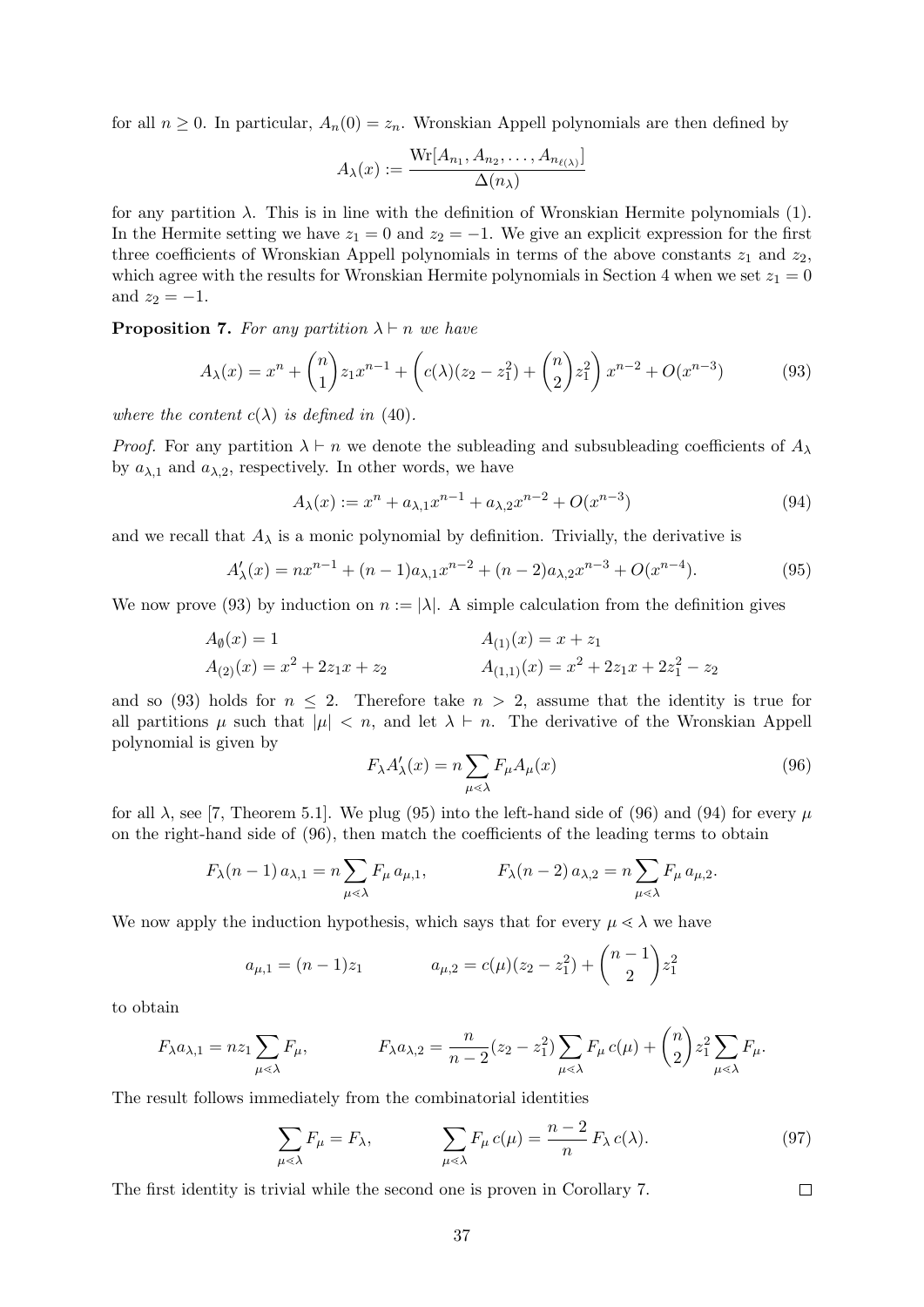for all  $n \geq 0$ . In particular,  $A_n(0) = z_n$ . Wronskian Appell polynomials are then defined by

$$
A_{\lambda}(x) := \frac{\mathrm{Wr}[A_{n_1}, A_{n_2}, \dots, A_{n_{\ell(\lambda)}}]}{\Delta(n_{\lambda})}
$$

for any partition  $\lambda$ . This is in line with the definition of Wronskian Hermite polynomials (1). In the Hermite setting we have  $z_1 = 0$  and  $z_2 = -1$ . We give an explicit expression for the first three coefficients of Wronskian Appell polynomials in terms of the above constants  $z_1$  and  $z_2$ , which agree with the results for Wronskian Hermite polynomials in Section 4 when we set  $z_1 = 0$ and  $z_2 = -1$ .

**Proposition 7.** For any partition  $\lambda \vdash n$  we have

$$
A_{\lambda}(x) = x^{n} + {n \choose 1} z_{1} x^{n-1} + \left( c(\lambda)(z_{2} - z_{1}^{2}) + {n \choose 2} z_{1}^{2} \right) x^{n-2} + O(x^{n-3})
$$
(93)

where the content  $c(\lambda)$  is defined in (40).

*Proof.* For any partition  $\lambda \vdash n$  we denote the subleading and subsubleading coefficients of  $A_{\lambda}$ by  $a_{\lambda,1}$  and  $a_{\lambda,2}$ , respectively. In other words, we have

$$
A_{\lambda}(x) := x^{n} + a_{\lambda,1}x^{n-1} + a_{\lambda,2}x^{n-2} + O(x^{n-3})
$$
\n(94)

and we recall that  $A_{\lambda}$  is a monic polynomial by definition. Trivially, the derivative is

$$
A'_{\lambda}(x) = nx^{n-1} + (n-1)a_{\lambda,1}x^{n-2} + (n-2)a_{\lambda,2}x^{n-3} + O(x^{n-4}).
$$
\n(95)

We now prove (93) by induction on  $n := |\lambda|$ . A simple calculation from the definition gives

$$
A_{\emptyset}(x) = 1
$$
  
\n
$$
A_{(1)}(x) = x + z_1
$$
  
\n
$$
A_{(1,1)}(x) = x + z_1
$$
  
\n
$$
A_{(1,1)}(x) = x^2 + 2z_1x + 2z_1^2 - z_2
$$

and so (93) holds for  $n \leq 2$ . Therefore take  $n > 2$ , assume that the identity is true for all partitions  $\mu$  such that  $|\mu| < n$ , and let  $\lambda \vdash n$ . The derivative of the Wronskian Appell polynomial is given by

$$
F_{\lambda}A_{\lambda}'(x) = n \sum_{\mu \le \lambda} F_{\mu}A_{\mu}(x)
$$
\n(96)

for all  $\lambda$ , see [7, Theorem 5.1]. We plug (95) into the left-hand side of (96) and (94) for every  $\mu$ on the right-hand side of (96), then match the coefficients of the leading terms to obtain

$$
F_{\lambda}(n-1) a_{\lambda,1} = n \sum_{\mu \ll \lambda} F_{\mu} a_{\mu,1}, \qquad F_{\lambda}(n-2) a_{\lambda,2} = n \sum_{\mu \ll \lambda} F_{\mu} a_{\mu,2}.
$$

We now apply the induction hypothesis, which says that for every  $\mu \ll \lambda$  we have

$$
a_{\mu,1} = (n-1)z_1 \qquad \qquad a_{\mu,2} = c(\mu)(z_2 - z_1^2) + \binom{n-1}{2}z_1^2
$$

to obtain

$$
F_{\lambda}a_{\lambda,1} = nz_1 \sum_{\mu \leq \lambda} F_{\mu}, \qquad F_{\lambda}a_{\lambda,2} = \frac{n}{n-2}(z_2 - z_1^2) \sum_{\mu \leq \lambda} F_{\mu}c(\mu) + {n \choose 2} z_1^2 \sum_{\mu \leq \lambda} F_{\mu}.
$$

The result follows immediately from the combinatorial identities

$$
\sum_{\mu \le \lambda} F_{\mu} = F_{\lambda}, \qquad \sum_{\mu \le \lambda} F_{\mu} c(\mu) = \frac{n-2}{n} F_{\lambda} c(\lambda). \tag{97}
$$

 $\Box$ 

The first identity is trivial while the second one is proven in Corollary 7.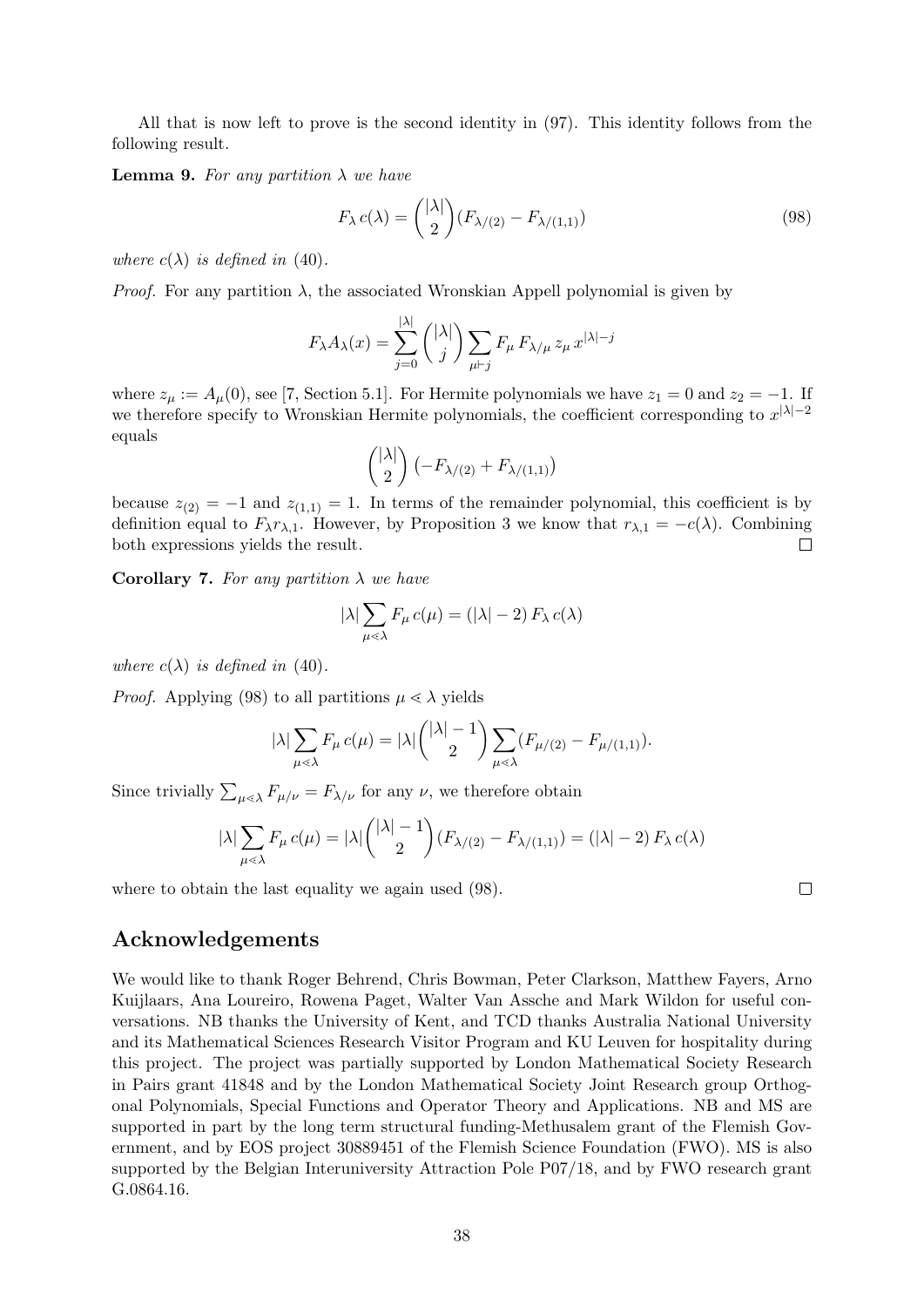All that is now left to prove is the second identity in (97). This identity follows from the following result.

**Lemma 9.** For any partition  $\lambda$  we have

$$
F_{\lambda} c(\lambda) = \binom{|\lambda|}{2} (F_{\lambda/(2)} - F_{\lambda/(1,1)})
$$
\n(98)

where  $c(\lambda)$  is defined in (40).

*Proof.* For any partition  $\lambda$ , the associated Wronskian Appell polynomial is given by

$$
F_{\lambda}A_{\lambda}(x)=\sum_{j=0}^{|\lambda|}{\binom{|\lambda|}{j}}\sum_{\mu\vdash j}F_{\mu}\,F_{\lambda/\mu}\,z_{\mu}\,x^{|\lambda|-j}
$$

where  $z_{\mu} := A_{\mu}(0)$ , see [7, Section 5.1]. For Hermite polynomials we have  $z_1 = 0$  and  $z_2 = -1$ . If we therefore specify to Wronskian Hermite polynomials, the coefficient corresponding to  $x^{|\lambda|-2}$ equals

$$
\binom{|\lambda|}{2} \left(-F_{\lambda/(2)} + F_{\lambda/(1,1)}\right)
$$

because  $z_{(2)} = -1$  and  $z_{(1,1)} = 1$ . In terms of the remainder polynomial, this coefficient is by definition equal to  $F_{\lambda}r_{\lambda,1}$ . However, by Proposition 3 we know that  $r_{\lambda,1} = -c(\lambda)$ . Combining both expressions yields the result. П

Corollary 7. For any partition  $\lambda$  we have

$$
|\lambda| \sum_{\mu \lessdot \lambda} F_{\mu} c(\mu) = (|\lambda| - 2) F_{\lambda} c(\lambda)
$$

where  $c(\lambda)$  is defined in (40).

*Proof.* Applying (98) to all partitions  $\mu \ll \lambda$  yields

$$
|\lambda| \sum_{\mu \leq \lambda} F_{\mu} c(\mu) = |\lambda| \binom{|\lambda| - 1}{2} \sum_{\mu \leq \lambda} (F_{\mu/(2)} - F_{\mu/(1,1)}).
$$

Since trivially  $\sum_{\mu\lessdot\lambda} F_{\mu/\nu} = F_{\lambda/\nu}$  for any  $\nu$ , we therefore obtain

$$
|\lambda| \sum_{\mu \le \lambda} F_{\mu} c(\mu) = |\lambda| \binom{|\lambda| - 1}{2} (F_{\lambda/(2)} - F_{\lambda/(1,1)}) = (|\lambda| - 2) F_{\lambda} c(\lambda)
$$

where to obtain the last equality we again used (98).

### Acknowledgements

We would like to thank Roger Behrend, Chris Bowman, Peter Clarkson, Matthew Fayers, Arno Kuijlaars, Ana Loureiro, Rowena Paget, Walter Van Assche and Mark Wildon for useful conversations. NB thanks the University of Kent, and TCD thanks Australia National University and its Mathematical Sciences Research Visitor Program and KU Leuven for hospitality during this project. The project was partially supported by London Mathematical Society Research in Pairs grant 41848 and by the London Mathematical Society Joint Research group Orthogonal Polynomials, Special Functions and Operator Theory and Applications. NB and MS are supported in part by the long term structural funding-Methusalem grant of the Flemish Government, and by EOS project 30889451 of the Flemish Science Foundation (FWO). MS is also supported by the Belgian Interuniversity Attraction Pole P07/18, and by FWO research grant G.0864.16.

 $\Box$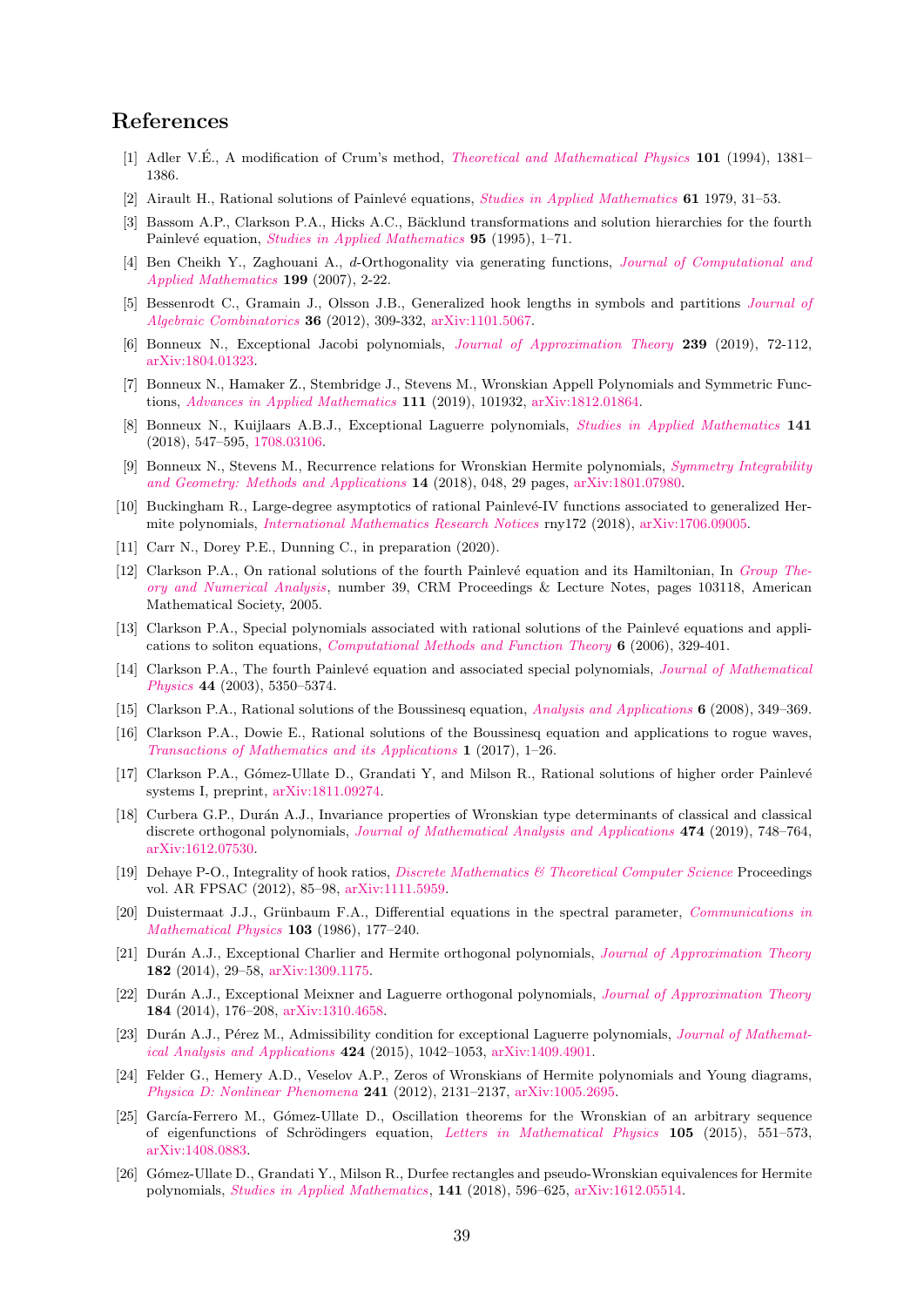# References

- [1] Adler V.E., A modification of Crum's method, *[Theoretical and Mathematical Physics](https://doi.org/10.1007/BF01035458)* 101 (1994), 1381– 1386.
- [2] Airault H., Rational solutions of Painlevé equations, *[Studies in Applied Mathematics](https://doi.org/10.1002/sapm197961131)* **61** 1979, 31–53.
- [3] Bassom A.P., Clarkson P.A., Hicks A.C., Bäcklund transformations and solution hierarchies for the fourth Painlevé equation, *[Studies in Applied Mathematics](https://doi.org/10.1002/sapm19959511)* 95 (1995), 1–71.
- [4] Ben Cheikh Y., Zaghouani A., d-Orthogonality via generating functions, [Journal of Computational and](https://doi.org/10.1016/j.cam.2005.01.051) [Applied Mathematics](https://doi.org/10.1016/j.cam.2005.01.051) 199 (2007), 2-22.
- [5] Bessenrodt C., Gramain J., Olsson J.B., Generalized hook lengths in symbols and partitions [Journal of](https://www.doi.org/10.1007/s10801-011-0338-9) [Algebraic Combinatorics](https://www.doi.org/10.1007/s10801-011-0338-9) 36 (2012), 309-332, [arXiv:1101.5067.](https://arxiv.org/abs/1101.5067)
- [6] Bonneux N., Exceptional Jacobi polynomials, [Journal of Approximation Theory](https://doi.org/10.1016/j.jat.2018.11.002) 239 (2019), 72-112, [arXiv:1804.01323.](https://arxiv.org/abs/1804.01323)
- [7] Bonneux N., Hamaker Z., Stembridge J., Stevens M., Wronskian Appell Polynomials and Symmetric Functions, [Advances in Applied Mathematics](https://doi.org/10.1016/j.aam.2019.101932) 111 (2019), 101932, [arXiv:1812.01864.](https://arxiv.org/abs/1812.01864)
- [8] Bonneux N., Kuijlaars A.B.J., Exceptional Laguerre polynomials, [Studies in Applied Mathematics](https://doi.org/10.1111/sapm.12204) 141 (2018), 547–595, [1708.03106.](https://arxiv.org/abs/1708.03106)
- [9] Bonneux N., Stevens M., Recurrence relations for Wronskian Hermite polynomials, [Symmetry Integrability](https://doi.org/10.3842/SIGMA.2018.048) [and Geometry: Methods and Applications](https://doi.org/10.3842/SIGMA.2018.048) 14 (2018), 048, 29 pages, [arXiv:1801.07980.](https://arxiv.org/abs/1801.07980)
- [10] Buckingham R., Large-degree asymptotics of rational Painlevé-IV functions associated to generalized Hermite polynomials, [International Mathematics Research Notices](https://doi.org/10.1093/imrn/rny172) rny172 (2018), [arXiv:1706.09005.](https://arxiv.org/abs/1706.09005)
- [11] Carr N., Dorey P.E., Dunning C., in preparation (2020).
- [12] Clarkson P.A., On rational solutions of the fourth Painlevé equation and its Hamiltonian, In [Group The](https://bookstore.ams.org/crmp-39)[ory and Numerical Analysis](https://bookstore.ams.org/crmp-39), number 39, CRM Proceedings & Lecture Notes, pages 103118, American Mathematical Society, 2005.
- [13] Clarkson P.A., Special polynomials associated with rational solutions of the Painlevé equations and applications to soliton equations, [Computational Methods and Function Theory](https://doi.org/10.1007/BF03321618) 6 (2006), 329-401.
- [14] Clarkson P.A., The fourth Painlevé equation and associated special polynomials, [Journal of Mathematical](https://doi.org/10.1063/1.1603958) [Physics](https://doi.org/10.1063/1.1603958) 44 (2003), 5350–5374.
- [15] Clarkson P.A., Rational solutions of the Boussinesq equation, [Analysis and Applications](https://doi.org/10.1142/S0219530508001250) 6 (2008), 349–369.
- [16] Clarkson P.A., Dowie E., Rational solutions of the Boussinesq equation and applications to rogue waves, [Transactions of Mathematics and its Applications](https://doi.org/10.1093/imatrm/tnx003) 1 (2017), 1–26.
- [17] Clarkson P.A., Gómez-Ullate D., Grandati Y, and Milson R., Rational solutions of higher order Painlevé systems I, preprint, [arXiv:1811.09274.](https://arxiv.org/abs/1811.09274)
- [18] Curbera G.P., Durán A.J., Invariance properties of Wronskian type determinants of classical and classical discrete orthogonal polynomials, [Journal of Mathematical Analysis and Applications](https://doi.org/10.1016/j.jmaa.2019.01.078) 474 (2019), 748–764, [arXiv:1612.07530.](https://arxiv.org/abs/1612.07530)
- [19] Dehaye P-O., Integrality of hook ratios, [Discrete Mathematics & Theoretical Computer Science](https://dmtcs.episciences.org/3022) Proceedings vol. AR FPSAC (2012), 85–98, [arXiv:1111.5959.](https://arxiv.org/abs/1111.5959)
- [20] Duistermaat J.J., Grünbaum F.A., Differential equations in the spectral parameter, [Communications in](https://link.springer.com/article/10.1007/BF01206937) [Mathematical Physics](https://link.springer.com/article/10.1007/BF01206937) 103 (1986), 177–240.
- [21] Durán A.J., Exceptional Charlier and Hermite orthogonal polynomials, [Journal of Approximation Theory](https://doi.org/10.1016/j.jat.2014.03.004) 182 (2014), 29–58, [arXiv:1309.1175.](https://arxiv.org/abs/1309.1175)
- [22] Durán A.J., Exceptional Meixner and Laguerre orthogonal polynomials, *[Journal of Approximation Theory](https://doi.org/10.1016/j.jat.2014.05.009)* 184 (2014), 176–208, [arXiv:1310.4658.](https://arxiv.org/abs/1310.4658)
- [23] Durán A.J., Pérez M., Admissibility condition for exceptional Laguerre polynomials, [Journal of Mathemat](https://doi.org/10.1016/j.jmaa.2014.11.035)[ical Analysis and Applications](https://doi.org/10.1016/j.jmaa.2014.11.035) 424 (2015), 1042–1053, [arXiv:1409.4901.](https://arxiv.org/abs/1409.4901)
- [24] Felder G., Hemery A.D., Veselov A.P., Zeros of Wronskians of Hermite polynomials and Young diagrams, [Physica D: Nonlinear Phenomena](https://doi.org/10.1016/j.physd.2012.08.008) 241 (2012), 2131–2137, [arXiv:1005.2695.](https://arxiv.org/abs/1005.2695)
- [25] García-Ferrero M., Gómez-Ullate D., Oscillation theorems for the Wronskian of an arbitrary sequence of eigenfunctions of Schrödingers equation, [Letters in Mathematical Physics](https://doi.org/10.1007/s11005-015-0751-4)  $105$  (2015), 551–573, [arXiv:1408.0883.](https://arxiv.org/abs/1408.0883)
- [26] Gómez-Ullate D., Grandati Y., Milson R., Durfee rectangles and pseudo-Wronskian equivalences for Hermite polynomials, [Studies in Applied Mathematics](https://doi.org/10.1111/sapm.12225), 141 (2018), 596–625, [arXiv:1612.05514.](https://arxiv.org/abs/1612.05514)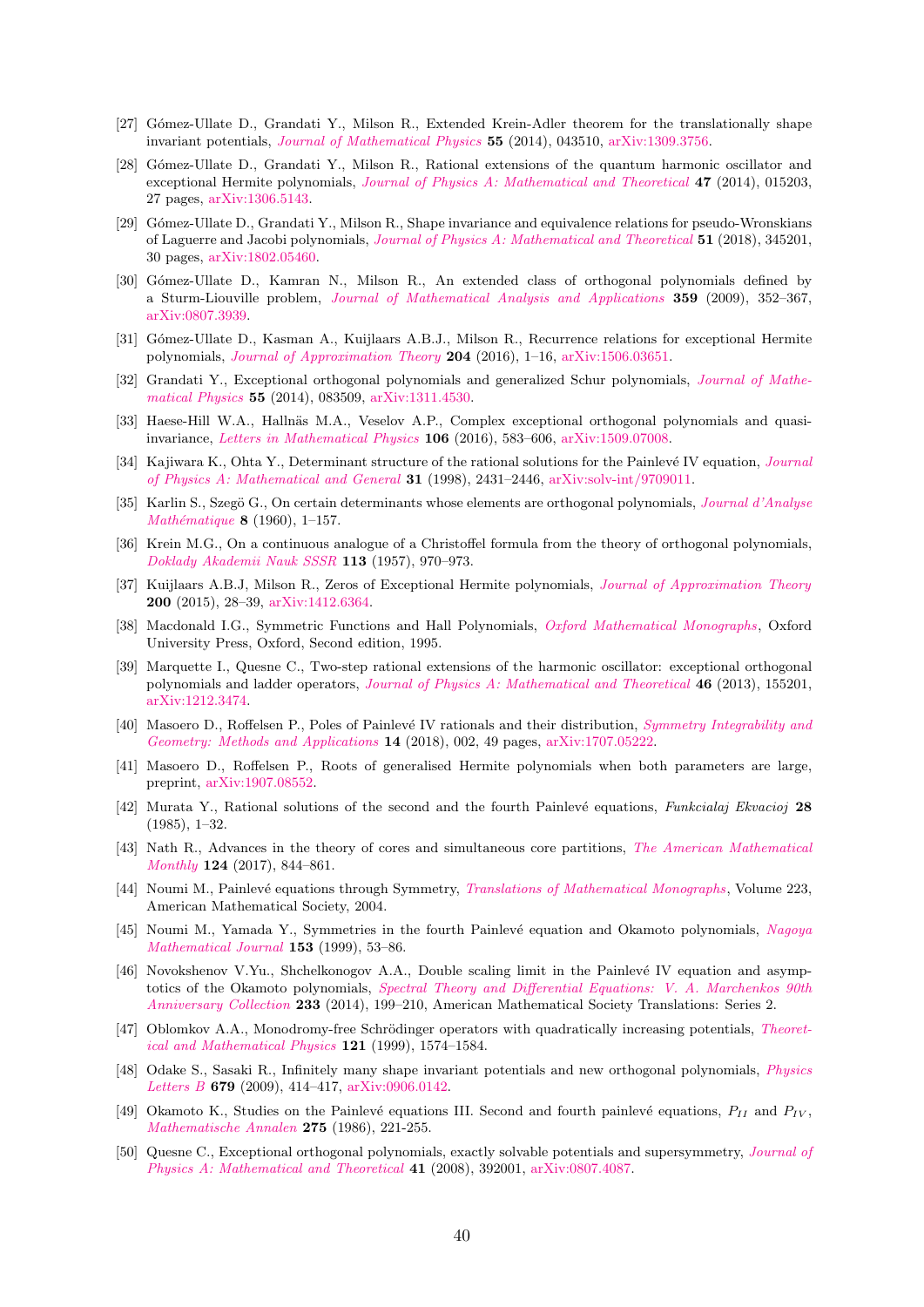- [27] Gómez-Ullate D., Grandati Y., Milson R., Extended Krein-Adler theorem for the translationally shape invariant potentials, [Journal of Mathematical Physics](https://doi.org/10.1063/1.4871443) 55 (2014), 043510, [arXiv:1309.3756.](https://arxiv.org/abs/1309.3756)
- [28] Gómez-Ullate D., Grandati Y., Milson R., Rational extensions of the quantum harmonic oscillator and exceptional Hermite polynomials, [Journal of Physics A: Mathematical and Theoretical](https://doi.org/10.1088/1751-8113/47/1/015203) 47 (2014), 015203, 27 pages, [arXiv:1306.5143.](https://arxiv.org/abs/1306.5143)
- [29] G´omez-Ullate D., Grandati Y., Milson R., Shape invariance and equivalence relations for pseudo-Wronskians of Laguerre and Jacobi polynomials, [Journal of Physics A: Mathematical and Theoretical](https://doi.org/10.1088/1751-8121/aace4b) 51 (2018), 345201, 30 pages, [arXiv:1802.05460.](https://arxiv.org/abs/1802.05460)
- [30] Gómez-Ullate D., Kamran N., Milson R., An extended class of orthogonal polynomials defined by a Sturm-Liouville problem, [Journal of Mathematical Analysis and Applications](https://doi.org/10.1016/j.jmaa.2009.05.052) 359 (2009), 352–367, [arXiv:0807.3939.](https://arxiv.org/abs/0807.3939)
- [31] G´omez-Ullate D., Kasman A., Kuijlaars A.B.J., Milson R., Recurrence relations for exceptional Hermite polynomials, *[Journal of Approximation Theory](https://doi.org/10.1016/j.jat.2015.12.003)* 204 (2016), 1–16, [arXiv:1506.03651.](https://arxiv.org/abs/1506.03651)
- [32] Grandati Y., Exceptional orthogonal polynomials and generalized Schur polynomials, [Journal of Mathe](https://doi.org/10.1063/1.4891923)[matical Physics](https://doi.org/10.1063/1.4891923) 55 (2014), 083509, [arXiv:1311.4530.](https://arxiv.org/abs/1311.4530)
- [33] Haese-Hill W.A., Hallnäs M.A., Veselov A.P., Complex exceptional orthogonal polynomials and quasiinvariance, [Letters in Mathematical Physics](https://doi.org/10.1007/s11005-016-0828-8) 106 (2016), 583–606, [arXiv:1509.07008.](https://arxiv.org/abs/1509.07008)
- [34] Kajiwara K., Ohta Y., Determinant structure of the rational solutions for the Painlevé IV equation, *[Journal](https://doi.org/10.1088/0305-4470/31/10/017)* [of Physics A: Mathematical and General](https://doi.org/10.1088/0305-4470/31/10/017) 31 (1998), 2431–2446, [arXiv:solv-int/9709011.](https://arxiv.org/abs/solv-int/9709011)
- [35] Karlin S., Szegö G., On certain determinants whose elements are orthogonal polynomials, *[Journal d'Analyse](https://doi.org/10.1007/BF02786848)* Mathématique 8 (1960), 1–157.
- [36] Krein M.G., On a continuous analogue of a Christoffel formula from the theory of orthogonal polynomials, [Doklady Akademii Nauk SSSR](http://mi.mathnet.ru/dan21822) 113 (1957), 970–973.
- [37] Kuijlaars A.B.J, Milson R., Zeros of Exceptional Hermite polynomials, *[Journal of Approximation Theory](https://doi.org/10.1016/j.jat.2015.07.002)* 200 (2015), 28–39, [arXiv:1412.6364.](https://arxiv.org/abs/1412.6364)
- [38] Macdonald I.G., Symmetric Functions and Hall Polynomials, [Oxford Mathematical Monographs](https://global.oup.com/academic/product/symmetric-functions-and-hall-polynomials-9780198504504), Oxford University Press, Oxford, Second edition, 1995.
- [39] Marquette I., Quesne C., Two-step rational extensions of the harmonic oscillator: exceptional orthogonal polynomials and ladder operators, [Journal of Physics A: Mathematical and Theoretical](https://doi.org/10.101088/1751-8113/46/15/155201) 46 (2013), 155201, [arXiv:1212.3474.](https://arxiv.org/abs/1212.3474)
- [40] Masoero D., Roffelsen P., Poles of Painlevé IV rationals and their distribution, [Symmetry Integrability and](https://doi.org/10.3842/SIGMA.2018.002) [Geometry: Methods and Applications](https://doi.org/10.3842/SIGMA.2018.002) 14 (2018), 002, 49 pages, [arXiv:1707.05222.](https://arxiv.org/abs/1707.05222)
- [41] Masoero D., Roffelsen P., Roots of generalised Hermite polynomials when both parameters are large, preprint, [arXiv:1907.08552.](https://arxiv.org/abs/1907.08552)
- [42] Murata Y., Rational solutions of the second and the fourth Painlevé equations, Funkcialaj Ekvacioj 28 (1985), 1–32.
- [43] Nath R., Advances in the theory of cores and simultaneous core partitions, [The American Mathematical](https://doi.org/10.4169/amer.math.monthly.124.9.844) [Monthly](https://doi.org/10.4169/amer.math.monthly.124.9.844) 124 (2017), 844–861.
- [44] Noumi M., Painlevé equations through Symmetry, [Translations of Mathematical Monographs](https://doi.org/10.1090/mmono/223), Volume 223, American Mathematical Society, 2004.
- [45] Noumi M., Yamada Y., Symmetries in the fourth Painlevé equation and Okamoto polynomials, [Nagoya](https://doi.org/10.1017/S0027763000006899) [Mathematical Journal](https://doi.org/10.1017/S0027763000006899) 153 (1999), 53–86.
- [46] Novokshenov V.Yu., Shchelkonogov A.A., Double scaling limit in the Painlevé IV equation and asymptotics of the Okamoto polynomials, [Spectral Theory and Differential Equations: V. A. Marchenkos 90th](https://doi.org/10.1090/trans2/233/12) [Anniversary Collection](https://doi.org/10.1090/trans2/233/12) 233 (2014), 199–210, American Mathematical Society Translations: Series 2.
- [47] Oblomkov A.A., Monodromy-free Schrödinger operators with quadratically increasing potentials, [Theoret](https://doi.org/10.1007/BF02557204)[ical and Mathematical Physics](https://doi.org/10.1007/BF02557204) 121 (1999), 1574–1584.
- [48] Odake S., Sasaki R., Infinitely many shape invariant potentials and new orthogonal polynomials, [Physics](https://doi.org/10.1016/j.physletb.2009.08.004) [Letters B](https://doi.org/10.1016/j.physletb.2009.08.004) 679 (2009), 414–417, [arXiv:0906.0142.](https://arxiv.org/abs/0906.0142)
- [49] Okamoto K., Studies on the Painlevé equations III. Second and fourth painlevé equations,  $P_{II}$  and  $P_{IV}$ , [Mathematische Annalen](http://www.doi.org/10.1007/BF01458459) 275 (1986), 221-255.
- [50] Quesne C., Exceptional orthogonal polynomials, exactly solvable potentials and supersymmetry, *[Journal of](https://doi.org/10.1088/1751-8113/41/39/392001)* [Physics A: Mathematical and Theoretical](https://doi.org/10.1088/1751-8113/41/39/392001) 41 (2008), 392001, [arXiv:0807.4087.](https://arxiv.org/abs/0807.4087)